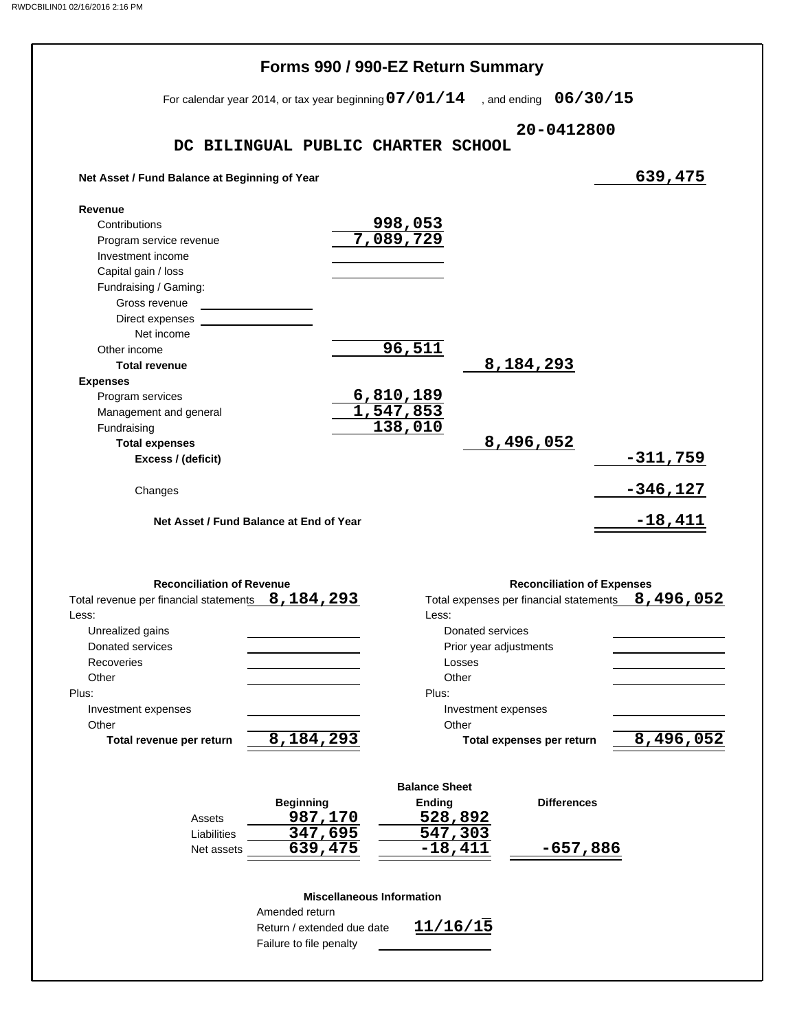|                                                                                 | Forms 990 / 990-EZ Return Summary                        |                      |                                         |                 |
|---------------------------------------------------------------------------------|----------------------------------------------------------|----------------------|-----------------------------------------|-----------------|
|                                                                                 | For calendar year 2014, or tax year beginning $07/01/14$ |                      | , and ending $06/30/15$                 |                 |
|                                                                                 | DC BILINGUAL PUBLIC CHARTER SCHOOL                       |                      | 20-0412800                              |                 |
| Net Asset / Fund Balance at Beginning of Year                                   |                                                          |                      |                                         | 639,475         |
| Revenue                                                                         |                                                          |                      |                                         |                 |
| Contributions                                                                   |                                                          |                      |                                         |                 |
| Program service revenue                                                         |                                                          | 998,053<br>7,089,729 |                                         |                 |
| Investment income                                                               |                                                          |                      |                                         |                 |
| Capital gain / loss                                                             |                                                          |                      |                                         |                 |
| Fundraising / Gaming:                                                           |                                                          |                      |                                         |                 |
| Gross revenue                                                                   |                                                          |                      |                                         |                 |
| Direct expenses                                                                 |                                                          |                      |                                         |                 |
| Net income                                                                      |                                                          |                      |                                         |                 |
| Other income                                                                    |                                                          | 96,511               |                                         |                 |
| <b>Total revenue</b>                                                            |                                                          |                      | 8,184,293                               |                 |
| <b>Expenses</b>                                                                 |                                                          |                      |                                         |                 |
| Program services                                                                |                                                          | <u>6,810,189</u>     |                                         |                 |
| Management and general                                                          |                                                          | 1,547,853            |                                         |                 |
| Fundraising                                                                     |                                                          | 138,010              |                                         |                 |
| <b>Total expenses</b>                                                           |                                                          |                      | 8,496,052                               |                 |
| Excess / (deficit)                                                              |                                                          |                      |                                         | $-311,759$      |
|                                                                                 |                                                          |                      |                                         |                 |
| Changes                                                                         |                                                          |                      |                                         | <u>-346,127</u> |
|                                                                                 |                                                          |                      |                                         |                 |
|                                                                                 | Net Asset / Fund Balance at End of Year                  |                      |                                         | $-18,411$       |
|                                                                                 |                                                          |                      |                                         |                 |
| <b>Reconciliation of Revenue</b>                                                |                                                          |                      | <b>Reconciliation of Expenses</b>       |                 |
|                                                                                 |                                                          |                      | Total expenses per financial statements |                 |
|                                                                                 |                                                          | Less:                |                                         |                 |
| Total revenue per financial statements 8, 184, 293<br>Less:<br>Unrealized gains |                                                          |                      | Donated services                        |                 |
| Donated services                                                                |                                                          |                      | Prior year adjustments                  |                 |
| Recoveries                                                                      |                                                          | Losses               |                                         |                 |
| Other                                                                           |                                                          | Other                |                                         |                 |
| Plus:                                                                           |                                                          | Plus:                |                                         | 8,496,052       |
| Investment expenses                                                             |                                                          |                      | Investment expenses                     |                 |
| Other                                                                           |                                                          | Other                |                                         |                 |
| Total revenue per return                                                        | 8,184,293                                                |                      | Total expenses per return               |                 |
|                                                                                 |                                                          | <b>Balance Sheet</b> |                                         |                 |
|                                                                                 | <b>Beginning</b>                                         | Ending               | <b>Differences</b>                      |                 |
| Assets                                                                          | 987,170                                                  | 528,892              |                                         |                 |
| Liabilities                                                                     | 347,695                                                  | 547,303              |                                         | 8,496,052       |
| Net assets                                                                      | 639,475                                                  | $-18,411$            | $-657,886$                              |                 |
|                                                                                 | <b>Miscellaneous Information</b>                         |                      |                                         |                 |
|                                                                                 | Amended return                                           |                      |                                         |                 |
|                                                                                 | Return / extended due date                               | 11/16/15             |                                         |                 |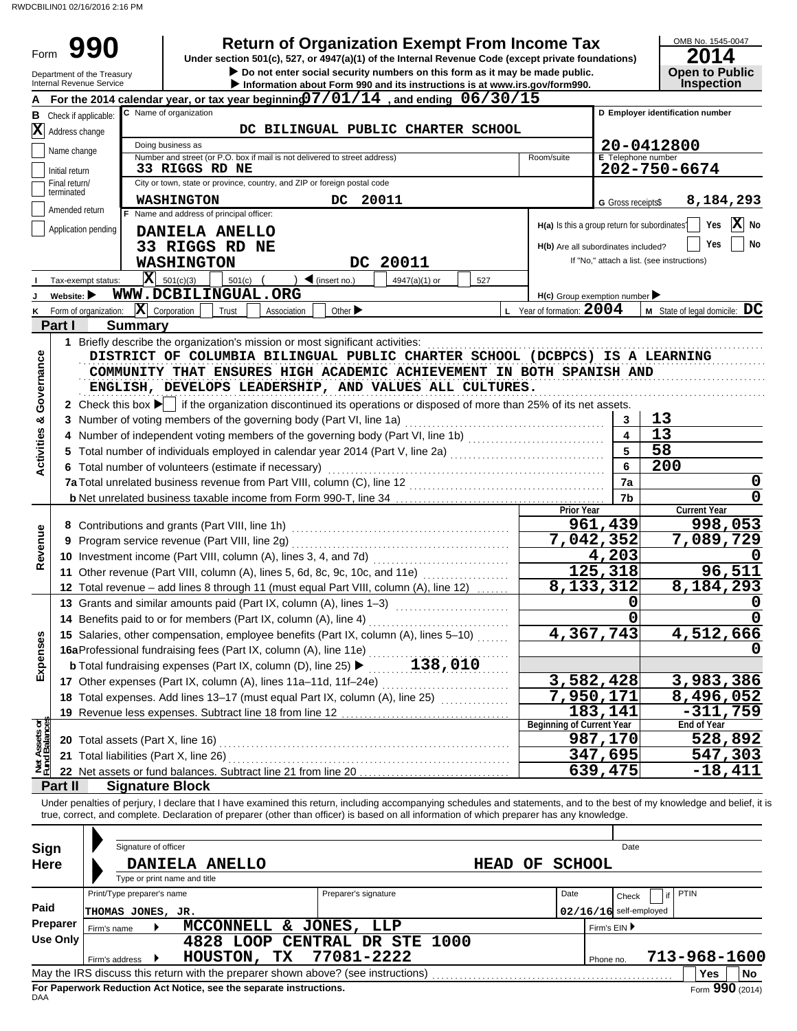#### **17** Other expenses (Part IX, column (A), lines 11a–11d, 11f–24e) ................................. **18** Total expenses. Add lines 13–17 (must equal Part IX, column (A), line 25)  $\ldots$ ........... G Gross receipts\$ Check if applicable:  $A$  For the 2014 calendar year, or tax year beginning  $07/01/14$  , and ending  $06/30/15$ Application pending City or town, state or province, country, and ZIP or foreign postal code Amended return terminated Number and street (or P.O. box if mail is not delivered to street address) Room/suite Initial return Name change Address change C Name of organization **Information about Form 990 and its instructions is at www.irs.gov/form990.** Department of the Treasury<br>Internal Revenue Service OMB No. 1545-0047 Form **E** Telephone number **B** Check if annicable: C Name of organization **C C D Employer identification number • Do not enter social security numbers on this form as it may be made public. <b>Open to Public 990 a 2014 2016 2016 2016 2016 2014 Dependicion of Organization Exempt From Income Tax 2014 Inspection** Doing business as Name and address of principal officer: **H(a)** Is this a group return for subordinates? **H(b)** Are all subordinates included? **H(c)** Group exemption number If "No," attach a list. (see instructions) **Yes No Yes No I J K** Tax-exempt status: **Website:**  Form of organization:  $\triangleq$  (insert no.)  $\begin{vmatrix} 1 & 4947(a)(1) & \text{or} & 1 \end{vmatrix}$  527  $\overline{\mathbf{X}}$  Corporation Trust Association Other **>** Other **>**  $\overline{\mathbf{X}}$  Year of formation: 2004 | M State of legal domicile:  $\overline{\mathbf{DC}}$ **Part I Summary** 1 Briefly describe the organization's mission or most significant activities: www.www.www.www.www.www.www.www.ww. **2** Check this box  $\blacktriangleright$  if the organization discontinued its operations or disposed of more than 25% of its net assets. **3** Number of voting members of the governing body (Part VI, line 1a) . . . . . . . . . . . . . . . . . . . . . . . . . . . . . . . . . . . . . . . . . . . . **4** Number of independent voting members of the governing body (Part VI, line 1b) . . . . . . . . . . . . . . . . . . . . . . . . . . . . . . **5** Total number of individuals employed in calendar year 2014 (Part V, line 2a)  $\ldots$ **6** Total number of volunteers (estimate if necessary) . . . . . . . . . . . . . . . . . . . . . . . . . . . . . . . . . . . . . . . . . . . . . . . . . . . . . . . . . . . . . **7a** Total unrelated business revenue from Part VIII, column (C), line 12 . . . . . . . . . . . . . . . . . . . . . . . . . . . . . . . . . . . . . . . . . . . **b** Net unrelated business taxable income from Form 990-T, line 34 . . . . . . . . . . . . . . . . . . . . . . . . . . . . . . . . . . . . . . . . . . . . . . **7b 7a 6 5 4 3** DISTRICT OF COLUMBIA BILINGUAL PUBLIC CHARTER SCHOOL (DCBPCS) IS A LEARNING COMMUNITY THAT ENSURES HIGH ACADEMIC ACHIEVEMENT IN BOTH SPANISH AND ENGLISH, DEVELOPS LEADERSHIP, AND VALUES ALL CULTURES. **8** Contributions and grants (Part VIII, line 1h) . . . . . . . . . . . . . . . . . . . . . . . . . . . . . . . . . . . . . . . . . . . . . . . . **9** Program service revenue (Part VIII, line 2g) . . . . . . . . . . . . . . . . . . . . . . . . . . . . . . . . . . . . . . . . . . . . . . . . **10** Investment income (Part VIII, column (A), lines 3, 4, and 7d) . . . . . . . . . . . . . . . . . . . . . . . . . . . . . . **11** Other revenue (Part VIII, column (A), lines 5, 6d, 8c, 9c, 10c, and 11e) .................... **12** Total revenue – add lines 8 through 11 (must equal Part VIII, column (A), line 12) ....... **Prior Year Current Year 13** Grants and similar amounts paid (Part IX, column (A), lines 1–3) .............................. **14** Benefits paid to or for members (Part IX, column (A), line 4) . . . . . . . . . . . . . . . . . . . . . . . . . . . . . . . **15** Salaries, other compensation, employee benefits (Part IX, column (A), lines 5–10) . . . . . . **16a** Professional fundraising fees (Part IX, column (A), line 11e) . . . . . . . . . . . . . . . . . . . . . . . . . . . . . . . **b** Total fundraising expenses (Part IX, column (D), line 25)  $\blacktriangleright$  ........... 138, 010 **19** Revenue less expenses. Subtract line 18 from line 12 . . . . . . . . . . . . . . . . . . . . . . . . . . . . . . . . . . . . . **20** Total assets (Part X, line 16) . . . . . . . . . . . . . . . . . . . . . . . . . . . . . . . . . . . . . . . . . . . . . . . . . . . . . . . . . . . . . . . . **21** Total liabilities (Part X, line 26) . . . . . . . . . . . . . . . . . . . . . . . . . . . . . . . . . . . . . . . . . . . . . . . . . . . . . . . . . . . . . . **22** Net assets or fund balances. Subtract line 21 from line 20 . . . . . . . . . . . . . . . . . . . . . . . . . . . . . . . . . **Beginning of Current Year End of Year Part II Signature Block** COMMENTY THAT EXISTNATA NETLATION ALTERNATION COMMENTS AND CONTROLL COMMENTS AND CONTROLL COMMENTS AND CONTROLL CONTROLL CONTROLL CONTROLL CONTROLL CONTROLL CONTROLL CONTROLL CONTROLL CONTROLL CONTROLL CONTROLL CONTROLL  $\overline{\mathbf{X}}$  501(c)(3) Final return/ **X DC BILINGUAL PUBLIC CHARTER SCHOOL 33 RIGGS RD NE WASHINGTON DC 20011 20-0412800 202-750-6674 DANIELA ANELLO 33 RIGGS RD NE WASHINGTON DC 20011 8,184,293 X WWW.DCBILINGUAL.ORG 13 13 58 200 0 0 961,439 998,053 7,042,352 7,089,729 4,203** 0<br>5,318 96,511 **125,318 8,133,312 8,184,293 0 0 0 0 4,367,743 4,512,666 0 3,582,428 3,983,386 7,950,171 8,496,052 183,141 -311,759 987,170 528,892 347,695 547,303 639,475 -18,411** RWDCBILIN01 02/16/2016 2:16 PM

Under penalties of perjury, I declare that I have examined this return, including accompanying schedules and statements, and to the best of my knowledge and belief, it is true, correct, and complete. Declaration of preparer (other than officer) is based on all information of which preparer has any knowledge.

| Sign<br><b>Here</b> |             | Signature of officer<br>DANIELA ANELLO<br>HEAD |  |                  |                                                                    |                                                                                   |  | OF | <b>SCHOOL</b>            | Date         |    |              |                 |
|---------------------|-------------|------------------------------------------------|--|------------------|--------------------------------------------------------------------|-----------------------------------------------------------------------------------|--|----|--------------------------|--------------|----|--------------|-----------------|
|                     |             | Type or print name and title                   |  |                  |                                                                    |                                                                                   |  |    |                          |              |    |              |                 |
|                     |             | Print/Type preparer's name                     |  |                  |                                                                    | Preparer's signature                                                              |  |    | Date                     | Check        | if | <b>PTIN</b>  |                 |
| Paid                |             | THOMAS JONES, JR.                              |  |                  |                                                                    |                                                                                   |  |    | $02/16/16$ self-employed |              |    |              |                 |
| Preparer            | Firm's name |                                                |  | <b>MCCONNELL</b> |                                                                    | & JONES,<br>LLP                                                                   |  |    |                          | Firm's $EIN$ |    |              |                 |
| Use Only            |             |                                                |  | 4828 LOOP        |                                                                    | CENTRAL DR STE 1000                                                               |  |    |                          |              |    |              |                 |
|                     |             | Firm's address $\blacktriangleright$           |  | HOUSTON,         | TX                                                                 | 77081-2222                                                                        |  |    | Phone no.                |              |    | 713-968-1600 |                 |
|                     |             |                                                |  |                  |                                                                    | May the IRS discuss this return with the preparer shown above? (see instructions) |  |    |                          |              |    | Yes          | <b>No</b>       |
| <b>DAA</b>          |             |                                                |  |                  | For Paperwork Reduction Act Notice, see the separate instructions. |                                                                                   |  |    |                          |              |    |              | Form 990 (2014) |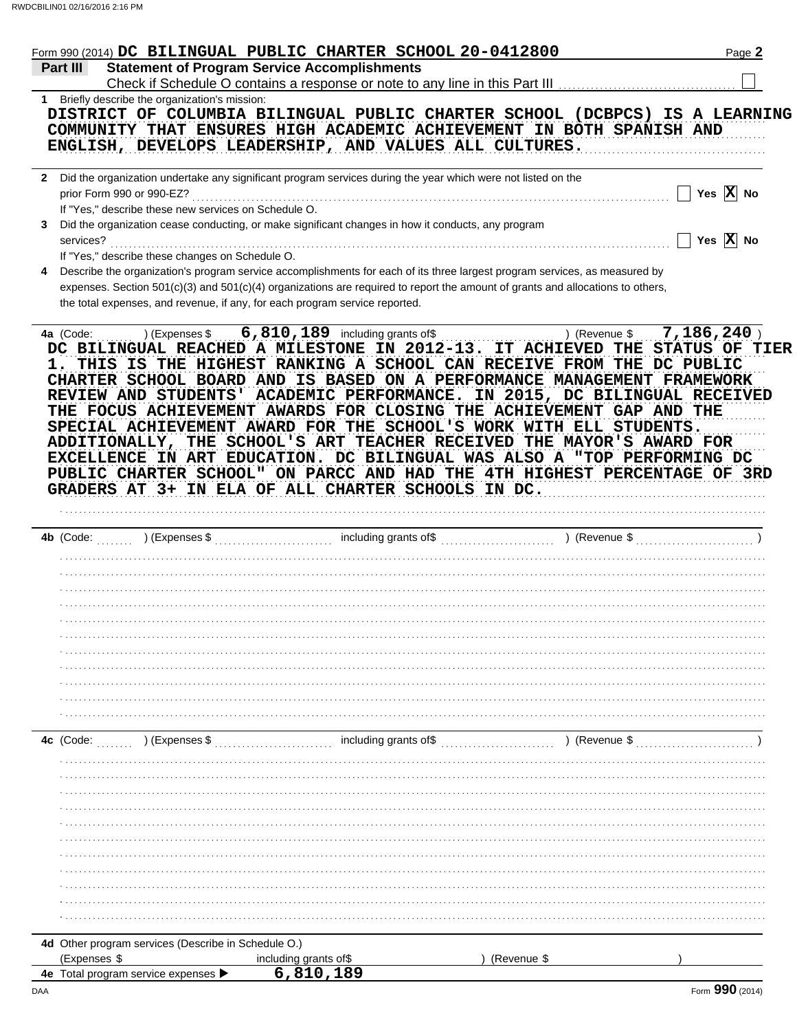|          |                           |                                                      |                       | Form 990 (2014) DC BILINGUAL PUBLIC CHARTER SCHOOL 20-0412800                                                                                                                                                                                                                                                                                             |               | Page 2                |  |
|----------|---------------------------|------------------------------------------------------|-----------------------|-----------------------------------------------------------------------------------------------------------------------------------------------------------------------------------------------------------------------------------------------------------------------------------------------------------------------------------------------------------|---------------|-----------------------|--|
| Part III |                           |                                                      |                       | <b>Statement of Program Service Accomplishments</b><br>Check if Schedule O contains a response or note to any line in this Part III                                                                                                                                                                                                                       |               |                       |  |
|          |                           | 1 Briefly describe the organization's mission:       |                       |                                                                                                                                                                                                                                                                                                                                                           |               |                       |  |
|          |                           |                                                      |                       | DISTRICT OF COLUMBIA BILINGUAL PUBLIC CHARTER SCHOOL (DCBPCS) IS A LEARNING<br>COMMUNITY THAT ENSURES HIGH ACADEMIC ACHIEVEMENT IN BOTH SPANISH AND<br>ENGLISH, DEVELOPS LEADERSHIP, AND VALUES ALL CULTURES.                                                                                                                                             |               |                       |  |
|          |                           |                                                      |                       | 2 Did the organization undertake any significant program services during the year which were not listed on the                                                                                                                                                                                                                                            |               |                       |  |
|          | prior Form 990 or 990-EZ? | If "Yes," describe these new services on Schedule O. |                       |                                                                                                                                                                                                                                                                                                                                                           |               | Yes $X$ No            |  |
| 3        | services?                 |                                                      |                       | Did the organization cease conducting, or make significant changes in how it conducts, any program                                                                                                                                                                                                                                                        |               | Yes $\overline{X}$ No |  |
|          |                           | If "Yes," describe these changes on Schedule O.      |                       |                                                                                                                                                                                                                                                                                                                                                           |               |                       |  |
| 4        |                           |                                                      |                       | Describe the organization's program service accomplishments for each of its three largest program services, as measured by<br>expenses. Section 501(c)(3) and 501(c)(4) organizations are required to report the amount of grants and allocations to others,<br>the total expenses, and revenue, if any, for each program service reported.               |               |                       |  |
|          |                           |                                                      |                       | THE FOCUS ACHIEVEMENT AWARDS FOR CLOSING THE ACHIEVEMENT GAP AND THE                                                                                                                                                                                                                                                                                      |               |                       |  |
|          |                           |                                                      |                       | SPECIAL ACHIEVEMENT AWARD FOR THE SCHOOL'S WORK WITH ELL STUDENTS.<br>ADDITIONALLY, THE SCHOOL'S ART TEACHER RECEIVED THE MAYOR'S AWARD FOR<br>EXCELLENCE IN ART EDUCATION. DC BILINGUAL WAS ALSO A "TOP PERFORMING DC<br>PUBLIC CHARTER SCHOOL" ON PARCC AND HAD THE 4TH HIGHEST PERCENTAGE OF 3RD<br>GRADERS AT 3+ IN ELA OF ALL CHARTER SCHOOLS IN DC. |               |                       |  |
|          |                           |                                                      |                       |                                                                                                                                                                                                                                                                                                                                                           |               |                       |  |
|          | $4b$ (Code:               |                                                      |                       |                                                                                                                                                                                                                                                                                                                                                           |               |                       |  |
|          |                           |                                                      |                       |                                                                                                                                                                                                                                                                                                                                                           |               |                       |  |
|          |                           |                                                      |                       |                                                                                                                                                                                                                                                                                                                                                           |               |                       |  |
|          |                           |                                                      |                       |                                                                                                                                                                                                                                                                                                                                                           |               |                       |  |
|          |                           |                                                      |                       |                                                                                                                                                                                                                                                                                                                                                           |               |                       |  |
|          |                           |                                                      |                       |                                                                                                                                                                                                                                                                                                                                                           |               |                       |  |
|          |                           |                                                      |                       |                                                                                                                                                                                                                                                                                                                                                           |               |                       |  |
|          |                           |                                                      |                       |                                                                                                                                                                                                                                                                                                                                                           |               |                       |  |
|          |                           |                                                      |                       |                                                                                                                                                                                                                                                                                                                                                           |               |                       |  |
|          |                           |                                                      |                       |                                                                                                                                                                                                                                                                                                                                                           |               |                       |  |
|          | 4c (Code:                 | ) (Expenses \$                                       |                       | including grants of\$                                                                                                                                                                                                                                                                                                                                     | ) (Revenue \$ |                       |  |
|          |                           |                                                      |                       |                                                                                                                                                                                                                                                                                                                                                           |               |                       |  |
|          |                           |                                                      |                       |                                                                                                                                                                                                                                                                                                                                                           |               |                       |  |
|          |                           |                                                      |                       |                                                                                                                                                                                                                                                                                                                                                           |               |                       |  |
|          |                           |                                                      |                       |                                                                                                                                                                                                                                                                                                                                                           |               |                       |  |
|          |                           |                                                      |                       |                                                                                                                                                                                                                                                                                                                                                           |               |                       |  |
|          |                           |                                                      |                       |                                                                                                                                                                                                                                                                                                                                                           |               |                       |  |
|          |                           |                                                      |                       |                                                                                                                                                                                                                                                                                                                                                           |               |                       |  |
|          |                           |                                                      |                       |                                                                                                                                                                                                                                                                                                                                                           |               |                       |  |
|          |                           |                                                      |                       |                                                                                                                                                                                                                                                                                                                                                           |               |                       |  |
|          |                           |                                                      |                       |                                                                                                                                                                                                                                                                                                                                                           |               |                       |  |
|          |                           |                                                      |                       |                                                                                                                                                                                                                                                                                                                                                           |               |                       |  |
|          | (Expenses \$              | 4d Other program services (Describe in Schedule O.)  | including grants of\$ |                                                                                                                                                                                                                                                                                                                                                           | (Revenue \$   |                       |  |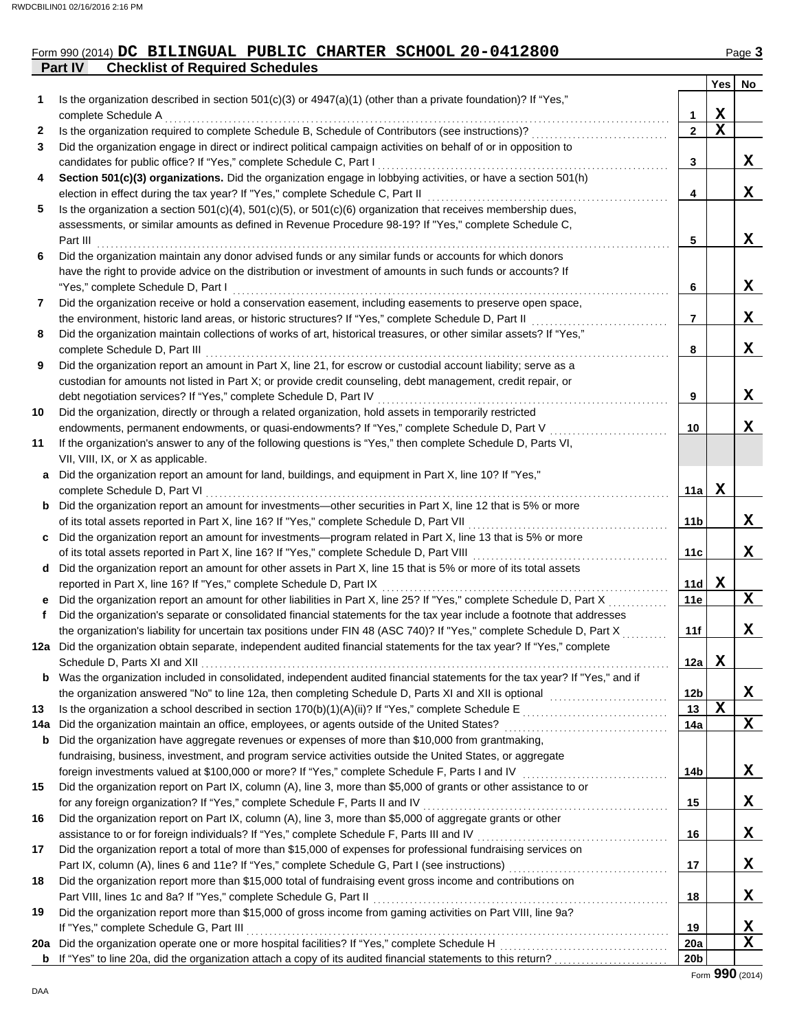# **Part IV Checklist of Required Schedules** Form 990 (2014) DC BILINGUAL PUBLIC CHARTER SCHOOL 20-0412800 Page 3

|    |                                                                                                                                                                                                                                      |                 | Yes         | No. |
|----|--------------------------------------------------------------------------------------------------------------------------------------------------------------------------------------------------------------------------------------|-----------------|-------------|-----|
| 1  | Is the organization described in section 501(c)(3) or 4947(a)(1) (other than a private foundation)? If "Yes,"<br>complete Schedule A                                                                                                 | 1               | X           |     |
| 2  | Is the organization required to complete Schedule B, Schedule of Contributors (see instructions)?                                                                                                                                    | $\mathbf{2}$    | $\mathbf X$ |     |
| 3  | Did the organization engage in direct or indirect political campaign activities on behalf of or in opposition to                                                                                                                     |                 |             |     |
|    | candidates for public office? If "Yes," complete Schedule C, Part I                                                                                                                                                                  | 3               |             | X.  |
| 4  | Section 501(c)(3) organizations. Did the organization engage in lobbying activities, or have a section 501(h)                                                                                                                        |                 |             |     |
|    | election in effect during the tax year? If "Yes," complete Schedule C, Part II                                                                                                                                                       | 4               |             | X.  |
| 5  | Is the organization a section $501(c)(4)$ , $501(c)(5)$ , or $501(c)(6)$ organization that receives membership dues,                                                                                                                 |                 |             |     |
|    | assessments, or similar amounts as defined in Revenue Procedure 98-19? If "Yes," complete Schedule C,                                                                                                                                |                 |             |     |
|    | Part III                                                                                                                                                                                                                             | 5               |             | X.  |
| 6  | Did the organization maintain any donor advised funds or any similar funds or accounts for which donors                                                                                                                              |                 |             |     |
|    | have the right to provide advice on the distribution or investment of amounts in such funds or accounts? If                                                                                                                          |                 |             |     |
|    | "Yes," complete Schedule D, Part I                                                                                                                                                                                                   | 6               |             | X.  |
| 7  | Did the organization receive or hold a conservation easement, including easements to preserve open space,                                                                                                                            |                 |             |     |
|    | the environment, historic land areas, or historic structures? If "Yes," complete Schedule D, Part II                                                                                                                                 | $\overline{7}$  |             | X.  |
| 8  | Did the organization maintain collections of works of art, historical treasures, or other similar assets? If "Yes,"                                                                                                                  |                 |             |     |
|    | complete Schedule D, Part III                                                                                                                                                                                                        | 8               |             | X   |
| 9  | Did the organization report an amount in Part X, line 21, for escrow or custodial account liability; serve as a                                                                                                                      |                 |             |     |
|    | custodian for amounts not listed in Part X; or provide credit counseling, debt management, credit repair, or                                                                                                                         |                 |             |     |
|    | debt negotiation services? If "Yes," complete Schedule D, Part IV                                                                                                                                                                    | 9               |             | x   |
| 10 | Did the organization, directly or through a related organization, hold assets in temporarily restricted                                                                                                                              |                 |             |     |
|    | endowments, permanent endowments, or quasi-endowments? If "Yes," complete Schedule D, Part V                                                                                                                                         | 10              |             | x   |
| 11 | If the organization's answer to any of the following questions is "Yes," then complete Schedule D, Parts VI,                                                                                                                         |                 |             |     |
|    | VII, VIII, IX, or X as applicable.                                                                                                                                                                                                   |                 |             |     |
| a  | Did the organization report an amount for land, buildings, and equipment in Part X, line 10? If "Yes,"                                                                                                                               |                 |             |     |
|    | complete Schedule D, Part VI                                                                                                                                                                                                         | 11a             | X           |     |
|    | <b>b</b> Did the organization report an amount for investments—other securities in Part X, line 12 that is 5% or more                                                                                                                |                 |             |     |
|    | of its total assets reported in Part X, line 16? If "Yes," complete Schedule D, Part VII                                                                                                                                             | 11b             |             | X.  |
| C  | Did the organization report an amount for investments—program related in Part X, line 13 that is 5% or more                                                                                                                          |                 |             |     |
|    | of its total assets reported in Part X, line 16? If "Yes," complete Schedule D, Part VIII                                                                                                                                            | 11c             |             | X   |
|    | d Did the organization report an amount for other assets in Part X, line 15 that is 5% or more of its total assets                                                                                                                   |                 |             |     |
|    | reported in Part X, line 16? If "Yes," complete Schedule D, Part IX                                                                                                                                                                  | 11d             | X           |     |
| e  | Did the organization report an amount for other liabilities in Part X, line 25? If "Yes," complete Schedule D, Part X                                                                                                                | 11e             |             | X   |
| f. | Did the organization's separate or consolidated financial statements for the tax year include a footnote that addresses                                                                                                              |                 |             |     |
|    | the organization's liability for uncertain tax positions under FIN 48 (ASC 740)? If "Yes," complete Schedule D, Part X                                                                                                               | 11f             |             | X   |
|    | 12a Did the organization obtain separate, independent audited financial statements for the tax year? If "Yes," complete                                                                                                              |                 |             |     |
|    | Schedule D. Parts XI and XII                                                                                                                                                                                                         | $12a$ X         |             |     |
|    | b Was the organization included in consolidated, independent audited financial statements for the tax year? If "Yes," and if                                                                                                         |                 |             |     |
|    |                                                                                                                                                                                                                                      | 12b             |             | X   |
| 13 |                                                                                                                                                                                                                                      | 13              | $\mathbf x$ |     |
|    | 14a Did the organization maintain an office, employees, or agents outside of the United States?                                                                                                                                      | 14a             |             | X   |
|    | <b>b</b> Did the organization have aggregate revenues or expenses of more than \$10,000 from grantmaking,                                                                                                                            |                 |             |     |
|    | fundraising, business, investment, and program service activities outside the United States, or aggregate                                                                                                                            |                 |             |     |
| 15 | foreign investments valued at \$100,000 or more? If "Yes," complete Schedule F, Parts I and IV [[[[[[[[[[[[[[[[<br>Did the organization report on Part IX, column (A), line 3, more than \$5,000 of grants or other assistance to or | 14b             |             | X   |
|    | for any foreign organization? If "Yes," complete Schedule F, Parts II and IV [[[[[[[[[[[[[[[[[[[[[[[[[[[[[[[[                                                                                                                        | 15              |             | X.  |
| 16 | Did the organization report on Part IX, column (A), line 3, more than \$5,000 of aggregate grants or other                                                                                                                           |                 |             |     |
|    |                                                                                                                                                                                                                                      | 16              |             | X.  |
| 17 | Did the organization report a total of more than \$15,000 of expenses for professional fundraising services on                                                                                                                       |                 |             |     |
|    |                                                                                                                                                                                                                                      | 17              |             | X.  |
| 18 | Did the organization report more than \$15,000 total of fundraising event gross income and contributions on                                                                                                                          |                 |             |     |
|    |                                                                                                                                                                                                                                      | 18              |             | X.  |
| 19 | Did the organization report more than \$15,000 of gross income from gaming activities on Part VIII, line 9a?                                                                                                                         |                 |             |     |
|    |                                                                                                                                                                                                                                      | 19              |             | X   |
|    |                                                                                                                                                                                                                                      | <b>20a</b>      |             | X   |
|    |                                                                                                                                                                                                                                      | 20 <sub>b</sub> |             |     |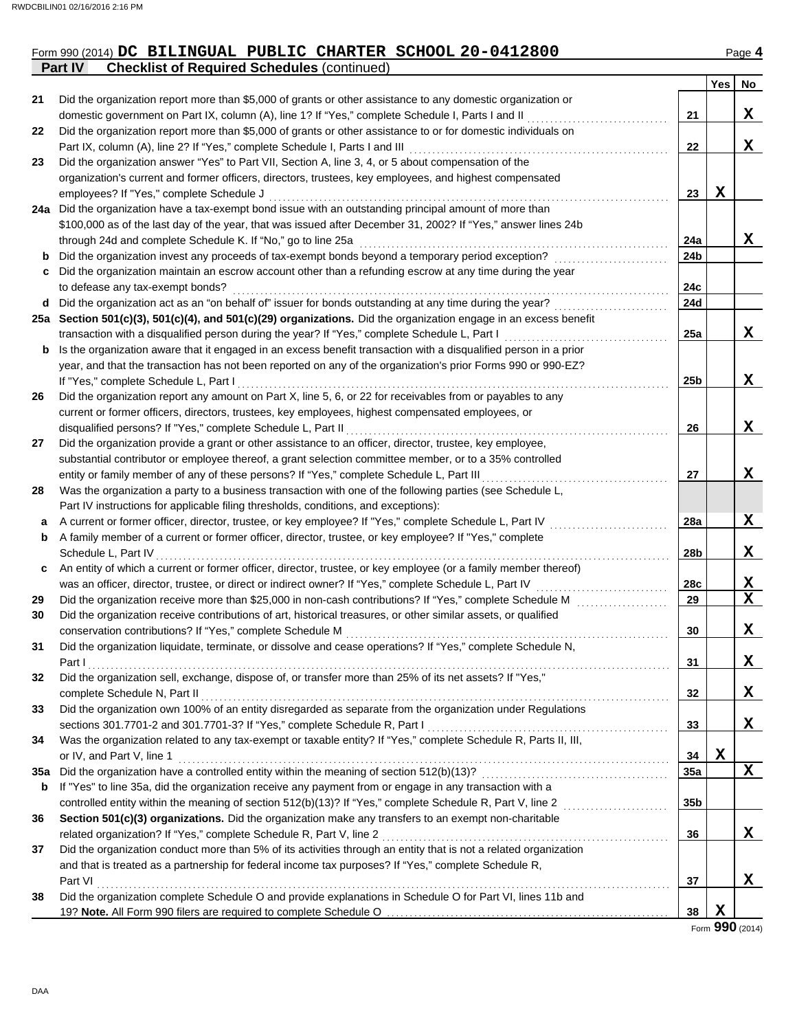#### Form 990 (2014) **DC** BILI**NGUAL PUBLIC CHARTER SCHOOL 20-0412800** Page 4 **DC BILINGUAL PUBLIC CHARTER SCHOOL 20-0412800**

|     | <b>Part IV</b><br><b>Checklist of Required Schedules (continued)</b>                                             |                 |             |             |
|-----|------------------------------------------------------------------------------------------------------------------|-----------------|-------------|-------------|
|     |                                                                                                                  |                 | Yes         | No          |
| 21  | Did the organization report more than \$5,000 of grants or other assistance to any domestic organization or      |                 |             |             |
|     | domestic government on Part IX, column (A), line 1? If "Yes," complete Schedule I, Parts I and II                | 21              |             | X           |
| 22  | Did the organization report more than \$5,000 of grants or other assistance to or for domestic individuals on    |                 |             |             |
|     | Part IX, column (A), line 2? If "Yes," complete Schedule I, Parts I and III                                      | 22              |             | X           |
| 23  | Did the organization answer "Yes" to Part VII, Section A, line 3, 4, or 5 about compensation of the              |                 |             |             |
|     | organization's current and former officers, directors, trustees, key employees, and highest compensated          |                 |             |             |
|     | employees? If "Yes," complete Schedule J                                                                         | 23              | X           |             |
|     | 24a Did the organization have a tax-exempt bond issue with an outstanding principal amount of more than          |                 |             |             |
|     | \$100,000 as of the last day of the year, that was issued after December 31, 2002? If "Yes," answer lines 24b    |                 |             |             |
|     | through 24d and complete Schedule K. If "No," go to line 25a                                                     | 24a             |             | X           |
| b   | Did the organization invest any proceeds of tax-exempt bonds beyond a temporary period exception?                | 24b             |             |             |
| c   | Did the organization maintain an escrow account other than a refunding escrow at any time during the year        |                 |             |             |
|     | to defease any tax-exempt bonds?                                                                                 | 24c             |             |             |
| d   | Did the organization act as an "on behalf of" issuer for bonds outstanding at any time during the year?          | 24d             |             |             |
|     | 25a Section 501(c)(3), 501(c)(4), and 501(c)(29) organizations. Did the organization engage in an excess benefit |                 |             |             |
|     | transaction with a disqualified person during the year? If "Yes," complete Schedule L, Part I                    | 25a             |             | X           |
| b   | Is the organization aware that it engaged in an excess benefit transaction with a disqualified person in a prior |                 |             |             |
|     | year, and that the transaction has not been reported on any of the organization's prior Forms 990 or 990-EZ?     |                 |             |             |
|     | If "Yes," complete Schedule L, Part I                                                                            | 25 <sub>b</sub> |             | X           |
| 26  | Did the organization report any amount on Part X, line 5, 6, or 22 for receivables from or payables to any       |                 |             |             |
|     | current or former officers, directors, trustees, key employees, highest compensated employees, or                |                 |             |             |
|     | disqualified persons? If "Yes," complete Schedule L, Part II                                                     | 26              |             | X           |
| 27  | Did the organization provide a grant or other assistance to an officer, director, trustee, key employee,         |                 |             |             |
|     | substantial contributor or employee thereof, a grant selection committee member, or to a 35% controlled          |                 |             |             |
|     | entity or family member of any of these persons? If "Yes," complete Schedule L, Part III                         | 27              |             | X           |
| 28  | Was the organization a party to a business transaction with one of the following parties (see Schedule L,        |                 |             |             |
|     | Part IV instructions for applicable filing thresholds, conditions, and exceptions):                              |                 |             |             |
| а   | A current or former officer, director, trustee, or key employee? If "Yes," complete Schedule L, Part IV          | 28a             |             | X           |
| b   | A family member of a current or former officer, director, trustee, or key employee? If "Yes," complete           |                 |             |             |
|     | Schedule L, Part IV                                                                                              | 28b             |             | X           |
| c   | An entity of which a current or former officer, director, trustee, or key employee (or a family member thereof)  |                 |             |             |
|     | was an officer, director, trustee, or direct or indirect owner? If "Yes," complete Schedule L, Part IV           | 28c             |             | X           |
| 29  | Did the organization receive more than \$25,000 in non-cash contributions? If "Yes," complete Schedule M         | 29              |             | $\mathbf X$ |
| 30  | Did the organization receive contributions of art, historical treasures, or other similar assets, or qualified   |                 |             |             |
|     | conservation contributions? If "Yes," complete Schedule M                                                        | 30              |             | X           |
| 31  | Did the organization liquidate, terminate, or dissolve and cease operations? If "Yes," complete Schedule N,      |                 |             |             |
|     | Part I                                                                                                           | 31              |             | X           |
| 32  | Did the organization sell, exchange, dispose of, or transfer more than 25% of its net assets? If "Yes,"          |                 |             |             |
|     | complete Schedule N, Part II                                                                                     | 32              |             | X           |
| 33  | Did the organization own 100% of an entity disregarded as separate from the organization under Regulations       |                 |             |             |
|     | sections 301.7701-2 and 301.7701-3? If "Yes," complete Schedule R, Part I                                        | 33              |             | X           |
| 34  | Was the organization related to any tax-exempt or taxable entity? If "Yes," complete Schedule R, Parts II, III,  |                 |             |             |
|     | or IV, and Part V, line 1                                                                                        | 34              | $\mathbf X$ |             |
| 35a | Did the organization have a controlled entity within the meaning of section 512(b)(13)?                          | 35a             |             | $\mathbf x$ |
| b   | If "Yes" to line 35a, did the organization receive any payment from or engage in any transaction with a          |                 |             |             |
|     | controlled entity within the meaning of section 512(b)(13)? If "Yes," complete Schedule R, Part V, line 2        | 35b             |             |             |
| 36  | Section 501(c)(3) organizations. Did the organization make any transfers to an exempt non-charitable             |                 |             |             |
|     | related organization? If "Yes," complete Schedule R, Part V, line 2                                              | 36              |             | X           |
| 37  | Did the organization conduct more than 5% of its activities through an entity that is not a related organization |                 |             |             |
|     | and that is treated as a partnership for federal income tax purposes? If "Yes," complete Schedule R,             |                 |             |             |
|     | Part VI                                                                                                          | 37              |             | X           |
| 38  | Did the organization complete Schedule O and provide explanations in Schedule O for Part VI, lines 11b and       |                 |             |             |
|     |                                                                                                                  | 38              | X           |             |

Form **990** (2014)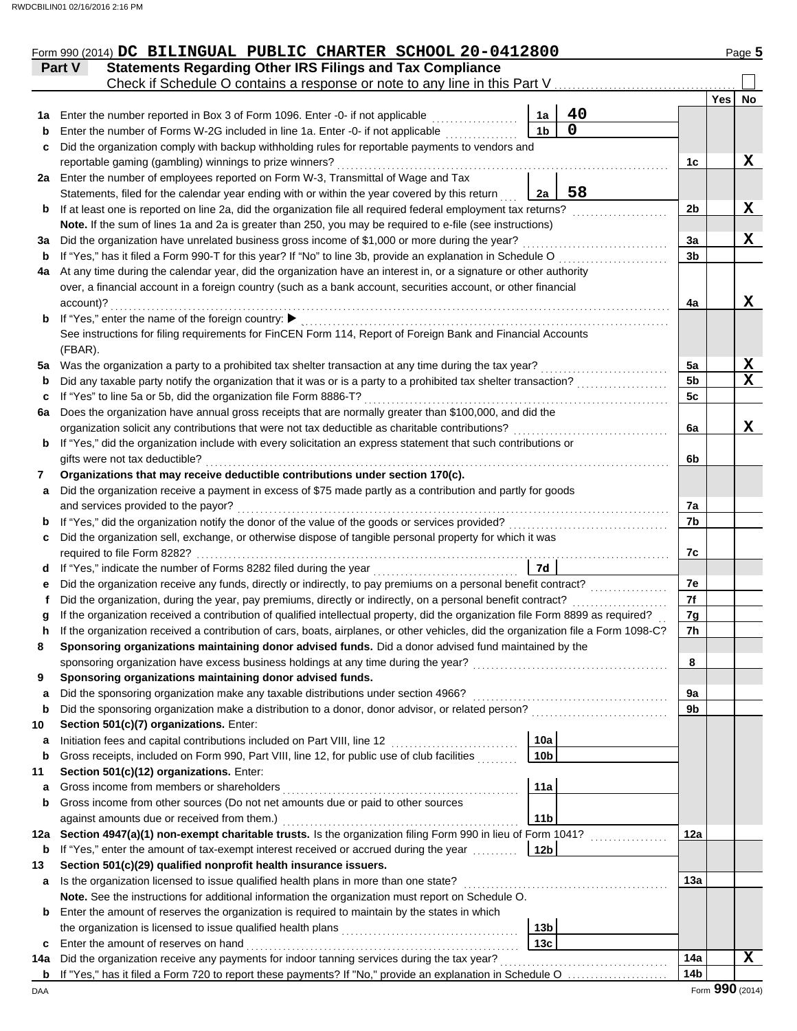|         | Form 990 (2014) DC BILINGUAL PUBLIC CHARTER SCHOOL 20-0412800                                                                                                                           |                      |                   |                 |     | Page 5          |
|---------|-----------------------------------------------------------------------------------------------------------------------------------------------------------------------------------------|----------------------|-------------------|-----------------|-----|-----------------|
|         | <b>Statements Regarding Other IRS Filings and Tax Compliance</b><br>Part V                                                                                                              |                      |                   |                 |     |                 |
|         | Check if Schedule O contains a response or note to any line in this Part V                                                                                                              |                      |                   |                 |     |                 |
|         |                                                                                                                                                                                         |                      |                   |                 | Yes | No              |
| 1a      | Enter the number reported in Box 3 of Form 1096. Enter -0- if not applicable                                                                                                            | 1a<br>1 <sub>b</sub> | 40<br>$\mathbf 0$ |                 |     |                 |
| b       | Enter the number of Forms W-2G included in line 1a. Enter -0- if not applicable                                                                                                         |                      |                   |                 |     |                 |
| c       | Did the organization comply with backup withholding rules for reportable payments to vendors and                                                                                        |                      |                   |                 |     | X               |
|         | reportable gaming (gambling) winnings to prize winners?<br>2a Enter the number of employees reported on Form W-3, Transmittal of Wage and Tax                                           |                      |                   | 1c              |     |                 |
|         | Statements, filed for the calendar year ending with or within the year covered by this return                                                                                           | 2a                   | 58                |                 |     |                 |
| b       | If at least one is reported on line 2a, did the organization file all required federal employment tax returns?                                                                          |                      |                   | 2b              |     | X               |
|         | Note. If the sum of lines 1a and 2a is greater than 250, you may be required to e-file (see instructions)                                                                               |                      |                   |                 |     |                 |
| За      | Did the organization have unrelated business gross income of \$1,000 or more during the year?                                                                                           |                      |                   | 3a              |     | X               |
| b       | If "Yes," has it filed a Form 990-T for this year? If "No" to line 3b, provide an explanation in Schedule O                                                                             |                      |                   | 3 <sub>b</sub>  |     |                 |
| 4a      | At any time during the calendar year, did the organization have an interest in, or a signature or other authority                                                                       |                      |                   |                 |     |                 |
|         | over, a financial account in a foreign country (such as a bank account, securities account, or other financial                                                                          |                      |                   |                 |     |                 |
|         | account)?                                                                                                                                                                               |                      |                   | 4a              |     | X               |
| b       | If "Yes," enter the name of the foreign country: ▶                                                                                                                                      |                      |                   |                 |     |                 |
|         | See instructions for filing requirements for FinCEN Form 114, Report of Foreign Bank and Financial Accounts                                                                             |                      |                   |                 |     |                 |
|         | (FBAR).                                                                                                                                                                                 |                      |                   |                 |     |                 |
| 5a      | Was the organization a party to a prohibited tax shelter transaction at any time during the tax year?                                                                                   |                      |                   | 5a              |     | X               |
| b       | Did any taxable party notify the organization that it was or is a party to a prohibited tax shelter transaction?                                                                        |                      |                   | 5 <sub>b</sub>  |     | $\mathbf x$     |
| c       | If "Yes" to line 5a or 5b, did the organization file Form 8886-T?                                                                                                                       |                      |                   | 5c              |     |                 |
| 6a      | Does the organization have annual gross receipts that are normally greater than \$100,000, and did the                                                                                  |                      |                   |                 |     |                 |
|         | organization solicit any contributions that were not tax deductible as charitable contributions?                                                                                        |                      |                   | 6a              |     | X               |
| b       | If "Yes," did the organization include with every solicitation an express statement that such contributions or                                                                          |                      |                   |                 |     |                 |
|         | gifts were not tax deductible?                                                                                                                                                          |                      |                   | 6b              |     |                 |
| 7       | Organizations that may receive deductible contributions under section 170(c).                                                                                                           |                      |                   |                 |     |                 |
| a       | Did the organization receive a payment in excess of \$75 made partly as a contribution and partly for goods                                                                             |                      |                   |                 |     |                 |
|         | and services provided to the payor?                                                                                                                                                     |                      |                   | 7a              |     |                 |
| b       | If "Yes," did the organization notify the donor of the value of the goods or services provided?                                                                                         |                      |                   | 7b              |     |                 |
| c       | Did the organization sell, exchange, or otherwise dispose of tangible personal property for which it was                                                                                |                      |                   |                 |     |                 |
|         | required to file Form 8282?                                                                                                                                                             |                      |                   | 7c              |     |                 |
| d       | If "Yes," indicate the number of Forms 8282 filed during the year<br>.                                                                                                                  | 7d                   |                   |                 |     |                 |
| е       | Did the organization receive any funds, directly or indirectly, to pay premiums on a personal benefit contract?                                                                         |                      |                   | 7e              |     |                 |
|         | Did the organization, during the year, pay premiums, directly or indirectly, on a personal benefit contract?                                                                            |                      |                   | 7f              |     |                 |
|         | If the organization received a contribution of qualified intellectual property, did the organization file Form 8899 as required?                                                        |                      |                   | 7g              |     |                 |
|         | If the organization received a contribution of cars, boats, airplanes, or other vehicles, did the organization file a Form 1098-C?                                                      |                      |                   | 7 <sub>h</sub>  |     |                 |
| 8       | Sponsoring organizations maintaining donor advised funds. Did a donor advised fund maintained by the                                                                                    |                      |                   |                 |     |                 |
|         | sponsoring organization have excess business holdings at any time during the year?                                                                                                      |                      |                   | 8               |     |                 |
| 9       | Sponsoring organizations maintaining donor advised funds.                                                                                                                               |                      |                   |                 |     |                 |
| a       | Did the sponsoring organization make any taxable distributions under section 4966?<br>Did the sponsoring organization make a distribution to a donor, donor advisor, or related person? |                      |                   | 9а<br>9b        |     |                 |
| b       |                                                                                                                                                                                         |                      |                   |                 |     |                 |
| 10<br>а | Section 501(c)(7) organizations. Enter:<br>Initiation fees and capital contributions included on Part VIII, line 12                                                                     | 10a                  |                   |                 |     |                 |
| b       | Gross receipts, included on Form 990, Part VIII, line 12, for public use of club facilities                                                                                             | 10 <sub>b</sub>      |                   |                 |     |                 |
| 11      | Section 501(c)(12) organizations. Enter:                                                                                                                                                |                      |                   |                 |     |                 |
| а       | Gross income from members or shareholders                                                                                                                                               | 11a                  |                   |                 |     |                 |
| b       | Gross income from other sources (Do not net amounts due or paid to other sources                                                                                                        |                      |                   |                 |     |                 |
|         | against amounts due or received from them.)                                                                                                                                             | 11 <sub>b</sub>      |                   |                 |     |                 |
| 12a     | Section 4947(a)(1) non-exempt charitable trusts. Is the organization filing Form 990 in lieu of Form 1041?                                                                              |                      |                   | 12a             |     |                 |
| b       | If "Yes," enter the amount of tax-exempt interest received or accrued during the year                                                                                                   | 12 <sub>b</sub>      |                   |                 |     |                 |
| 13      | Section 501(c)(29) qualified nonprofit health insurance issuers.                                                                                                                        |                      |                   |                 |     |                 |
| a       | Is the organization licensed to issue qualified health plans in more than one state?                                                                                                    |                      |                   | 13a             |     |                 |
|         | Note. See the instructions for additional information the organization must report on Schedule O.                                                                                       |                      |                   |                 |     |                 |
| b       | Enter the amount of reserves the organization is required to maintain by the states in which                                                                                            |                      |                   |                 |     |                 |
|         | the organization is licensed to issue qualified health plans                                                                                                                            | 13 <sub>b</sub>      |                   |                 |     |                 |
| c       | Enter the amount of reserves on hand                                                                                                                                                    | 13c                  |                   |                 |     |                 |
| 14a     | Did the organization receive any payments for indoor tanning services during the tax year?                                                                                              |                      |                   | 14a             |     | $\mathbf x$     |
| b       | If "Yes," has it filed a Form 720 to report these payments? If "No," provide an explanation in Schedule O                                                                               |                      |                   | 14 <sub>b</sub> |     |                 |
| DAA     |                                                                                                                                                                                         |                      |                   |                 |     | Form 990 (2014) |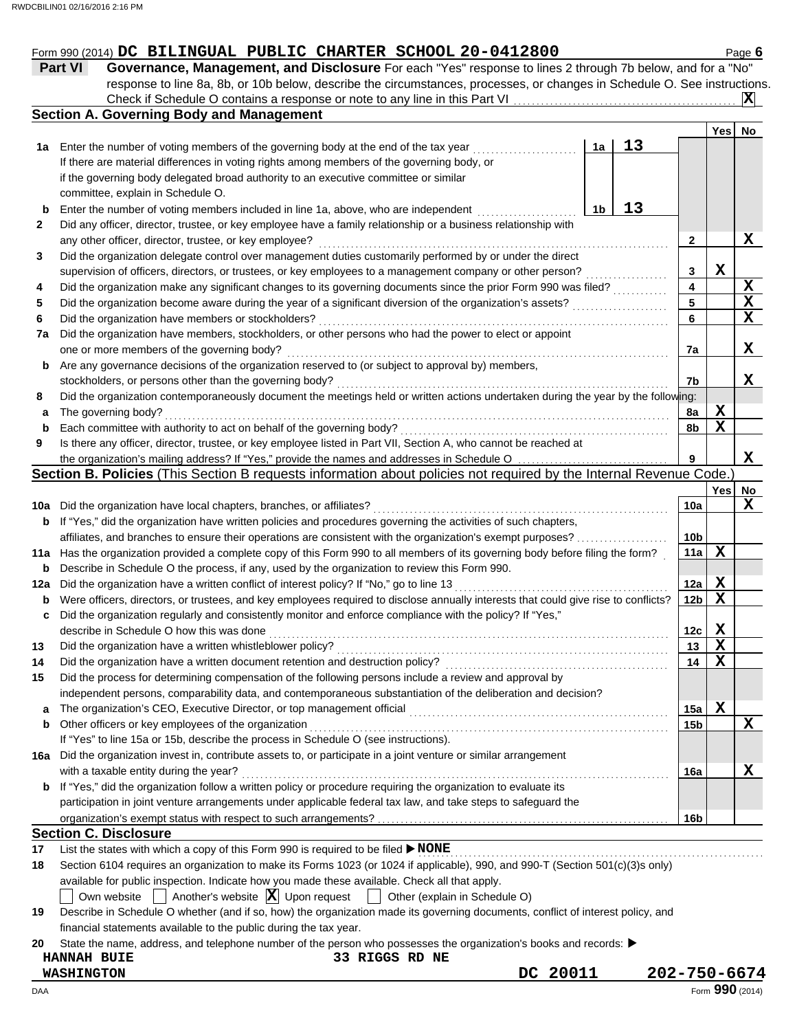| <b>Part VI</b><br>1a<br>b<br>2<br>3<br>4<br>5<br>6<br>7a<br>b<br>8<br>а<br>b<br>9<br>b | Governance, Management, and Disclosure For each "Yes" response to lines 2 through 7b below, and for a "No"<br>response to line 8a, 8b, or 10b below, describe the circumstances, processes, or changes in Schedule O. See instructions.<br><b>Section A. Governing Body and Management</b><br>Enter the number of voting members of the governing body at the end of the tax year<br>If there are material differences in voting rights among members of the governing body, or<br>if the governing body delegated broad authority to an executive committee or similar<br>committee, explain in Schedule O.<br>Enter the number of voting members included in line 1a, above, who are independent<br>Did any officer, director, trustee, or key employee have a family relationship or a business relationship with<br>any other officer, director, trustee, or key employee?<br>Did the organization delegate control over management duties customarily performed by or under the direct<br>supervision of officers, directors, or trustees, or key employees to a management company or other person?<br>Did the organization make any significant changes to its governing documents since the prior Form 990 was filed?<br>Did the organization become aware during the year of a significant diversion of the organization's assets?<br>Did the organization have members or stockholders? | 1a<br>1b | 13<br>13 | $\mathbf{2}$<br>3<br>4<br>5 | <b>Yes</b><br>X | $ {\bf X} $<br>No<br>X  |
|----------------------------------------------------------------------------------------|---------------------------------------------------------------------------------------------------------------------------------------------------------------------------------------------------------------------------------------------------------------------------------------------------------------------------------------------------------------------------------------------------------------------------------------------------------------------------------------------------------------------------------------------------------------------------------------------------------------------------------------------------------------------------------------------------------------------------------------------------------------------------------------------------------------------------------------------------------------------------------------------------------------------------------------------------------------------------------------------------------------------------------------------------------------------------------------------------------------------------------------------------------------------------------------------------------------------------------------------------------------------------------------------------------------------------------------------------------------------------------------------------|----------|----------|-----------------------------|-----------------|-------------------------|
|                                                                                        |                                                                                                                                                                                                                                                                                                                                                                                                                                                                                                                                                                                                                                                                                                                                                                                                                                                                                                                                                                                                                                                                                                                                                                                                                                                                                                                                                                                                   |          |          |                             |                 |                         |
|                                                                                        |                                                                                                                                                                                                                                                                                                                                                                                                                                                                                                                                                                                                                                                                                                                                                                                                                                                                                                                                                                                                                                                                                                                                                                                                                                                                                                                                                                                                   |          |          |                             |                 |                         |
|                                                                                        |                                                                                                                                                                                                                                                                                                                                                                                                                                                                                                                                                                                                                                                                                                                                                                                                                                                                                                                                                                                                                                                                                                                                                                                                                                                                                                                                                                                                   |          |          |                             |                 |                         |
|                                                                                        |                                                                                                                                                                                                                                                                                                                                                                                                                                                                                                                                                                                                                                                                                                                                                                                                                                                                                                                                                                                                                                                                                                                                                                                                                                                                                                                                                                                                   |          |          |                             |                 |                         |
|                                                                                        |                                                                                                                                                                                                                                                                                                                                                                                                                                                                                                                                                                                                                                                                                                                                                                                                                                                                                                                                                                                                                                                                                                                                                                                                                                                                                                                                                                                                   |          |          |                             |                 |                         |
|                                                                                        |                                                                                                                                                                                                                                                                                                                                                                                                                                                                                                                                                                                                                                                                                                                                                                                                                                                                                                                                                                                                                                                                                                                                                                                                                                                                                                                                                                                                   |          |          |                             |                 |                         |
|                                                                                        |                                                                                                                                                                                                                                                                                                                                                                                                                                                                                                                                                                                                                                                                                                                                                                                                                                                                                                                                                                                                                                                                                                                                                                                                                                                                                                                                                                                                   |          |          |                             |                 |                         |
|                                                                                        |                                                                                                                                                                                                                                                                                                                                                                                                                                                                                                                                                                                                                                                                                                                                                                                                                                                                                                                                                                                                                                                                                                                                                                                                                                                                                                                                                                                                   |          |          |                             |                 |                         |
|                                                                                        |                                                                                                                                                                                                                                                                                                                                                                                                                                                                                                                                                                                                                                                                                                                                                                                                                                                                                                                                                                                                                                                                                                                                                                                                                                                                                                                                                                                                   |          |          |                             |                 |                         |
|                                                                                        |                                                                                                                                                                                                                                                                                                                                                                                                                                                                                                                                                                                                                                                                                                                                                                                                                                                                                                                                                                                                                                                                                                                                                                                                                                                                                                                                                                                                   |          |          |                             |                 |                         |
|                                                                                        |                                                                                                                                                                                                                                                                                                                                                                                                                                                                                                                                                                                                                                                                                                                                                                                                                                                                                                                                                                                                                                                                                                                                                                                                                                                                                                                                                                                                   |          |          |                             |                 |                         |
|                                                                                        |                                                                                                                                                                                                                                                                                                                                                                                                                                                                                                                                                                                                                                                                                                                                                                                                                                                                                                                                                                                                                                                                                                                                                                                                                                                                                                                                                                                                   |          |          |                             |                 |                         |
|                                                                                        |                                                                                                                                                                                                                                                                                                                                                                                                                                                                                                                                                                                                                                                                                                                                                                                                                                                                                                                                                                                                                                                                                                                                                                                                                                                                                                                                                                                                   |          |          |                             |                 |                         |
|                                                                                        |                                                                                                                                                                                                                                                                                                                                                                                                                                                                                                                                                                                                                                                                                                                                                                                                                                                                                                                                                                                                                                                                                                                                                                                                                                                                                                                                                                                                   |          |          |                             |                 |                         |
|                                                                                        |                                                                                                                                                                                                                                                                                                                                                                                                                                                                                                                                                                                                                                                                                                                                                                                                                                                                                                                                                                                                                                                                                                                                                                                                                                                                                                                                                                                                   |          |          |                             |                 | $\frac{X}{X}$           |
|                                                                                        |                                                                                                                                                                                                                                                                                                                                                                                                                                                                                                                                                                                                                                                                                                                                                                                                                                                                                                                                                                                                                                                                                                                                                                                                                                                                                                                                                                                                   |          |          | 6                           |                 | $\overline{\mathbf{x}}$ |
|                                                                                        | Did the organization have members, stockholders, or other persons who had the power to elect or appoint                                                                                                                                                                                                                                                                                                                                                                                                                                                                                                                                                                                                                                                                                                                                                                                                                                                                                                                                                                                                                                                                                                                                                                                                                                                                                           |          |          |                             |                 |                         |
|                                                                                        | one or more members of the governing body?                                                                                                                                                                                                                                                                                                                                                                                                                                                                                                                                                                                                                                                                                                                                                                                                                                                                                                                                                                                                                                                                                                                                                                                                                                                                                                                                                        |          |          | 7a                          |                 | X                       |
|                                                                                        | Are any governance decisions of the organization reserved to (or subject to approval by) members,                                                                                                                                                                                                                                                                                                                                                                                                                                                                                                                                                                                                                                                                                                                                                                                                                                                                                                                                                                                                                                                                                                                                                                                                                                                                                                 |          |          |                             |                 |                         |
|                                                                                        | stockholders, or persons other than the governing body?                                                                                                                                                                                                                                                                                                                                                                                                                                                                                                                                                                                                                                                                                                                                                                                                                                                                                                                                                                                                                                                                                                                                                                                                                                                                                                                                           |          |          | 7b                          |                 | x                       |
|                                                                                        | Did the organization contemporaneously document the meetings held or written actions undertaken during the year by the following:                                                                                                                                                                                                                                                                                                                                                                                                                                                                                                                                                                                                                                                                                                                                                                                                                                                                                                                                                                                                                                                                                                                                                                                                                                                                 |          |          |                             |                 |                         |
|                                                                                        | The governing body?                                                                                                                                                                                                                                                                                                                                                                                                                                                                                                                                                                                                                                                                                                                                                                                                                                                                                                                                                                                                                                                                                                                                                                                                                                                                                                                                                                               |          |          | 8a                          | X               |                         |
|                                                                                        | Each committee with authority to act on behalf of the governing body?                                                                                                                                                                                                                                                                                                                                                                                                                                                                                                                                                                                                                                                                                                                                                                                                                                                                                                                                                                                                                                                                                                                                                                                                                                                                                                                             |          |          | 8b                          | X               |                         |
|                                                                                        | Is there any officer, director, trustee, or key employee listed in Part VII, Section A, who cannot be reached at                                                                                                                                                                                                                                                                                                                                                                                                                                                                                                                                                                                                                                                                                                                                                                                                                                                                                                                                                                                                                                                                                                                                                                                                                                                                                  |          |          |                             |                 |                         |
|                                                                                        |                                                                                                                                                                                                                                                                                                                                                                                                                                                                                                                                                                                                                                                                                                                                                                                                                                                                                                                                                                                                                                                                                                                                                                                                                                                                                                                                                                                                   |          |          | 9                           |                 | X                       |
|                                                                                        | Section B. Policies (This Section B requests information about policies not required by the Internal Revenue Code.)                                                                                                                                                                                                                                                                                                                                                                                                                                                                                                                                                                                                                                                                                                                                                                                                                                                                                                                                                                                                                                                                                                                                                                                                                                                                               |          |          |                             |                 |                         |
|                                                                                        |                                                                                                                                                                                                                                                                                                                                                                                                                                                                                                                                                                                                                                                                                                                                                                                                                                                                                                                                                                                                                                                                                                                                                                                                                                                                                                                                                                                                   |          |          |                             | Yes             | No                      |
|                                                                                        | 10a Did the organization have local chapters, branches, or affiliates?                                                                                                                                                                                                                                                                                                                                                                                                                                                                                                                                                                                                                                                                                                                                                                                                                                                                                                                                                                                                                                                                                                                                                                                                                                                                                                                            |          |          | 10a                         |                 | X                       |
|                                                                                        | If "Yes," did the organization have written policies and procedures governing the activities of such chapters,                                                                                                                                                                                                                                                                                                                                                                                                                                                                                                                                                                                                                                                                                                                                                                                                                                                                                                                                                                                                                                                                                                                                                                                                                                                                                    |          |          |                             |                 |                         |
|                                                                                        | affiliates, and branches to ensure their operations are consistent with the organization's exempt purposes?                                                                                                                                                                                                                                                                                                                                                                                                                                                                                                                                                                                                                                                                                                                                                                                                                                                                                                                                                                                                                                                                                                                                                                                                                                                                                       |          |          | 10b                         |                 |                         |
|                                                                                        | 11a Has the organization provided a complete copy of this Form 990 to all members of its governing body before filing the form?                                                                                                                                                                                                                                                                                                                                                                                                                                                                                                                                                                                                                                                                                                                                                                                                                                                                                                                                                                                                                                                                                                                                                                                                                                                                   |          |          | 11a                         | X               |                         |
|                                                                                        | <b>b</b> Describe in Schedule O the process, if any, used by the organization to review this Form 990.                                                                                                                                                                                                                                                                                                                                                                                                                                                                                                                                                                                                                                                                                                                                                                                                                                                                                                                                                                                                                                                                                                                                                                                                                                                                                            |          |          |                             |                 |                         |
| 12a                                                                                    | Did the organization have a written conflict of interest policy? If "No," go to line 13                                                                                                                                                                                                                                                                                                                                                                                                                                                                                                                                                                                                                                                                                                                                                                                                                                                                                                                                                                                                                                                                                                                                                                                                                                                                                                           |          |          | 12a                         | Х               |                         |
| b                                                                                      |                                                                                                                                                                                                                                                                                                                                                                                                                                                                                                                                                                                                                                                                                                                                                                                                                                                                                                                                                                                                                                                                                                                                                                                                                                                                                                                                                                                                   |          |          | 12 <sub>b</sub>             | X               |                         |
| c                                                                                      | Were officers, directors, or trustees, and key employees required to disclose annually interests that could give rise to conflicts?                                                                                                                                                                                                                                                                                                                                                                                                                                                                                                                                                                                                                                                                                                                                                                                                                                                                                                                                                                                                                                                                                                                                                                                                                                                               |          |          |                             |                 |                         |
|                                                                                        | Did the organization regularly and consistently monitor and enforce compliance with the policy? If "Yes,"                                                                                                                                                                                                                                                                                                                                                                                                                                                                                                                                                                                                                                                                                                                                                                                                                                                                                                                                                                                                                                                                                                                                                                                                                                                                                         |          |          |                             | Х               |                         |
| 13                                                                                     | describe in Schedule O how this was done <i>compared to the contract of the secribe</i> in Schedule O how this was done                                                                                                                                                                                                                                                                                                                                                                                                                                                                                                                                                                                                                                                                                                                                                                                                                                                                                                                                                                                                                                                                                                                                                                                                                                                                           |          |          | 12c                         |                 |                         |

| organization's exempt status with respect to such arrangements? |  |  |
|-----------------------------------------------------------------|--|--|
| <b>Section C. Disclosure</b>                                    |  |  |

17 List the states with which a copy of this Form 990 is required to be filed ▶ NONE **WORD ADDIE** 

If "Yes" to line 15a or 15b, describe the process in Schedule O (see instructions).

| 18 | Section 6104 requires an organization to make its Forms 1023 (or 1024 if applicable), 990, and 990-T (Section 501(c)(3)s only)  |  |  |  |  |  |  |  |  |  |
|----|---------------------------------------------------------------------------------------------------------------------------------|--|--|--|--|--|--|--|--|--|
|    | available for public inspection. Indicate how you made these available. Check all that apply.                                   |  |  |  |  |  |  |  |  |  |
|    | $\Box$ Own website $\Box$ Another's website $\Box$ Upon request $\Box$ Other (explain in Schedule O)                            |  |  |  |  |  |  |  |  |  |
| 19 | Describe in Schedule O whether (and if so, how) the organization made its governing documents, conflict of interest policy, and |  |  |  |  |  |  |  |  |  |
|    | financial statements available to the public during the tax year.                                                               |  |  |  |  |  |  |  |  |  |

**14** Did the organization have a written document retention and destruction policy? . . . . . . . . . . . . . . . . . . . . . . . . . . . . . . . . . . . . . . . . . . . . . . . . .

**a** The organization's CEO, Executive Director, or top management official . . . . . . . . . . . . . . . . . . . . . . . . . . . . . . . . . . . . . . . . . . . . . . . . . . . . . . . . .

with a taxable entity during the year? . . . . . . . . . . . . . . . . . . . . . . . . . . . . . . . . . . . . . . . . . . . . . . . . . . . . . . . . . . . . . . . . . . . . . . . . . . . . . . . . . . . . . . . . . . . . . .

Other officers or key employees of the organization . . . . . . . . . . . . . . . . . . . . . . . . . . . . . . . . . . . . . . . . . . . . . . . . . . . . . . . . . . . . . . . . . . . . . . . . . . . . . . .

**20** State the name, address, and telephone number of the person who possesses the organization's books and records: ▶

| <b>HANNAH BUIE</b> |  |  |  |  | 33 RIGGS RD NE |  |
|--------------------|--|--|--|--|----------------|--|

**16a** Did the organization invest in, contribute assets to, or participate in a joint venture or similar arrangement

Did the process for determining compensation of the following persons include a review and approval by independent persons, comparability data, and contemporaneous substantiation of the deliberation and decision?

**b** If "Yes," did the organization follow a written policy or procedure requiring the organization to evaluate its

participation in joint venture arrangements under applicable federal tax law, and take steps to safeguard the

**14**

**X**

**X**

**X**

**X**

**15a 15b**

**16a**

**16b**

**15**

**b**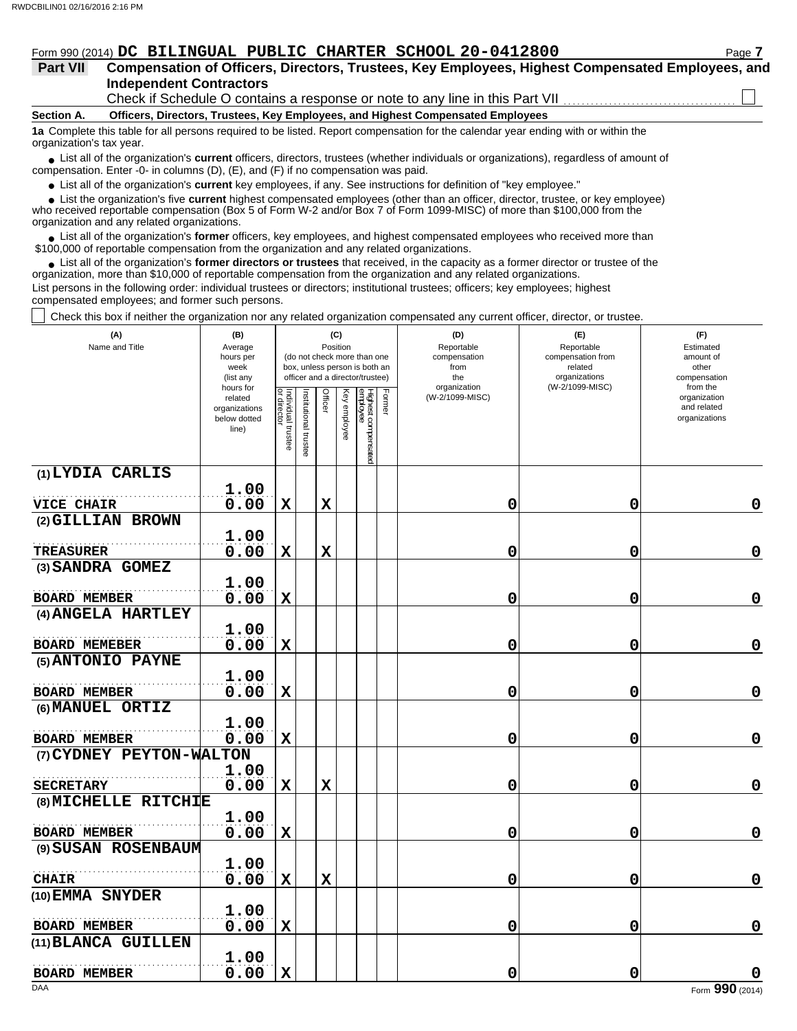# Form 990 (2014) DC BILINGUAL PUBLIC CHARTER SCHOOL 20-0412800 Page 7

| <b>Part VII</b> | Compensation of Officers, Directors, Trustees, Key Employees, Highest Compensated Employees, and |  |  |
|-----------------|--------------------------------------------------------------------------------------------------|--|--|
|                 | <b>Independent Contractors</b>                                                                   |  |  |

Check if Schedule O contains a response or note to any line in this Part VII

**Section A. Officers, Directors, Trustees, Key Employees, and Highest Compensated Employees**

**1a** Complete this table for all persons required to be listed. Report compensation for the calendar year ending with or within the organization's tax year.

■ List all of the organization's **current** officers, directors, trustees (whether individuals or organizations), regardless of amount of compensation. Enter -0- in columns (D), (E), and (F) if no compensation was paid.

● List all of the organization's **current** key employees, if any. See instructions for definition of "key employee."

 $\bullet$  List the organization's five **current** highest compensated employees (other than an officer, director, trustee, or key employee)<br>a received reportable compensation (Box 5 of Form  $M-2$  and/or Box 7 of Form 1000-MISC)

who received reportable compensation (Box 5 of Form W-2 and/or Box 7 of Form 1099-MISC) of more than \$100,000 from the organization and any related organizations.

● List all of the organization's **former** officers, key employees, and highest compensated employees who received more than<br>00,000 of reportable compensation from the erganization and any related erganizations. \$100,000 of reportable compensation from the organization and any related organizations.

• List all of the organization's **former directors or trustees** that received, in the capacity as a former director or trustee of the organization, more than \$10,000 of reportable compensation from the organization and any related organizations. List persons in the following order: individual trustees or directors; institutional trustees; officers; key employees; highest

compensated employees; and former such persons.

Check this box if neither the organization nor any related organization compensated any current officer, director, or trustee.

| (A)<br>Name and Title            | (B)<br>Average<br>hours per<br>week<br>(list any               |                                   |                       |             | (C)<br>Position | (do not check more than one<br>box, unless person is both an<br>officer and a director/trustee) |        | (D)<br>Reportable<br>compensation<br>from<br>the | (E)<br>Reportable<br>compensation from<br>related<br>organizations | (F)<br>Estimated<br>amount of<br>other<br>compensation   |
|----------------------------------|----------------------------------------------------------------|-----------------------------------|-----------------------|-------------|-----------------|-------------------------------------------------------------------------------------------------|--------|--------------------------------------------------|--------------------------------------------------------------------|----------------------------------------------------------|
|                                  | hours for<br>related<br>organizations<br>below dotted<br>line) | Individual trustee<br>or director | Institutional trustee | Officer     | Key employee    | Highest compensated<br>employee                                                                 | Former | organization<br>(W-2/1099-MISC)                  | (W-2/1099-MISC)                                                    | from the<br>organization<br>and related<br>organizations |
| (1) LYDIA CARLIS                 | 1.00                                                           |                                   |                       |             |                 |                                                                                                 |        |                                                  |                                                                    |                                                          |
| <b>VICE CHAIR</b>                | 0.00                                                           | X                                 |                       | $\mathbf X$ |                 |                                                                                                 |        | 0                                                | 0                                                                  | 0                                                        |
| (2) GILLIAN BROWN                |                                                                |                                   |                       |             |                 |                                                                                                 |        |                                                  |                                                                    |                                                          |
|                                  | 1.00                                                           |                                   |                       |             |                 |                                                                                                 |        |                                                  |                                                                    |                                                          |
| <b>TREASURER</b>                 | 0.00                                                           | $\mathbf x$                       |                       | $\mathbf x$ |                 |                                                                                                 |        | 0                                                | 0                                                                  | $\mathbf 0$                                              |
| (3) SANDRA GOMEZ                 |                                                                |                                   |                       |             |                 |                                                                                                 |        |                                                  |                                                                    |                                                          |
|                                  | 1.00                                                           |                                   |                       |             |                 |                                                                                                 |        |                                                  |                                                                    |                                                          |
| <b>BOARD MEMBER</b>              | 0.00                                                           | $\mathbf X$                       |                       |             |                 |                                                                                                 |        | 0                                                | 0                                                                  | 0                                                        |
| (4) ANGELA HARTLEY               | 1.00                                                           |                                   |                       |             |                 |                                                                                                 |        |                                                  |                                                                    |                                                          |
| <b>BOARD MEMEBER</b>             | 0.00                                                           | $\mathbf X$                       |                       |             |                 |                                                                                                 |        | 0                                                | 0                                                                  | $\mathbf 0$                                              |
| (5) ANTONIO PAYNE                |                                                                |                                   |                       |             |                 |                                                                                                 |        |                                                  |                                                                    |                                                          |
|                                  | 1.00                                                           |                                   |                       |             |                 |                                                                                                 |        |                                                  |                                                                    |                                                          |
| <b>BOARD MEMBER</b>              | 0.00                                                           | $\mathbf X$                       |                       |             |                 |                                                                                                 |        | 0                                                | 0                                                                  | $\mathbf 0$                                              |
| (6) MANUEL ORTIZ                 |                                                                |                                   |                       |             |                 |                                                                                                 |        |                                                  |                                                                    |                                                          |
|                                  | 1.00                                                           |                                   |                       |             |                 |                                                                                                 |        |                                                  |                                                                    |                                                          |
| <b>BOARD MEMBER</b>              | 0.00                                                           | $\mathbf x$                       |                       |             |                 |                                                                                                 |        | 0                                                | 0                                                                  | $\mathbf 0$                                              |
| (7) CYDNEY PEYTON-WALTON         |                                                                |                                   |                       |             |                 |                                                                                                 |        |                                                  |                                                                    |                                                          |
|                                  | 1.00                                                           |                                   |                       |             |                 |                                                                                                 |        |                                                  |                                                                    |                                                          |
| <b>SECRETARY</b>                 | 0.00                                                           | $\mathbf X$                       |                       | $\mathbf x$ |                 |                                                                                                 |        | 0                                                | 0                                                                  | 0                                                        |
| (8) MICHELLE RITCHIE             |                                                                |                                   |                       |             |                 |                                                                                                 |        |                                                  |                                                                    |                                                          |
|                                  | 1.00                                                           |                                   |                       |             |                 |                                                                                                 |        |                                                  |                                                                    |                                                          |
| <b>BOARD MEMBER</b>              | 0.00                                                           | $\mathbf X$                       |                       |             |                 |                                                                                                 |        | 0                                                | 0                                                                  | $\mathbf 0$                                              |
| (9) SUSAN ROSENBAUM              |                                                                |                                   |                       |             |                 |                                                                                                 |        |                                                  |                                                                    |                                                          |
|                                  | 1.00<br>0.00                                                   | X                                 |                       | $\mathbf x$ |                 |                                                                                                 |        | 0                                                | 0                                                                  | $\mathbf 0$                                              |
| <b>CHAIR</b><br>(10) EMMA SNYDER |                                                                |                                   |                       |             |                 |                                                                                                 |        |                                                  |                                                                    |                                                          |
|                                  | 1.00                                                           |                                   |                       |             |                 |                                                                                                 |        |                                                  |                                                                    |                                                          |
| <b>BOARD MEMBER</b>              | 0.00                                                           | $\mathbf X$                       |                       |             |                 |                                                                                                 |        | 0                                                | 0                                                                  | 0                                                        |
| (11) BLANCA GUILLEN              |                                                                |                                   |                       |             |                 |                                                                                                 |        |                                                  |                                                                    |                                                          |
|                                  | 1.00                                                           |                                   |                       |             |                 |                                                                                                 |        |                                                  |                                                                    |                                                          |
| <b>BOARD MEMBER</b>              | 0.00                                                           | $\mathbf x$                       |                       |             |                 |                                                                                                 |        | 0                                                | 0                                                                  | O                                                        |
| DAA                              |                                                                |                                   |                       |             |                 |                                                                                                 |        |                                                  |                                                                    | Form 990 (2014)                                          |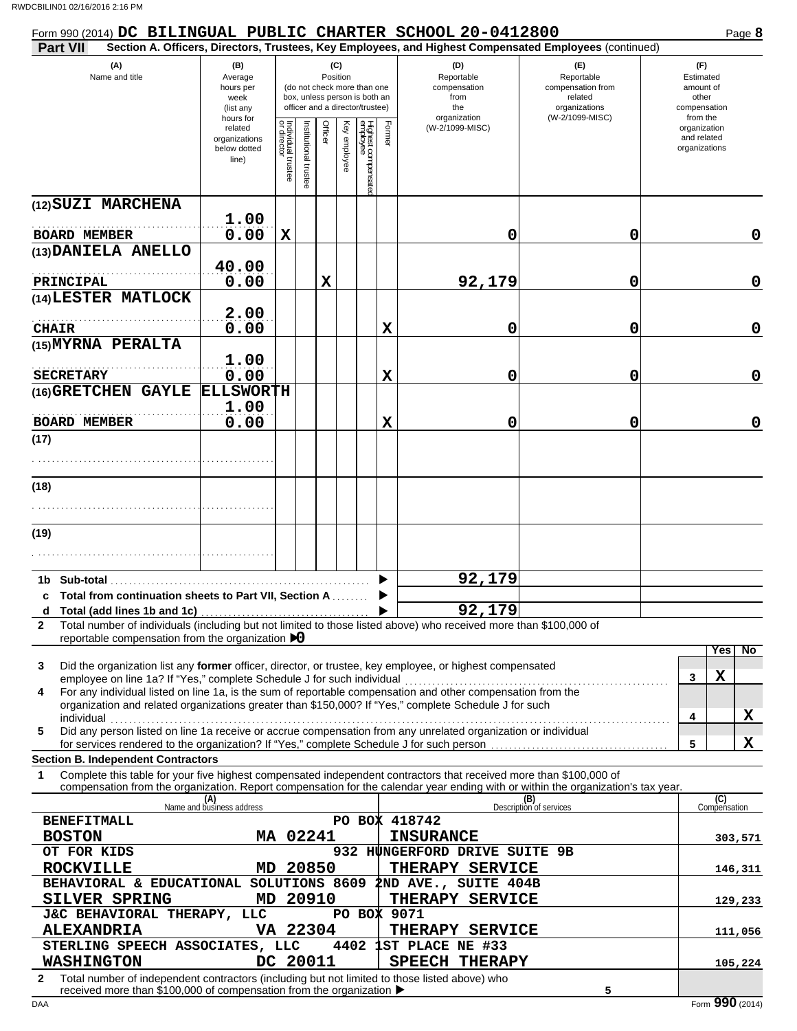| Form 990 (2014) DC BILINGUAL PUBLIC CHARTER SCHOOL 20-0412800                                                                                                                                                                                                                                                                                                                                                        |                                                               |                                   |                      |                 |              |                                                                                                 |             |                                                                                                        |                                                                                       | Page 8                                                             |
|----------------------------------------------------------------------------------------------------------------------------------------------------------------------------------------------------------------------------------------------------------------------------------------------------------------------------------------------------------------------------------------------------------------------|---------------------------------------------------------------|-----------------------------------|----------------------|-----------------|--------------|-------------------------------------------------------------------------------------------------|-------------|--------------------------------------------------------------------------------------------------------|---------------------------------------------------------------------------------------|--------------------------------------------------------------------|
| Part VII                                                                                                                                                                                                                                                                                                                                                                                                             |                                                               |                                   |                      |                 |              |                                                                                                 |             | Section A. Officers, Directors, Trustees, Key Employees, and Highest Compensated Employees (continued) |                                                                                       |                                                                    |
| (A)<br>Name and title                                                                                                                                                                                                                                                                                                                                                                                                | (B)<br>Average<br>hours per<br>week<br>(list any<br>hours for |                                   |                      | (C)<br>Position |              | (do not check more than one<br>box, unless person is both an<br>officer and a director/trustee) |             | (D)<br>Reportable<br>compensation<br>from<br>the<br>organization                                       | (E)<br>Reportable<br>compensation from<br>related<br>organizations<br>(W-2/1099-MISC) | (F)<br>Estimated<br>amount of<br>other<br>compensation<br>from the |
|                                                                                                                                                                                                                                                                                                                                                                                                                      | related<br>organizations<br>below dotted<br>line)             | Individual trustee<br>or director | Institutional truste | Officer         | Key employee | Highest compensate<br>employee                                                                  | Former      | (W-2/1099-MISC)                                                                                        |                                                                                       | organization<br>and related<br>organizations                       |
| (12) SUZI MARCHENA<br><b>BOARD MEMBER</b>                                                                                                                                                                                                                                                                                                                                                                            | 1.00<br>0.00                                                  | $\mathbf x$                       |                      |                 |              |                                                                                                 |             | 0                                                                                                      | 0                                                                                     | 0                                                                  |
| (13) DANIELA ANELLO                                                                                                                                                                                                                                                                                                                                                                                                  |                                                               |                                   |                      |                 |              |                                                                                                 |             |                                                                                                        |                                                                                       |                                                                    |
|                                                                                                                                                                                                                                                                                                                                                                                                                      | 40.00                                                         |                                   |                      |                 |              |                                                                                                 |             |                                                                                                        |                                                                                       |                                                                    |
| PRINCIPAL<br>(14) LESTER MATLOCK                                                                                                                                                                                                                                                                                                                                                                                     | 0.00                                                          |                                   |                      | $\mathbf X$     |              |                                                                                                 |             | 92,179                                                                                                 | 0                                                                                     | 0                                                                  |
|                                                                                                                                                                                                                                                                                                                                                                                                                      | 2.00                                                          |                                   |                      |                 |              |                                                                                                 |             |                                                                                                        |                                                                                       |                                                                    |
| <b>CHAIR</b><br>(15) MYRNA PERALTA                                                                                                                                                                                                                                                                                                                                                                                   | 0.00                                                          |                                   |                      |                 |              |                                                                                                 | $\mathbf x$ | 0                                                                                                      | 0                                                                                     | $\mathbf 0$                                                        |
| <b>SECRETARY</b>                                                                                                                                                                                                                                                                                                                                                                                                     | 1.00<br>0.00                                                  |                                   |                      |                 |              |                                                                                                 | $\mathbf x$ | 0                                                                                                      | 0                                                                                     | $\mathbf 0$                                                        |
| (16) GRETCHEN GAYLE                                                                                                                                                                                                                                                                                                                                                                                                  | <b>ELLSWORTH</b>                                              |                                   |                      |                 |              |                                                                                                 |             |                                                                                                        |                                                                                       |                                                                    |
| <b>BOARD MEMBER</b>                                                                                                                                                                                                                                                                                                                                                                                                  | 1.00<br>0.00                                                  |                                   |                      |                 |              |                                                                                                 | $\mathbf x$ | 0                                                                                                      | 0                                                                                     | $\mathbf 0$                                                        |
| (17)                                                                                                                                                                                                                                                                                                                                                                                                                 |                                                               |                                   |                      |                 |              |                                                                                                 |             |                                                                                                        |                                                                                       |                                                                    |
|                                                                                                                                                                                                                                                                                                                                                                                                                      |                                                               |                                   |                      |                 |              |                                                                                                 |             |                                                                                                        |                                                                                       |                                                                    |
| (18)                                                                                                                                                                                                                                                                                                                                                                                                                 |                                                               |                                   |                      |                 |              |                                                                                                 |             |                                                                                                        |                                                                                       |                                                                    |
|                                                                                                                                                                                                                                                                                                                                                                                                                      |                                                               |                                   |                      |                 |              |                                                                                                 |             |                                                                                                        |                                                                                       |                                                                    |
| (19)                                                                                                                                                                                                                                                                                                                                                                                                                 |                                                               |                                   |                      |                 |              |                                                                                                 |             |                                                                                                        |                                                                                       |                                                                    |
|                                                                                                                                                                                                                                                                                                                                                                                                                      |                                                               |                                   |                      |                 |              |                                                                                                 |             |                                                                                                        |                                                                                       |                                                                    |
| 1b Sub-total                                                                                                                                                                                                                                                                                                                                                                                                         |                                                               |                                   |                      |                 |              |                                                                                                 |             | 92,179                                                                                                 |                                                                                       |                                                                    |
| c Total from continuation sheets to Part VII, Section A                                                                                                                                                                                                                                                                                                                                                              |                                                               |                                   |                      |                 |              |                                                                                                 |             | 92,179                                                                                                 |                                                                                       |                                                                    |
| Total number of individuals (including but not limited to those listed above) who received more than \$100,000 of<br>$\mathbf{2}$                                                                                                                                                                                                                                                                                    |                                                               |                                   |                      |                 |              |                                                                                                 |             |                                                                                                        |                                                                                       |                                                                    |
| reportable compensation from the organization $\bigtriangledown$                                                                                                                                                                                                                                                                                                                                                     |                                                               |                                   |                      |                 |              |                                                                                                 |             |                                                                                                        |                                                                                       | No<br>Yes                                                          |
| Did the organization list any former officer, director, or trustee, key employee, or highest compensated<br>3<br>employee on line 1a? If "Yes," complete Schedule J for such individual<br>For any individual listed on line 1a, is the sum of reportable compensation and other compensation from the<br>4<br>organization and related organizations greater than \$150,000? If "Yes," complete Schedule J for such |                                                               |                                   |                      |                 |              |                                                                                                 |             |                                                                                                        |                                                                                       | X<br>3                                                             |
| Did any person listed on line 1a receive or accrue compensation from any unrelated organization or individual<br>5                                                                                                                                                                                                                                                                                                   |                                                               |                                   |                      |                 |              |                                                                                                 |             |                                                                                                        |                                                                                       | X<br>4<br>X                                                        |
| <b>Section B. Independent Contractors</b>                                                                                                                                                                                                                                                                                                                                                                            |                                                               |                                   |                      |                 |              |                                                                                                 |             |                                                                                                        |                                                                                       | 5                                                                  |
| Complete this table for your five highest compensated independent contractors that received more than \$100,000 of<br>1                                                                                                                                                                                                                                                                                              |                                                               |                                   |                      |                 |              |                                                                                                 |             |                                                                                                        |                                                                                       |                                                                    |
| compensation from the organization. Report compensation for the calendar year ending with or within the organization's tax year.                                                                                                                                                                                                                                                                                     | (A)<br>Name and business address                              |                                   |                      |                 |              |                                                                                                 |             |                                                                                                        | (B)<br>Description of services                                                        | (C)<br>Compensation                                                |
| <b>BENEFITMALL</b>                                                                                                                                                                                                                                                                                                                                                                                                   |                                                               |                                   |                      |                 |              |                                                                                                 |             | PO BOX 418742                                                                                          |                                                                                       |                                                                    |
| <b>BOSTON</b>                                                                                                                                                                                                                                                                                                                                                                                                        |                                                               | MA 02241                          |                      |                 |              |                                                                                                 |             | <b>INSURANCE</b>                                                                                       |                                                                                       | 303,571                                                            |
| OT FOR KIDS<br><b>ROCKVILLE</b>                                                                                                                                                                                                                                                                                                                                                                                      |                                                               | MD 20850                          |                      |                 |              |                                                                                                 |             | 932 HUNGERFORD DRIVE SUITE 9B<br>THERAPY SERVICE                                                       |                                                                                       | 146,311                                                            |
| BEHAVIORAL & EDUCATIONAL SOLUTIONS 8609                                                                                                                                                                                                                                                                                                                                                                              |                                                               |                                   |                      |                 |              |                                                                                                 |             | 2ND AVE., SUITE 404B                                                                                   |                                                                                       |                                                                    |
| SILVER SPRING                                                                                                                                                                                                                                                                                                                                                                                                        |                                                               | MD 20910                          |                      |                 |              |                                                                                                 |             | THERAPY SERVICE                                                                                        |                                                                                       | 129,233                                                            |
| J&C BEHAVIORAL THERAPY, LLC<br><b>ALEXANDRIA</b>                                                                                                                                                                                                                                                                                                                                                                     |                                                               | VA 22304                          |                      |                 |              |                                                                                                 |             | PO BOX 9071<br>THERAPY SERVICE                                                                         |                                                                                       | 111,056                                                            |
| STERLING SPEECH ASSOCIATES, LLC                                                                                                                                                                                                                                                                                                                                                                                      |                                                               |                                   |                      |                 | 4402         |                                                                                                 |             | 1ST PLACE NE #33                                                                                       |                                                                                       |                                                                    |
| <b>WASHINGTON</b>                                                                                                                                                                                                                                                                                                                                                                                                    |                                                               | DC 20011                          |                      |                 |              |                                                                                                 |             | <b>SPEECH THERAPY</b>                                                                                  |                                                                                       | 105,224                                                            |
| Total number of independent contractors (including but not limited to those listed above) who<br>2<br>received more than \$100,000 of compensation from the organization ▶                                                                                                                                                                                                                                           |                                                               |                                   |                      |                 |              |                                                                                                 |             |                                                                                                        | 5                                                                                     |                                                                    |
| DAA                                                                                                                                                                                                                                                                                                                                                                                                                  |                                                               |                                   |                      |                 |              |                                                                                                 |             |                                                                                                        |                                                                                       | Form 990 (2014)                                                    |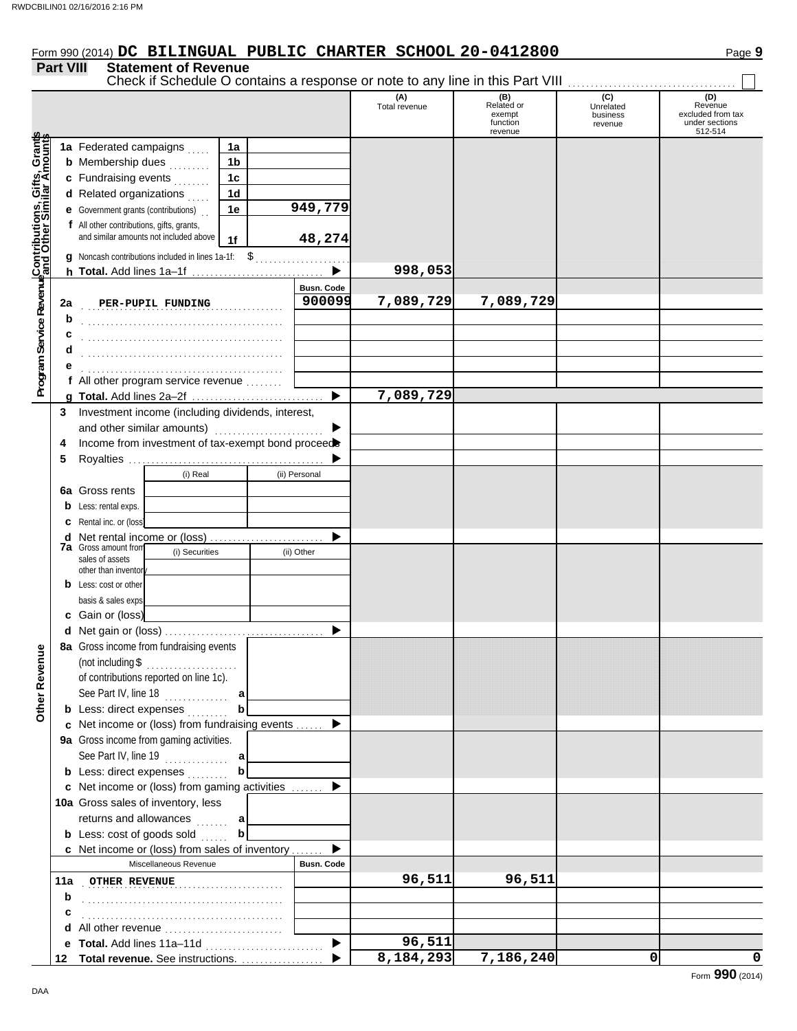# Form 990 (2014) DC BILINGUAL PUBLIC CHARTER SCHOOL 20-0412800 Page 9

## **Part VIII Statement of Revenue**

|                                                                                                                        |             |                                                                                                                                                                                          |                                                          |                             | (A)<br>Total revenue | (B)<br>Related or<br>exempt<br>function<br>revenue | (C)<br>Unrelated<br>business<br>revenue | (D)<br>Revenue<br>excluded from tax<br>under sections<br>512-514 |
|------------------------------------------------------------------------------------------------------------------------|-------------|------------------------------------------------------------------------------------------------------------------------------------------------------------------------------------------|----------------------------------------------------------|-----------------------------|----------------------|----------------------------------------------------|-----------------------------------------|------------------------------------------------------------------|
| Program Service Revenu <mark>¢Contributions, Gifts, Grant</mark> s<br>Program Service Revenu¢and Other Similar Amounts |             | 1a Federated campaigns<br><b>b</b> Membership dues<br>c Fundraising events<br>d Related organizations                                                                                    | 1a<br>1 <sub>b</sub><br>1 <sub>c</sub><br>1 <sub>d</sub> |                             |                      |                                                    |                                         |                                                                  |
|                                                                                                                        |             | <b>e</b> Government grants (contributions)<br>f All other contributions, gifts, grants,<br>and similar amounts not included above<br>g Noncash contributions included in lines 1a-1f: \$ | 1e<br>1f                                                 | 949,779<br>48,274<br>.      |                      |                                                    |                                         |                                                                  |
|                                                                                                                        |             | h Total. Add lines 1a-1f                                                                                                                                                                 |                                                          |                             | 998,053              |                                                    |                                         |                                                                  |
|                                                                                                                        | 2a<br>b     | PER-PUPIL FUNDING                                                                                                                                                                        |                                                          | <b>Busn. Code</b><br>900099 | 7,089,729            | 7,089,729                                          |                                         |                                                                  |
|                                                                                                                        | с<br>d      |                                                                                                                                                                                          |                                                          |                             |                      |                                                    |                                         |                                                                  |
|                                                                                                                        |             | f All other program service revenue                                                                                                                                                      |                                                          |                             |                      |                                                    |                                         |                                                                  |
|                                                                                                                        |             |                                                                                                                                                                                          |                                                          |                             | 7,089,729            |                                                    |                                         |                                                                  |
|                                                                                                                        | 3<br>4<br>5 | Investment income (including dividends, interest,<br>and other similar amounts)<br>Income from investment of tax-exempt bond proceed                                                     |                                                          |                             |                      |                                                    |                                         |                                                                  |
|                                                                                                                        | b           | (i) Real<br>6a Gross rents<br>Less: rental exps.                                                                                                                                         |                                                          | (ii) Personal               |                      |                                                    |                                         |                                                                  |
|                                                                                                                        | с<br>d      | Rental inc. or (loss)<br>Net rental income or (loss)<br><b>7a</b> Gross amount from<br>(i) Securities<br>sales of assets                                                                 |                                                          | (ii) Other                  |                      |                                                    |                                         |                                                                  |
|                                                                                                                        |             | other than inventor<br><b>b</b> Less: cost or other<br>basis & sales exps                                                                                                                |                                                          |                             |                      |                                                    |                                         |                                                                  |
|                                                                                                                        |             | c Gain or (loss)<br>8a Gross income from fundraising events                                                                                                                              |                                                          |                             |                      |                                                    |                                         |                                                                  |
| venue<br>Other Rev                                                                                                     |             | $($ not including \$ $\ldots$<br>of contributions reported on line 1c).<br>See Part IV, line 18<br><b>b</b> Less: direct expenses                                                        | b                                                        |                             |                      |                                                    |                                         |                                                                  |
|                                                                                                                        |             | c Net income or (loss) from fundraising events                                                                                                                                           |                                                          |                             |                      |                                                    |                                         |                                                                  |
|                                                                                                                        |             | 9a Gross income from gaming activities.<br>See Part IV, line 19<br><b>b</b> Less: direct expenses                                                                                        | a<br>b                                                   |                             |                      |                                                    |                                         |                                                                  |
|                                                                                                                        |             | c Net income or (loss) from gaming activities                                                                                                                                            |                                                          | ▶                           |                      |                                                    |                                         |                                                                  |
|                                                                                                                        |             | 10a Gross sales of inventory, less                                                                                                                                                       |                                                          |                             |                      |                                                    |                                         |                                                                  |
|                                                                                                                        |             | returns and allowances                                                                                                                                                                   | a                                                        |                             |                      |                                                    |                                         |                                                                  |
|                                                                                                                        |             | <b>b</b> Less: $cost$ of goods sold $\ldots$                                                                                                                                             | b                                                        |                             |                      |                                                    |                                         |                                                                  |
|                                                                                                                        |             | c Net income or (loss) from sales of inventory                                                                                                                                           |                                                          |                             |                      |                                                    |                                         |                                                                  |
|                                                                                                                        |             | Miscellaneous Revenue                                                                                                                                                                    |                                                          | <b>Busn. Code</b>           |                      |                                                    |                                         |                                                                  |
|                                                                                                                        | 11a         | OTHER REVENUE <b>Manual</b>                                                                                                                                                              |                                                          |                             | 96,511               | 96,511                                             |                                         |                                                                  |
|                                                                                                                        | b           |                                                                                                                                                                                          |                                                          |                             |                      |                                                    |                                         |                                                                  |
|                                                                                                                        | с           |                                                                                                                                                                                          |                                                          |                             |                      |                                                    |                                         |                                                                  |
|                                                                                                                        |             |                                                                                                                                                                                          |                                                          |                             | 96,511               |                                                    |                                         |                                                                  |
|                                                                                                                        |             | 12 Total revenue. See instructions.                                                                                                                                                      |                                                          |                             | 8,184,293            | 7,186,240                                          | 0                                       | 0                                                                |

Check if Schedule O contains a response or note to any line in this Part VIII . . . . . . . . . . . . . . . . . . . . . . . . . . . . . . . . . . . . .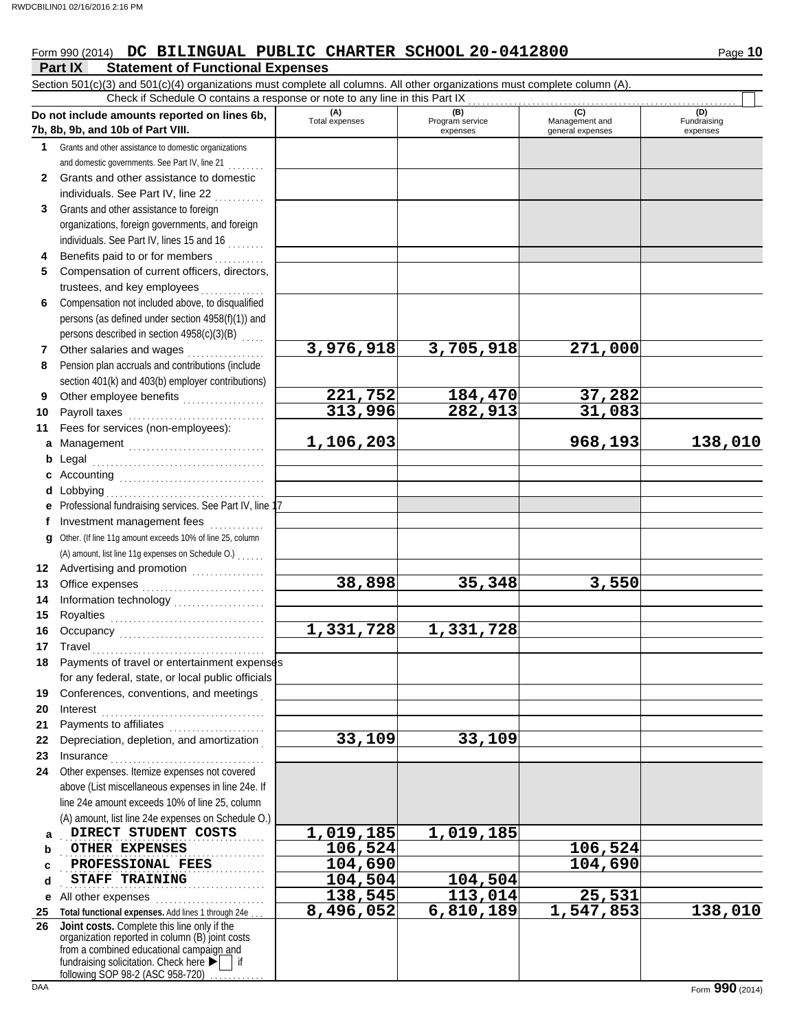**Part IX Statement of Functional Expenses**

# Form 990 (2014) DC BILINGUAL PUBLIC CHARTER SCHOOL 20-0412800 Page 10

Section 501(c)(3) and 501(c)(4) organizations must complete all columns. All other organizations must complete column (A). **Do not include amounts reported on lines 6b, 7b, 8b, 9b, and 10b of Part VIII. 1 2 3 4 5 6 7 8 9 10 11 a** Management .............................. **b** Legal **c** Accounting . . . . . . . . . . . . . . . . . . . . . . . . . . . . . . . . **d** Lobbying . . . . . . . . . . . . . . . . . . . . . . . . . . . . . . . . . . . **e** Professional fundraising services. See Part IV, line 17 **f g** Other. (If line 11g amount exceeds 10% of line 25, column **12** Advertising and promotion . . . . . . . . . . . . . . **13 14 15 16 17 18 19 20 21 22** Depreciation, depletion, and amortization . **23 24 a b c d e** All other expenses . . . . . . . . . . . . . . . . . . . . . . . . **25 Total functional expenses.** Add lines 1 through 24e . . . **26** Grants and other assistance to domestic organizations and domestic governments. See Part IV, line 21 . . . . . . . . Grants and other assistance to domestic individuals. See Part IV, line 22 Grants and other assistance to foreign organizations, foreign governments, and foreign individuals. See Part IV, lines 15 and 16 . . . . . . . . Benefits paid to or for members ........... Compensation of current officers, directors, trustees, and key employees Compensation not included above, to disqualified persons (as defined under section 4958(f)(1)) and persons described in section 4958(c)(3)(B) Other salaries and wages .................. Pension plan accruals and contributions (include section 401(k) and 403(b) employer contributions) Other employee benefits .................. Payroll taxes . . . . . . . . . . . . . . . . . . . . . . . . . . . . . . Fees for services (non-employees): Legal . . . . . . . . . . . . . . . . . . . . . . . . . . . . . . . . . . . . . . Investment management fees ............. Office expenses . . . . . . . . . . . . . . . . . . . . . . . . . . . Information technology . . . . . . . . . . . . . . . . . . . . Royalties . . . . . . . . . . . . . . . . . . . . . . . . . . . . . . . . . . Occupancy . . . . . . . . . . . . . . . . . . . . . . . . . . . . . . . . Travel . . . . . . . . . . . . . . . . . . . . . . . . . . . . . . . . . . . . . . Payments of travel or entertainment expenses for any federal, state, or local public officials Conferences, conventions, and meetings . Interest . . . . . . . . . . . . . . . . . . . . . . . . . . . . . . . . . . . . Payments to affiliates ....................... Insurance . . . . . . . . . . . . . . . . . . . . . . . . . . . . . . . . . . Other expenses. Itemize expenses not covered above (List miscellaneous expenses in line 24e. If line 24e amount exceeds 10% of line 25, column (A) amount, list line 24e expenses on Schedule O.) fundraising solicitation. Check here  $\blacktriangleright$  | if organization reported in column (B) joint costs from a combined educational campaign and following SOP 98-2 (ASC 958-720) **(A) (B) (B)** (C) (C) (D)<br>Total expenses Program service Management and Fundrai expenses general expenses (D)<br>Fundraising expenses **DIRECT STUDENT COSTS 1,019,185 1,019,185 OTHER EXPENSES 106,524** 1206,524 . . . . . . . . . . . . . . . . . . . . . . . . . . . . . . . . . . . . . . . . . . . . . **PROFESSIONAL FEES 104,690 104,690 STAFF TRAINING 104,504** 104,504 Check if Schedule O contains a response or note to any line in this Part IX **Joint costs.** Complete this line only if the (A) amount, list line 11g expenses on Schedule O.) . . . . . . . **3,976,918 3,705,918 271,000 221,752 184,470 37,282 313,996 282,913 31,083 1,106,203 968,193 138,010 38,898 35,348 3,550 1,331,728 1,331,728 33,109 33,109 138,545 113,014 25,531 8,496,052 6,810,189 1,547,853 138,010**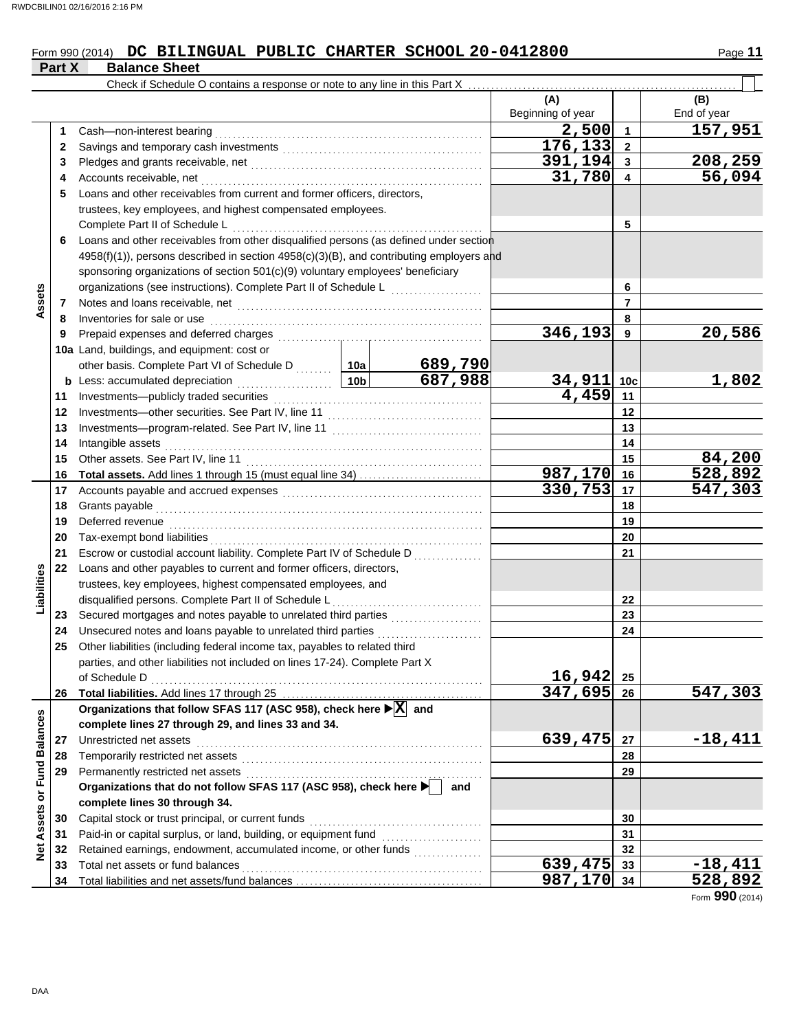#### Form 990 (2014) DC BILINGUAL PUBLIC CHARTER SCHOOL 20-0412800 Page 11 **DC BILINGUAL PUBLIC CHARTER SCHOOL 20-0412800**

|                             | Part X | <b>Balance Sheet</b>                                                                                                                             |                 |                                                   |                       |                         |                      |
|-----------------------------|--------|--------------------------------------------------------------------------------------------------------------------------------------------------|-----------------|---------------------------------------------------|-----------------------|-------------------------|----------------------|
|                             |        | Check if Schedule O contains a response or note to any line in this Part X                                                                       |                 |                                                   |                       |                         |                      |
|                             |        |                                                                                                                                                  |                 |                                                   | (A)                   |                         | (B)                  |
|                             |        |                                                                                                                                                  |                 |                                                   | Beginning of year     |                         | End of year          |
|                             | 1      | Cash-non-interest bearing                                                                                                                        |                 |                                                   | 2,500                 | $\mathbf{1}$            | 157,951              |
|                             | 2      |                                                                                                                                                  |                 |                                                   | $\overline{176, 133}$ | $\mathbf{2}$            |                      |
|                             | 3      |                                                                                                                                                  |                 |                                                   | 391,194               | $\mathbf{3}$            | 208,259              |
|                             | 4      | Accounts receivable, net                                                                                                                         |                 |                                                   | 31,780                | $\overline{\mathbf{4}}$ | 56,094               |
|                             | 5      | Loans and other receivables from current and former officers, directors,                                                                         |                 |                                                   |                       |                         |                      |
|                             |        | trustees, key employees, and highest compensated employees.                                                                                      |                 |                                                   |                       |                         |                      |
|                             |        | Complete Part II of Schedule L                                                                                                                   |                 |                                                   |                       | 5                       |                      |
|                             | 6      | Loans and other receivables from other disqualified persons (as defined under section                                                            |                 |                                                   |                       |                         |                      |
|                             |        | 4958(f)(1)), persons described in section 4958(c)(3)(B), and contributing employers and                                                          |                 |                                                   |                       |                         |                      |
|                             |        | sponsoring organizations of section 501(c)(9) voluntary employees' beneficiary                                                                   |                 |                                                   |                       |                         |                      |
| Assets                      |        | organizations (see instructions). Complete Part II of Schedule L                                                                                 |                 | <u> 1990 - Johann Stoff, Amerikaansk kanton (</u> |                       | 6                       |                      |
|                             | 7      |                                                                                                                                                  |                 |                                                   |                       | $\overline{7}$          |                      |
|                             | 8      | Inventories for sale or use                                                                                                                      |                 |                                                   |                       | 8                       |                      |
|                             | 9      | Prepaid expenses and deferred charges                                                                                                            |                 |                                                   | 346,193               | 9                       | 20,586               |
|                             |        | 10a Land, buildings, and equipment: cost or                                                                                                      |                 |                                                   |                       |                         |                      |
|                             |        | other basis. Complete Part VI of Schedule D  10a                                                                                                 |                 | 689,790                                           |                       |                         |                      |
|                             |        | <b>b</b> Less: accumulated depreciation<br>.                                                                                                     | 10 <sub>b</sub> | 687,988                                           | 34,911                | 10 <sub>c</sub>         | 1,802                |
|                             | 11     |                                                                                                                                                  | 4,459           | 11                                                |                       |                         |                      |
|                             | 12     |                                                                                                                                                  |                 | 12                                                |                       |                         |                      |
|                             | 13     |                                                                                                                                                  |                 | 13                                                |                       |                         |                      |
|                             | 14     | Intangible assets                                                                                                                                |                 | 14                                                |                       |                         |                      |
|                             | 15     | Other assets. See Part IV, line 11                                                                                                               |                 |                                                   |                       | 15                      | 84,200               |
|                             | 16     |                                                                                                                                                  |                 |                                                   | 987,170               | 16                      | 528,892              |
|                             | 17     |                                                                                                                                                  |                 |                                                   | 330,753               | 17                      | 547,303              |
|                             | 18     | Grants payable                                                                                                                                   |                 | 18                                                |                       |                         |                      |
|                             | 19     | Deferred revenue                                                                                                                                 |                 | 19                                                |                       |                         |                      |
|                             | 20     | Tax-exempt bond liabilities                                                                                                                      |                 |                                                   |                       | 20                      |                      |
|                             | 21     | Escrow or custodial account liability. Complete Part IV of Schedule D                                                                            |                 |                                                   |                       | 21                      |                      |
|                             | 22     | Loans and other payables to current and former officers, directors,                                                                              |                 |                                                   |                       |                         |                      |
| Liabilities                 |        | trustees, key employees, highest compensated employees, and                                                                                      |                 |                                                   |                       |                         |                      |
|                             |        | disqualified persons. Complete Part II of Schedule L                                                                                             |                 |                                                   |                       | 22                      |                      |
|                             | 23     |                                                                                                                                                  |                 |                                                   |                       | 23                      |                      |
|                             | 24     | Unsecured notes and loans payable to unrelated third parties                                                                                     |                 |                                                   |                       | 24                      |                      |
|                             | 25     | Other liabilities (including federal income tax, payables to related third                                                                       |                 |                                                   |                       |                         |                      |
|                             |        | parties, and other liabilities not included on lines 17-24). Complete Part X                                                                     |                 |                                                   |                       |                         |                      |
|                             |        | of Schedule D                                                                                                                                    |                 |                                                   | 16,942                | 25                      |                      |
|                             | 26     |                                                                                                                                                  |                 |                                                   | 347,695               | 26                      | $\overline{547,303}$ |
|                             |        | Organizations that follow SFAS 117 (ASC 958), check here $\blacktriangleright$ $\boxed{\text{X}}$ and                                            |                 |                                                   |                       |                         |                      |
|                             |        | complete lines 27 through 29, and lines 33 and 34.                                                                                               |                 |                                                   |                       |                         |                      |
|                             | 27     | Unrestricted net assets                                                                                                                          |                 |                                                   | 639,475               | 27                      | $-18,411$            |
|                             | 28     | Temporarily restricted net assets                                                                                                                |                 |                                                   |                       | 28                      |                      |
|                             | 29     | Permanently restricted net assets<br>Permanently restricted net assets<br>Organizations that do not follow SFAS 117 (ASC 958), check here ▶ │ ar |                 |                                                   |                       | 29                      |                      |
|                             |        |                                                                                                                                                  |                 | and                                               |                       |                         |                      |
| Net Assets or Fund Balances |        | complete lines 30 through 34.                                                                                                                    |                 |                                                   |                       |                         |                      |
|                             | 30     | Capital stock or trust principal, or current funds                                                                                               |                 |                                                   |                       | 30                      |                      |
|                             | 31     |                                                                                                                                                  |                 |                                                   |                       | 31                      |                      |
|                             | 32     | Retained earnings, endowment, accumulated income, or other funds                                                                                 |                 |                                                   |                       | 32                      |                      |
|                             | 33     | Total net assets or fund balances                                                                                                                |                 |                                                   | $\overline{639, 475}$ | 33                      | $-18,411$            |
|                             | 34     |                                                                                                                                                  |                 |                                                   | 987,170 34            |                         | 528,892              |

Form **990** (2014)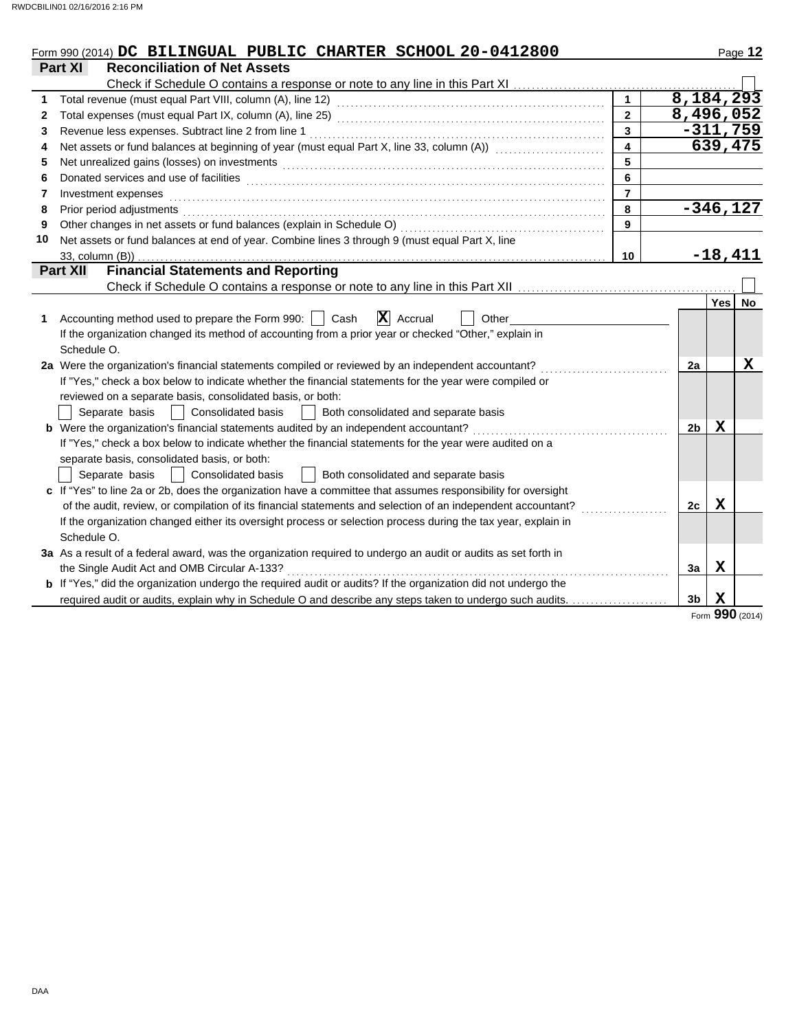|    | Form 990 (2014) DC BILINGUAL PUBLIC CHARTER SCHOOL 20-0412800                                                                                                                                                                  |                         |                |             | Page 12         |
|----|--------------------------------------------------------------------------------------------------------------------------------------------------------------------------------------------------------------------------------|-------------------------|----------------|-------------|-----------------|
|    | <b>Reconciliation of Net Assets</b><br>Part XI                                                                                                                                                                                 |                         |                |             |                 |
|    | Check if Schedule O contains a response or note to any line in this Part XI                                                                                                                                                    |                         |                |             |                 |
|    |                                                                                                                                                                                                                                | $\mathbf{1}$            | 8,184,293      |             |                 |
| 2  |                                                                                                                                                                                                                                | $\overline{2}$          | 8,496,052      |             |                 |
| 3  | Revenue less expenses. Subtract line 2 from line 1                                                                                                                                                                             | $\overline{\mathbf{3}}$ |                |             | $-311,759$      |
| 4  | Net assets or fund balances at beginning of year (must equal Part X, line 33, column (A)) [[[[[[[[[[[[[[[[[[[                                                                                                                  | $\overline{\mathbf{4}}$ |                |             | 639,475         |
| 5  | Net unrealized gains (losses) on investments [1] production in the contract of the state of the state of the state of the state of the state of the state of the state of the state of the state of the state of the state of  | 5                       |                |             |                 |
| 6  |                                                                                                                                                                                                                                | 6                       |                |             |                 |
| 7  | Investment expenses                                                                                                                                                                                                            | $\overline{7}$          |                |             |                 |
| 8  | Prior period adjustments entertainment and the control of the control of the control of the control of the control of the control of the control of the control of the control of the control of the control of the control of | 8                       |                |             | $-346,127$      |
| 9  |                                                                                                                                                                                                                                | 9                       |                |             |                 |
| 10 | Net assets or fund balances at end of year. Combine lines 3 through 9 (must equal Part X, line                                                                                                                                 |                         |                |             |                 |
|    | 33, column (B))                                                                                                                                                                                                                | 10                      |                |             | $-18,411$       |
|    | <b>Financial Statements and Reporting</b><br><b>Part XII</b>                                                                                                                                                                   |                         |                |             |                 |
|    |                                                                                                                                                                                                                                |                         |                |             |                 |
|    |                                                                                                                                                                                                                                |                         |                | Yes         | No              |
| 1  | $ \mathbf{X} $ Accrual<br>Accounting method used to prepare the Form 990:     Cash<br>Other                                                                                                                                    |                         |                |             |                 |
|    | If the organization changed its method of accounting from a prior year or checked "Other," explain in                                                                                                                          |                         |                |             |                 |
|    | Schedule O.                                                                                                                                                                                                                    |                         |                |             |                 |
|    | 2a Were the organization's financial statements compiled or reviewed by an independent accountant?                                                                                                                             |                         | 2a             |             | Χ               |
|    | If "Yes," check a box below to indicate whether the financial statements for the year were compiled or                                                                                                                         |                         |                |             |                 |
|    | reviewed on a separate basis, consolidated basis, or both:                                                                                                                                                                     |                         |                |             |                 |
|    | Consolidated basis<br>Both consolidated and separate basis<br>Separate basis                                                                                                                                                   |                         |                |             |                 |
|    | <b>b</b> Were the organization's financial statements audited by an independent accountant?                                                                                                                                    |                         | 2 <sub>b</sub> | X           |                 |
|    | If "Yes," check a box below to indicate whether the financial statements for the year were audited on a                                                                                                                        |                         |                |             |                 |
|    | separate basis, consolidated basis, or both:                                                                                                                                                                                   |                         |                |             |                 |
|    | Separate basis<br><b>Consolidated basis</b><br>Both consolidated and separate basis                                                                                                                                            |                         |                |             |                 |
|    | c If "Yes" to line 2a or 2b, does the organization have a committee that assumes responsibility for oversight                                                                                                                  |                         |                |             |                 |
|    | of the audit, review, or compilation of its financial statements and selection of an independent accountant?                                                                                                                   |                         | 2с             | Х           |                 |
|    | If the organization changed either its oversight process or selection process during the tax year, explain in                                                                                                                  |                         |                |             |                 |
|    | Schedule O.                                                                                                                                                                                                                    |                         |                |             |                 |
|    | 3a As a result of a federal award, was the organization required to undergo an audit or audits as set forth in                                                                                                                 |                         |                |             |                 |
|    | the Single Audit Act and OMB Circular A-133?                                                                                                                                                                                   |                         | За             | $\mathbf x$ |                 |
|    | <b>b</b> If "Yes," did the organization undergo the required audit or audits? If the organization did not undergo the                                                                                                          |                         |                |             |                 |
|    | required audit or audits, explain why in Schedule O and describe any steps taken to undergo such audits.                                                                                                                       |                         | 3b             | Х           |                 |
|    |                                                                                                                                                                                                                                |                         |                |             | Form 990 (2014) |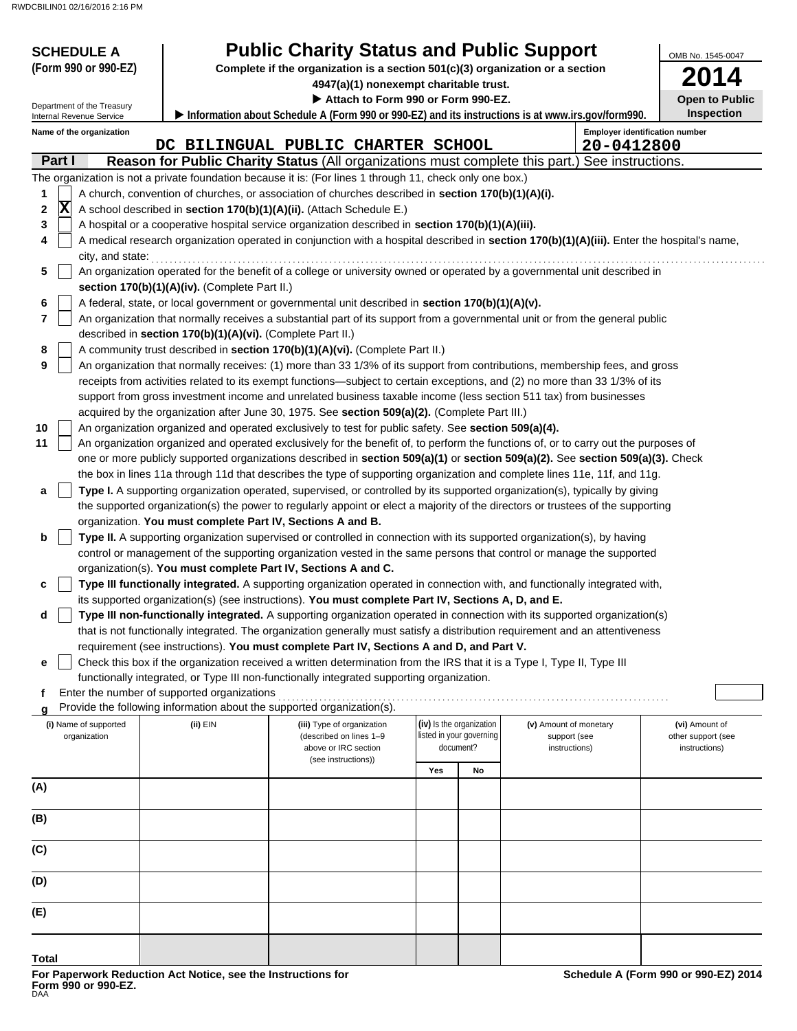| <b>SCHEDULE A</b>                     |                                                               | <b>Public Charity Status and Public Support</b>                                                                                            |                                                      |    |                                        | OMB No. 1545-0047                          |
|---------------------------------------|---------------------------------------------------------------|--------------------------------------------------------------------------------------------------------------------------------------------|------------------------------------------------------|----|----------------------------------------|--------------------------------------------|
| (Form 990 or 990-EZ)                  |                                                               | Complete if the organization is a section 501(c)(3) organization or a section                                                              |                                                      |    |                                        | 2014                                       |
|                                       |                                                               | 4947(a)(1) nonexempt charitable trust.                                                                                                     |                                                      |    |                                        |                                            |
| Department of the Treasury            |                                                               | Attach to Form 990 or Form 990-EZ.                                                                                                         |                                                      |    |                                        | <b>Open to Public</b><br><b>Inspection</b> |
| Internal Revenue Service              |                                                               | Information about Schedule A (Form 990 or 990-EZ) and its instructions is at www.irs.gov/form990.                                          |                                                      |    |                                        |                                            |
| Name of the organization              |                                                               | DC BILINGUAL PUBLIC CHARTER SCHOOL                                                                                                         |                                                      |    | 20-0412800                             | <b>Employer identification number</b>      |
| Part I                                |                                                               | Reason for Public Charity Status (All organizations must complete this part.) See instructions.                                            |                                                      |    |                                        |                                            |
|                                       |                                                               | The organization is not a private foundation because it is: (For lines 1 through 11, check only one box.)                                  |                                                      |    |                                        |                                            |
| 1                                     |                                                               | A church, convention of churches, or association of churches described in section 170(b)(1)(A)(i).                                         |                                                      |    |                                        |                                            |
| $ \mathbf{X} $<br>2                   |                                                               | A school described in section 170(b)(1)(A)(ii). (Attach Schedule E.)                                                                       |                                                      |    |                                        |                                            |
| 3                                     |                                                               | A hospital or a cooperative hospital service organization described in section 170(b)(1)(A)(iii).                                          |                                                      |    |                                        |                                            |
| 4                                     |                                                               | A medical research organization operated in conjunction with a hospital described in section 170(b)(1)(A)(iii). Enter the hospital's name, |                                                      |    |                                        |                                            |
| city, and state:                      |                                                               |                                                                                                                                            |                                                      |    |                                        |                                            |
| 5                                     |                                                               | An organization operated for the benefit of a college or university owned or operated by a governmental unit described in                  |                                                      |    |                                        |                                            |
|                                       | section 170(b)(1)(A)(iv). (Complete Part II.)                 |                                                                                                                                            |                                                      |    |                                        |                                            |
| 6                                     |                                                               | A federal, state, or local government or governmental unit described in section 170(b)(1)(A)(v).                                           |                                                      |    |                                        |                                            |
| 7                                     |                                                               | An organization that normally receives a substantial part of its support from a governmental unit or from the general public               |                                                      |    |                                        |                                            |
| 8                                     | described in section 170(b)(1)(A)(vi). (Complete Part II.)    | A community trust described in section 170(b)(1)(A)(vi). (Complete Part II.)                                                               |                                                      |    |                                        |                                            |
| 9                                     |                                                               | An organization that normally receives: (1) more than 33 1/3% of its support from contributions, membership fees, and gross                |                                                      |    |                                        |                                            |
|                                       |                                                               | receipts from activities related to its exempt functions—subject to certain exceptions, and (2) no more than 33 1/3% of its                |                                                      |    |                                        |                                            |
|                                       |                                                               | support from gross investment income and unrelated business taxable income (less section 511 tax) from businesses                          |                                                      |    |                                        |                                            |
|                                       |                                                               | acquired by the organization after June 30, 1975. See section 509(a)(2). (Complete Part III.)                                              |                                                      |    |                                        |                                            |
| 10                                    |                                                               | An organization organized and operated exclusively to test for public safety. See section 509(a)(4).                                       |                                                      |    |                                        |                                            |
| 11                                    |                                                               | An organization organized and operated exclusively for the benefit of, to perform the functions of, or to carry out the purposes of        |                                                      |    |                                        |                                            |
|                                       |                                                               | one or more publicly supported organizations described in section 509(a)(1) or section 509(a)(2). See section 509(a)(3). Check             |                                                      |    |                                        |                                            |
|                                       |                                                               | the box in lines 11a through 11d that describes the type of supporting organization and complete lines 11e, 11f, and 11g.                  |                                                      |    |                                        |                                            |
| a                                     |                                                               | Type I. A supporting organization operated, supervised, or controlled by its supported organization(s), typically by giving                |                                                      |    |                                        |                                            |
|                                       |                                                               | the supported organization(s) the power to regularly appoint or elect a majority of the directors or trustees of the supporting            |                                                      |    |                                        |                                            |
|                                       | organization. You must complete Part IV, Sections A and B.    |                                                                                                                                            |                                                      |    |                                        |                                            |
| b                                     |                                                               | Type II. A supporting organization supervised or controlled in connection with its supported organization(s), by having                    |                                                      |    |                                        |                                            |
|                                       | organization(s). You must complete Part IV, Sections A and C. | control or management of the supporting organization vested in the same persons that control or manage the supported                       |                                                      |    |                                        |                                            |
| c                                     |                                                               | Type III functionally integrated. A supporting organization operated in connection with, and functionally integrated with,                 |                                                      |    |                                        |                                            |
|                                       |                                                               | its supported organization(s) (see instructions). You must complete Part IV, Sections A, D, and E.                                         |                                                      |    |                                        |                                            |
|                                       |                                                               | Type III non-functionally integrated. A supporting organization operated in connection with its supported organization(s)                  |                                                      |    |                                        |                                            |
|                                       |                                                               | that is not functionally integrated. The organization generally must satisfy a distribution requirement and an attentiveness               |                                                      |    |                                        |                                            |
|                                       |                                                               | requirement (see instructions). You must complete Part IV, Sections A and D, and Part V.                                                   |                                                      |    |                                        |                                            |
| е                                     |                                                               | Check this box if the organization received a written determination from the IRS that it is a Type I, Type II, Type III                    |                                                      |    |                                        |                                            |
|                                       |                                                               | functionally integrated, or Type III non-functionally integrated supporting organization.                                                  |                                                      |    |                                        |                                            |
| f                                     | Enter the number of supported organizations                   |                                                                                                                                            |                                                      |    |                                        |                                            |
|                                       |                                                               | Provide the following information about the supported organization(s).                                                                     |                                                      |    |                                        |                                            |
| (i) Name of supported<br>organization | (ii) EIN                                                      | (iii) Type of organization<br>(described on lines 1-9                                                                                      | (iv) Is the organization<br>listed in your governing |    | (v) Amount of monetary<br>support (see | (vi) Amount of<br>other support (see       |
|                                       |                                                               | above or IRC section                                                                                                                       | document?                                            |    | instructions)                          | instructions)                              |
|                                       |                                                               | (see instructions))                                                                                                                        | Yes                                                  | No |                                        |                                            |
| (A)                                   |                                                               |                                                                                                                                            |                                                      |    |                                        |                                            |
|                                       |                                                               |                                                                                                                                            |                                                      |    |                                        |                                            |
| (B)                                   |                                                               |                                                                                                                                            |                                                      |    |                                        |                                            |
|                                       |                                                               |                                                                                                                                            |                                                      |    |                                        |                                            |
| (C)                                   |                                                               |                                                                                                                                            |                                                      |    |                                        |                                            |
|                                       |                                                               |                                                                                                                                            |                                                      |    |                                        |                                            |
| (D)                                   |                                                               |                                                                                                                                            |                                                      |    |                                        |                                            |
|                                       |                                                               |                                                                                                                                            |                                                      |    |                                        |                                            |
| (E)                                   |                                                               |                                                                                                                                            |                                                      |    |                                        |                                            |
|                                       |                                                               |                                                                                                                                            |                                                      |    |                                        |                                            |
| Total                                 |                                                               |                                                                                                                                            |                                                      |    |                                        |                                            |
|                                       |                                                               |                                                                                                                                            |                                                      |    |                                        |                                            |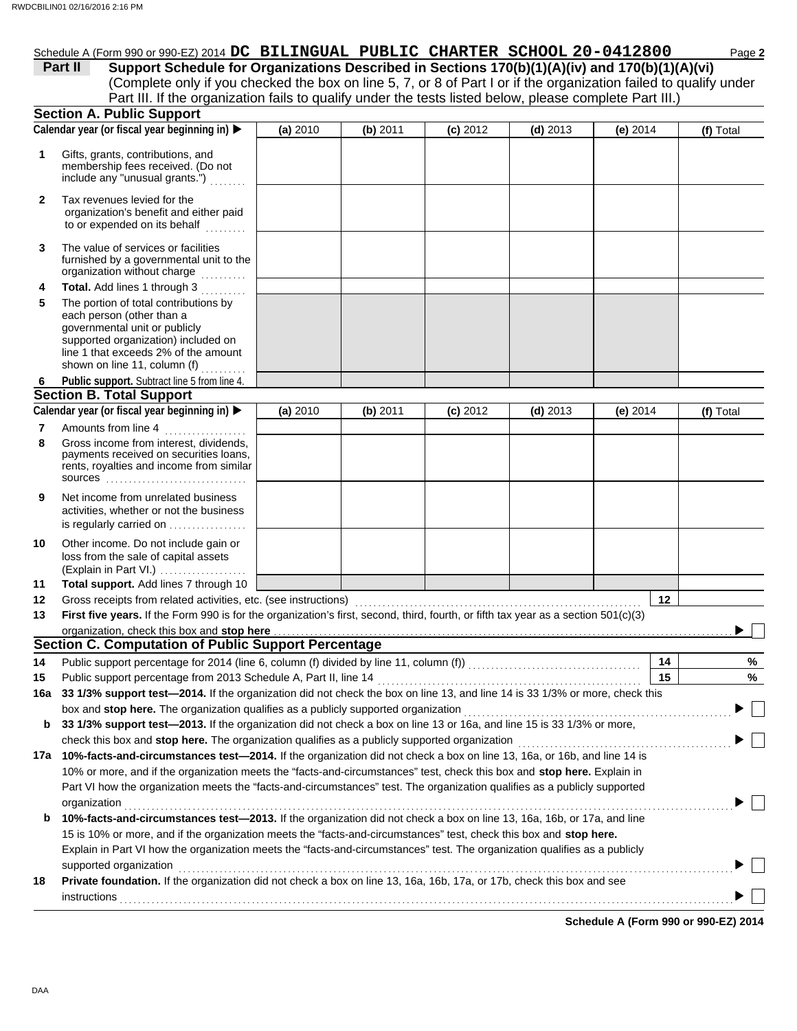# Schedule A (Form 990 or 990-EZ) 2014 **DC BILINGUAL PUBLIC CHARTER SCHOOL 20-0412800** Page 2

(Complete only if you checked the box on line 5, 7, or 8 of Part I or if the organization failed to qualify under **Part II** Support Schedule for Organizations Described in Sections 170(b)(1)(A)(iv) and 170(b)(1)(A)(vi) Part III. If the organization fails to qualify under the tests listed below, please complete Part III.)

|              | <b>Section A. Public Support</b>                                                                                                                                                                                                                            |          |            |            |            |            |           |
|--------------|-------------------------------------------------------------------------------------------------------------------------------------------------------------------------------------------------------------------------------------------------------------|----------|------------|------------|------------|------------|-----------|
|              | Calendar year (or fiscal year beginning in)                                                                                                                                                                                                                 | (a) 2010 | (b) 2011   | $(c)$ 2012 | $(d)$ 2013 | (e) $2014$ | (f) Total |
| 1            | Gifts, grants, contributions, and<br>membership fees received. (Do not<br>include any "unusual grants.")                                                                                                                                                    |          |            |            |            |            |           |
| $\mathbf{2}$ | Tax revenues levied for the<br>organization's benefit and either paid<br>to or expended on its behalf<br>.                                                                                                                                                  |          |            |            |            |            |           |
| 3            | The value of services or facilities<br>furnished by a governmental unit to the<br>organization without charge<br><u>.</u>                                                                                                                                   |          |            |            |            |            |           |
| 4<br>5       | Total. Add lines 1 through 3<br>The portion of total contributions by<br>each person (other than a<br>governmental unit or publicly<br>supported organization) included on<br>line 1 that exceeds 2% of the amount<br>shown on line 11, column (f)          |          |            |            |            |            |           |
| 6            | Public support. Subtract line 5 from line 4.                                                                                                                                                                                                                |          |            |            |            |            |           |
|              | <b>Section B. Total Support</b>                                                                                                                                                                                                                             |          |            |            |            |            |           |
|              | Calendar year (or fiscal year beginning in) >                                                                                                                                                                                                               | (a) 2010 | $(b)$ 2011 | $(c)$ 2012 | $(d)$ 2013 | (e) $2014$ | (f) Total |
| 7            | Amounts from line 4<br>.                                                                                                                                                                                                                                    |          |            |            |            |            |           |
| 8            | Gross income from interest, dividends,<br>payments received on securities loans,<br>rents, royalties and income from similar<br><b>SOUICES</b>                                                                                                              |          |            |            |            |            |           |
| 9            | Net income from unrelated business<br>activities, whether or not the business<br>is regularly carried on                                                                                                                                                    |          |            |            |            |            |           |
| 10           | Other income. Do not include gain or<br>loss from the sale of capital assets<br>(Explain in Part VI.)                                                                                                                                                       |          |            |            |            |            |           |
| 11           | Total support. Add lines 7 through 10                                                                                                                                                                                                                       |          |            |            |            |            |           |
| 12           | Gross receipts from related activities, etc. (see instructions) [11] content content content from related activities, etc. (see instructions) [11] content content content of the set of the set of the set of the set of the                               |          |            |            |            | 12         |           |
| 13           | First five years. If the Form 990 is for the organization's first, second, third, fourth, or fifth tax year as a section 501(c)(3)                                                                                                                          |          |            |            |            |            |           |
|              | organization, check this box and stop here                                                                                                                                                                                                                  |          |            |            |            |            |           |
|              | <b>Section C. Computation of Public Support Percentage</b>                                                                                                                                                                                                  |          |            |            |            |            |           |
| 14           |                                                                                                                                                                                                                                                             |          |            |            |            | 14         | %         |
| 15           | Public support percentage from 2013 Schedule A, Part II, line 14                                                                                                                                                                                            |          |            |            |            | 15         | $\%$      |
|              | 16a 33 1/3% support test-2014. If the organization did not check the box on line 13, and line 14 is 33 1/3% or more, check this                                                                                                                             |          |            |            |            |            |           |
|              | box and stop here. The organization qualifies as a publicly supported organization                                                                                                                                                                          |          |            |            |            |            |           |
| b            | 33 1/3% support test-2013. If the organization did not check a box on line 13 or 16a, and line 15 is 33 1/3% or more,                                                                                                                                       |          |            |            |            |            |           |
|              | check this box and stop here. The organization qualifies as a publicly supported organization<br>17a 10%-facts-and-circumstances test-2014. If the organization did not check a box on line 13, 16a, or 16b, and line 14 is                                 |          |            |            |            |            |           |
|              | 10% or more, and if the organization meets the "facts-and-circumstances" test, check this box and stop here. Explain in                                                                                                                                     |          |            |            |            |            |           |
|              | Part VI how the organization meets the "facts-and-circumstances" test. The organization qualifies as a publicly supported                                                                                                                                   |          |            |            |            |            |           |
| b            | organization<br>10%-facts-and-circumstances test-2013. If the organization did not check a box on line 13, 16a, 16b, or 17a, and line<br>15 is 10% or more, and if the organization meets the "facts-and-circumstances" test, check this box and stop here. |          |            |            |            |            |           |
|              | Explain in Part VI how the organization meets the "facts-and-circumstances" test. The organization qualifies as a publicly                                                                                                                                  |          |            |            |            |            |           |
|              | supported organization                                                                                                                                                                                                                                      |          |            |            |            |            |           |
| 18           | Private foundation. If the organization did not check a box on line 13, 16a, 16b, 17a, or 17b, check this box and see                                                                                                                                       |          |            |            |            |            |           |
|              |                                                                                                                                                                                                                                                             |          |            |            |            |            |           |
|              |                                                                                                                                                                                                                                                             |          |            |            |            |            |           |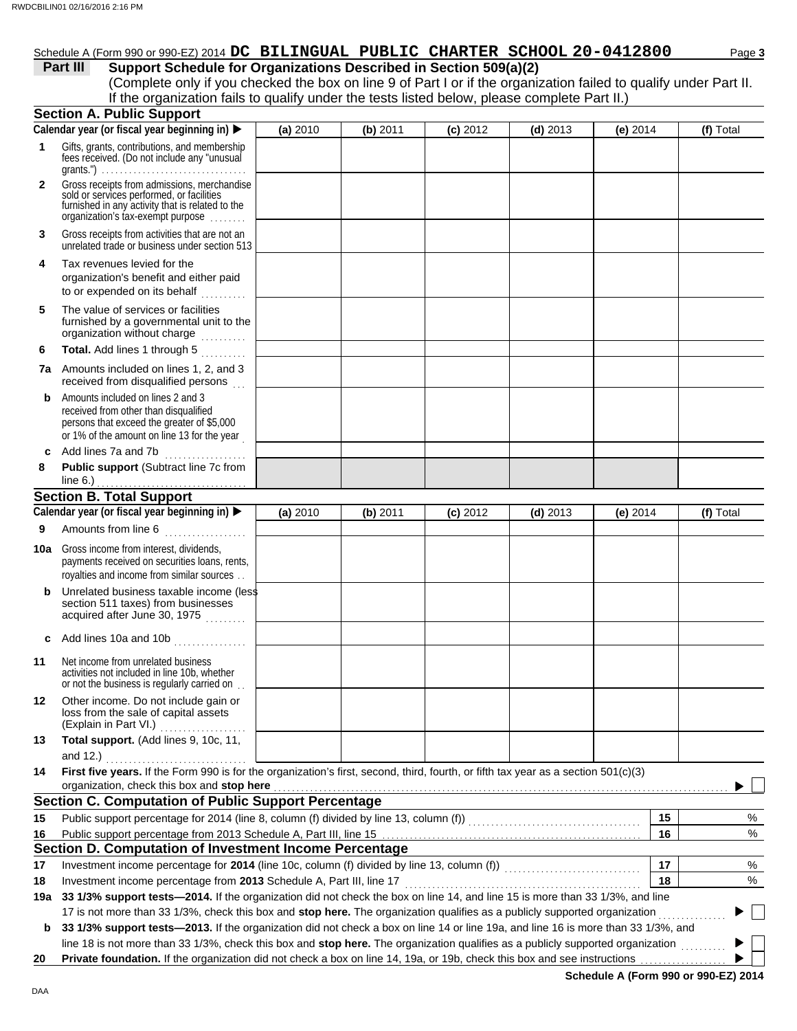# Schedule A (Form 990 or 990-EZ) 2014 **DC BILINGUAL PUBLIC CHARTER SCHOOL 20-0412800** Page 3

## **Part III** Support Schedule for Organizations Described in Section 509(a)(2)

(Complete only if you checked the box on line 9 of Part I or if the organization failed to qualify under Part II. If the organization fails to qualify under the tests listed below, please complete Part II.)

|              | <b>Section A. Public Support</b>                                                                                                                                                                                                                            |          |            |            |            |            |           |
|--------------|-------------------------------------------------------------------------------------------------------------------------------------------------------------------------------------------------------------------------------------------------------------|----------|------------|------------|------------|------------|-----------|
|              | Calendar year (or fiscal year beginning in)                                                                                                                                                                                                                 | (a) 2010 | $(b)$ 2011 | $(c)$ 2012 | $(d)$ 2013 | (e) $2014$ | (f) Total |
| 1            | Gifts, grants, contributions, and membership<br>fees received. (Do not include any "unusual                                                                                                                                                                 |          |            |            |            |            |           |
| $\mathbf{2}$ | Gross receipts from admissions, merchandise<br>sold or services performed, or facilities<br>furnished in any activity that is related to the<br>organization's tax-exempt purpose                                                                           |          |            |            |            |            |           |
| 3            | Gross receipts from activities that are not an<br>unrelated trade or business under section 513                                                                                                                                                             |          |            |            |            |            |           |
| 4            | Tax revenues levied for the<br>organization's benefit and either paid<br>to or expended on its behalf<br>.                                                                                                                                                  |          |            |            |            |            |           |
| 5            | The value of services or facilities<br>furnished by a governmental unit to the<br>organization without charge                                                                                                                                               |          |            |            |            |            |           |
| 6            | Total. Add lines 1 through 5                                                                                                                                                                                                                                |          |            |            |            |            |           |
|              | <b>7a</b> Amounts included on lines 1, 2, and 3<br>received from disqualified persons                                                                                                                                                                       |          |            |            |            |            |           |
| b            | Amounts included on lines 2 and 3<br>received from other than disqualified<br>persons that exceed the greater of \$5,000<br>or 1% of the amount on line 13 for the year                                                                                     |          |            |            |            |            |           |
| c            | Add lines 7a and 7b<br>. <b>.</b> .                                                                                                                                                                                                                         |          |            |            |            |            |           |
| 8            | Public support (Subtract line 7c from                                                                                                                                                                                                                       |          |            |            |            |            |           |
|              |                                                                                                                                                                                                                                                             |          |            |            |            |            |           |
|              | Calendar year (or fiscal year beginning in) >                                                                                                                                                                                                               | (a) 2010 | (b) 2011   | $(c)$ 2012 | $(d)$ 2013 | (e) $2014$ | (f) Total |
| 9            | Amounts from line 6                                                                                                                                                                                                                                         |          |            |            |            |            |           |
|              | . <b>.</b> .                                                                                                                                                                                                                                                |          |            |            |            |            |           |
| 10a          | Gross income from interest, dividends,<br>payments received on securities loans, rents,<br>royalties and income from similar sources                                                                                                                        |          |            |            |            |            |           |
| b            | Unrelated business taxable income (less<br>section 511 taxes) from businesses<br>acquired after June 30, 1975                                                                                                                                               |          |            |            |            |            |           |
| c            | Add lines 10a and 10b                                                                                                                                                                                                                                       |          |            |            |            |            |           |
| 11           | Net income from unrelated business<br>activities not included in line 10b, whether<br>or not the business is regularly carried on.                                                                                                                          |          |            |            |            |            |           |
| 12           | Other income. Do not include gain or<br>loss from the sale of capital assets<br>(Explain in Part VI.) [11] [11] (Explain in Part VI.)                                                                                                                       |          |            |            |            |            |           |
| 13           | Total support. (Add lines 9, 10c, 11,                                                                                                                                                                                                                       |          |            |            |            |            |           |
| 14           | First five years. If the Form 990 is for the organization's first, second, third, fourth, or fifth tax year as a section 501(c)(3)                                                                                                                          |          |            |            |            |            |           |
|              | organization, check this box and stop here                                                                                                                                                                                                                  |          |            |            |            |            |           |
|              | Section C. Computation of Public Support Percentage                                                                                                                                                                                                         |          |            |            |            |            |           |
| 15           |                                                                                                                                                                                                                                                             |          |            |            |            | 15         | %         |
| 16           |                                                                                                                                                                                                                                                             |          |            |            |            | 16         | $\%$      |
|              | Section D. Computation of Investment Income Percentage                                                                                                                                                                                                      |          |            |            |            |            |           |
| 17           |                                                                                                                                                                                                                                                             |          |            |            |            | 17         | %         |
| 18           | Investment income percentage from 2013 Schedule A, Part III, line 17                                                                                                                                                                                        |          |            |            |            | 18         | %         |
| 19а          | 33 1/3% support tests-2014. If the organization did not check the box on line 14, and line 15 is more than 33 1/3%, and line                                                                                                                                |          |            |            |            |            |           |
|              | 17 is not more than 33 1/3%, check this box and stop here. The organization qualifies as a publicly supported organization                                                                                                                                  |          |            |            |            |            |           |
| b            | 33 1/3% support tests-2013. If the organization did not check a box on line 14 or line 19a, and line 16 is more than 33 1/3%, and                                                                                                                           |          |            |            |            |            |           |
| 20           | line 18 is not more than 33 1/3%, check this box and stop here. The organization qualifies as a publicly supported organization<br>Private foundation. If the organization did not check a box on line 14, 19a, or 19b, check this box and see instructions |          |            |            |            |            |           |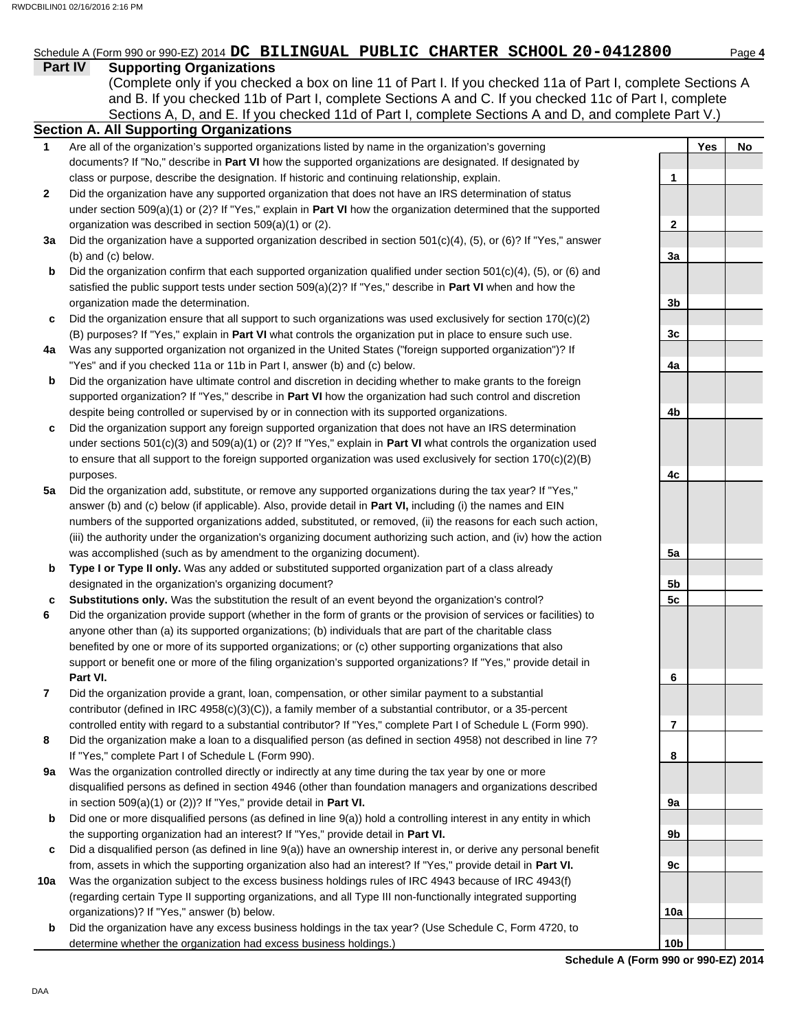**Part IV Supporting Organizations** Sections A, D, and E. If you checked 11d of Part I, complete Sections A and D, and complete Part V.) Schedule A (Form 990 or 990-EZ) 2014 **DC BILINGUAL PUBLIC CHARTER SCHOOL 20-0412800** Page 4 **Section A. All Supporting Organizations** (Complete only if you checked a box on line 11 of Part I. If you checked 11a of Part I, complete Sections A and B. If you checked 11b of Part I, complete Sections A and C. If you checked 11c of Part I, complete Are all of the organization's supported organizations listed by name in the organization's governing documents? If "No," describe in **Part VI** how the supported organizations are designated. If designated by class or purpose, describe the designation. If historic and continuing relationship, explain. Did the organization have any supported organization that does not have an IRS determination of status under section 509(a)(1) or (2)? If "Yes," explain in **Part VI** how the organization determined that the supported organization was described in section 509(a)(1) or (2). **1 2 3a** Did the organization have a supported organization described in section 501(c)(4), (5), or (6)? If "Yes," answer **b c 4a b c** Did the organization support any foreign supported organization that does not have an IRS determination **5a** Did the organization add, substitute, or remove any supported organizations during the tax year? If "Yes," **b c 7 8 9a b c 10a b** (b) and (c) below. Did the organization confirm that each supported organization qualified under section  $501(c)(4)$ ,  $(5)$ , or  $(6)$  and satisfied the public support tests under section 509(a)(2)? If "Yes," describe in **Part VI** when and how the organization made the determination. Did the organization ensure that all support to such organizations was used exclusively for section 170(c)(2) (B) purposes? If "Yes," explain in **Part VI** what controls the organization put in place to ensure such use. Was any supported organization not organized in the United States ("foreign supported organization")? If "Yes" and if you checked 11a or 11b in Part I, answer (b) and (c) below. Did the organization have ultimate control and discretion in deciding whether to make grants to the foreign supported organization? If "Yes," describe in **Part VI** how the organization had such control and discretion despite being controlled or supervised by or in connection with its supported organizations. under sections 501(c)(3) and 509(a)(1) or (2)? If "Yes," explain in **Part VI** what controls the organization used to ensure that all support to the foreign supported organization was used exclusively for section 170(c)(2)(B) purposes. answer (b) and (c) below (if applicable). Also, provide detail in **Part VI,** including (i) the names and EIN numbers of the supported organizations added, substituted, or removed, (ii) the reasons for each such action, (iii) the authority under the organization's organizing document authorizing such action, and (iv) how the action was accomplished (such as by amendment to the organizing document). **Type I or Type II only.** Was any added or substituted supported organization part of a class already designated in the organization's organizing document? **Substitutions only.** Was the substitution the result of an event beyond the organization's control? Did the organization provide support (whether in the form of grants or the provision of services or facilities) to anyone other than (a) its supported organizations; (b) individuals that are part of the charitable class benefited by one or more of its supported organizations; or (c) other supporting organizations that also support or benefit one or more of the filing organization's supported organizations? If "Yes," provide detail in **Part VI.** Did the organization provide a grant, loan, compensation, or other similar payment to a substantial contributor (defined in IRC 4958(c)(3)(C)), a family member of a substantial contributor, or a 35-percent controlled entity with regard to a substantial contributor? If "Yes," complete Part I of Schedule L (Form 990). Did the organization make a loan to a disqualified person (as defined in section 4958) not described in line 7? If "Yes," complete Part I of Schedule L (Form 990). Was the organization controlled directly or indirectly at any time during the tax year by one or more disqualified persons as defined in section 4946 (other than foundation managers and organizations described in section 509(a)(1) or (2))? If "Yes," provide detail in **Part VI.** Did one or more disqualified persons (as defined in line 9(a)) hold a controlling interest in any entity in which the supporting organization had an interest? If "Yes," provide detail in **Part VI.** Did a disqualified person (as defined in line 9(a)) have an ownership interest in, or derive any personal benefit from, assets in which the supporting organization also had an interest? If "Yes," provide detail in **Part VI.** Was the organization subject to the excess business holdings rules of IRC 4943 because of IRC 4943(f) (regarding certain Type II supporting organizations, and all Type III non-functionally integrated supporting organizations)? If "Yes," answer (b) below. Did the organization have any excess business holdings in the tax year? (Use Schedule C, Form 4720, to **Yes No 1 2 3a 3b 3c 4a 4b 4c 5a 5b 5c 6 7 8 9a 9b 9c 10a**

**Schedule A (Form 990 or 990-EZ) 2014**

**10b**

determine whether the organization had excess business holdings.)

**6**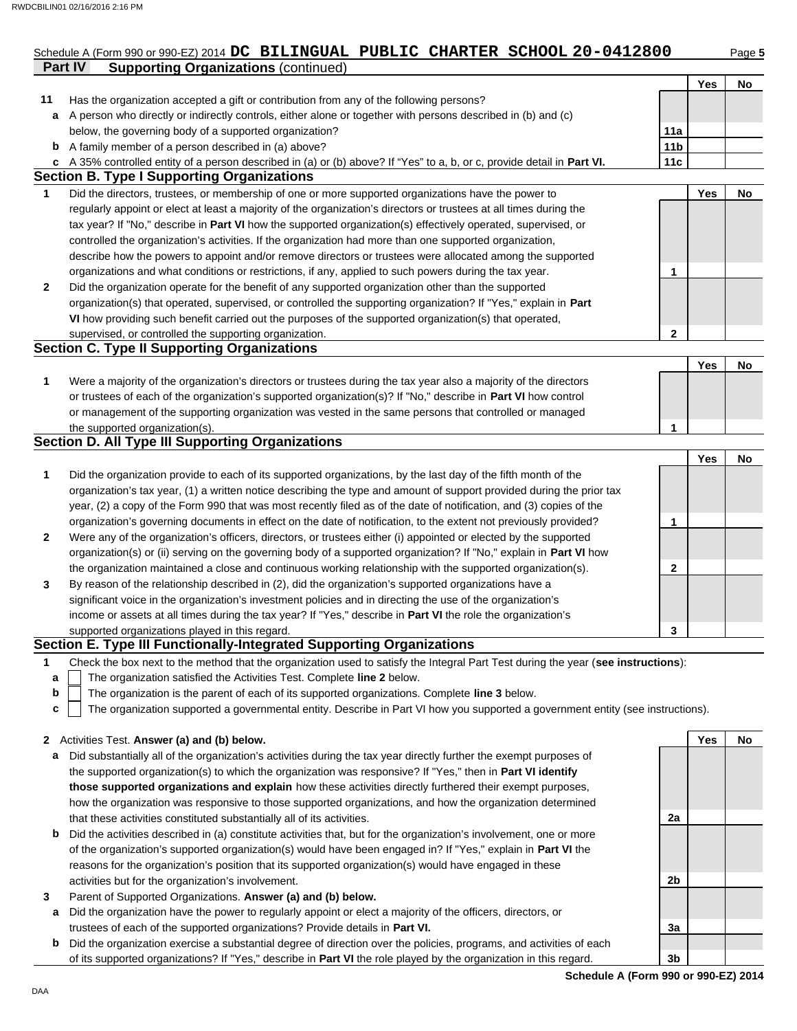## **Part IV Supporting Organizations** (continued) Schedule A (Form 990 or 990-EZ) 2014 **DC BILINGUAL PUBLIC CHARTER SCHOOL 20-0412800** Page 5

|              |                                                                                                                                   |                 | Yes | No |
|--------------|-----------------------------------------------------------------------------------------------------------------------------------|-----------------|-----|----|
| 11           | Has the organization accepted a gift or contribution from any of the following persons?                                           |                 |     |    |
| a            | A person who directly or indirectly controls, either alone or together with persons described in (b) and (c)                      |                 |     |    |
|              | below, the governing body of a supported organization?                                                                            | 11a             |     |    |
| b            | A family member of a person described in (a) above?                                                                               | 11 <sub>b</sub> |     |    |
|              | c A 35% controlled entity of a person described in (a) or (b) above? If "Yes" to a, b, or c, provide detail in Part VI.           | 11c             |     |    |
|              | <b>Section B. Type I Supporting Organizations</b>                                                                                 |                 |     |    |
| 1            | Did the directors, trustees, or membership of one or more supported organizations have the power to                               |                 | Yes | No |
|              | regularly appoint or elect at least a majority of the organization's directors or trustees at all times during the                |                 |     |    |
|              | tax year? If "No," describe in Part VI how the supported organization(s) effectively operated, supervised, or                     |                 |     |    |
|              | controlled the organization's activities. If the organization had more than one supported organization,                           |                 |     |    |
|              | describe how the powers to appoint and/or remove directors or trustees were allocated among the supported                         |                 |     |    |
|              | organizations and what conditions or restrictions, if any, applied to such powers during the tax year.                            | 1               |     |    |
| $\mathbf{2}$ | Did the organization operate for the benefit of any supported organization other than the supported                               |                 |     |    |
|              | organization(s) that operated, supervised, or controlled the supporting organization? If "Yes," explain in Part                   |                 |     |    |
|              | VI how providing such benefit carried out the purposes of the supported organization(s) that operated,                            |                 |     |    |
|              | supervised, or controlled the supporting organization.                                                                            | 2               |     |    |
|              | <b>Section C. Type II Supporting Organizations</b>                                                                                |                 |     |    |
|              |                                                                                                                                   |                 | Yes | No |
| 1            | Were a majority of the organization's directors or trustees during the tax year also a majority of the directors                  |                 |     |    |
|              | or trustees of each of the organization's supported organization(s)? If "No," describe in Part VI how control                     |                 |     |    |
|              | or management of the supporting organization was vested in the same persons that controlled or managed                            |                 |     |    |
|              | the supported organization(s).                                                                                                    | 1               |     |    |
|              | <b>Section D. All Type III Supporting Organizations</b>                                                                           |                 |     |    |
|              |                                                                                                                                   |                 | Yes | No |
| 1            | Did the organization provide to each of its supported organizations, by the last day of the fifth month of the                    |                 |     |    |
|              | organization's tax year, (1) a written notice describing the type and amount of support provided during the prior tax             |                 |     |    |
|              | year, (2) a copy of the Form 990 that was most recently filed as of the date of notification, and (3) copies of the               |                 |     |    |
|              | organization's governing documents in effect on the date of notification, to the extent not previously provided?                  | 1               |     |    |
| $\mathbf{2}$ | Were any of the organization's officers, directors, or trustees either (i) appointed or elected by the supported                  |                 |     |    |
|              | organization(s) or (ii) serving on the governing body of a supported organization? If "No," explain in Part VI how                |                 |     |    |
|              | the organization maintained a close and continuous working relationship with the supported organization(s).                       | 2               |     |    |
| 3            | By reason of the relationship described in (2), did the organization's supported organizations have a                             |                 |     |    |
|              | significant voice in the organization's investment policies and in directing the use of the organization's                        |                 |     |    |
|              | income or assets at all times during the tax year? If "Yes," describe in Part VI the role the organization's                      |                 |     |    |
|              | supported organizations played in this regard.                                                                                    | 3               |     |    |
|              | Section E. Type III Functionally-Integrated Supporting Organizations                                                              |                 |     |    |
| 1            | Check the box next to the method that the organization used to satisfy the Integral Part Test during the year (see instructions): |                 |     |    |
| а            | The organization satisfied the Activities Test. Complete line 2 below.                                                            |                 |     |    |
| b            | The organization is the parent of each of its supported organizations. Complete line 3 below.                                     |                 |     |    |
| c            | The organization supported a governmental entity. Describe in Part VI how you supported a government entity (see instructions).   |                 |     |    |
|              |                                                                                                                                   |                 |     |    |
| $\mathbf{z}$ | Activities Test. Answer (a) and (b) below.                                                                                        |                 | Yes | No |
| а            | Did substantially all of the organization's activities during the tax year directly further the exempt purposes of                |                 |     |    |
|              | the supported organization(s) to which the organization was responsive? If "Yes," then in Part VI identify                        |                 |     |    |
|              | those supported organizations and explain how these activities directly furthered their exempt purposes,                          |                 |     |    |
|              | how the organization was responsive to those supported organizations, and how the organization determined                         |                 |     |    |
|              | that these activities constituted substantially all of its activities.                                                            | 2a              |     |    |
| b            | Did the activities described in (a) constitute activities that, but for the organization's involvement, one or more               |                 |     |    |
|              | of the organization's supported organization(s) would have been engaged in? If "Yes," explain in Part VI the                      |                 |     |    |
|              | reasons for the organization's position that its supported organization(s) would have engaged in these                            |                 |     |    |
|              | activities but for the organization's involvement.                                                                                | 2 <sub>b</sub>  |     |    |
| 3            | Parent of Supported Organizations. Answer (a) and (b) below.                                                                      |                 |     |    |
| a            | Did the organization have the power to regularly appoint or elect a majority of the officers, directors, or                       |                 |     |    |
|              | trustees of each of the supported organizations? Provide details in Part VI.                                                      | 3a              |     |    |
| b            | Did the organization exercise a substantial degree of direction over the policies, programs, and activities of each               |                 |     |    |
|              | of its supported organizations? If "Yes," describe in Part VI the role played by the organization in this regard.                 | 3 <sub>b</sub>  |     |    |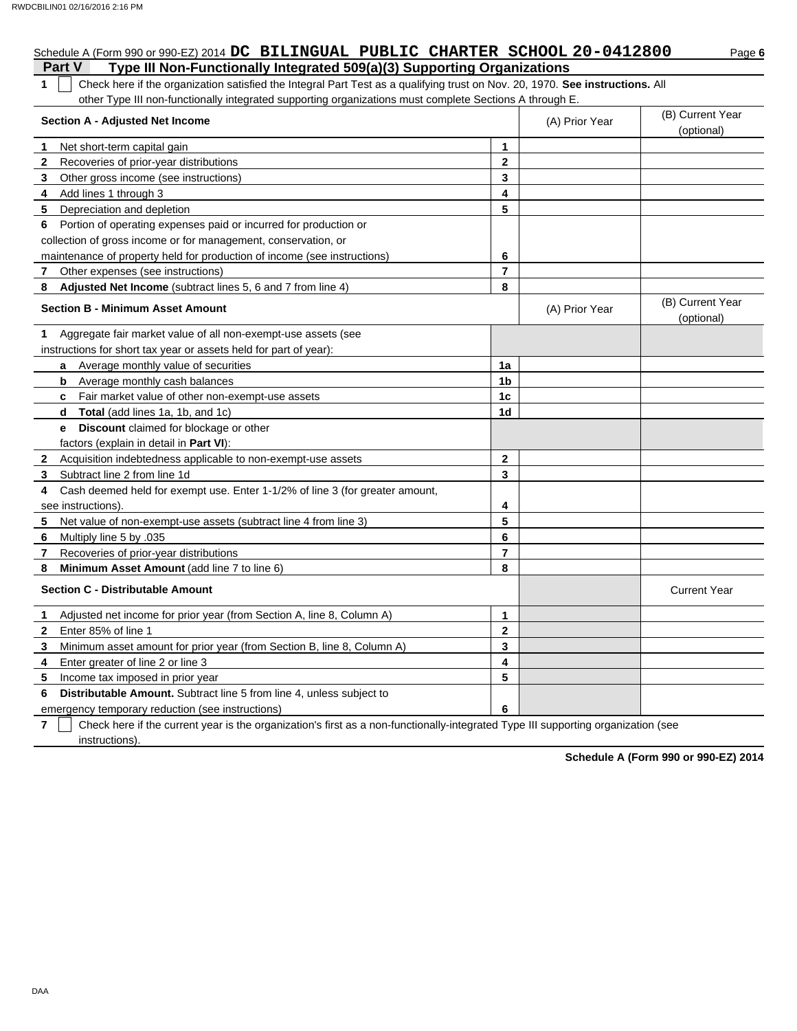# Schedule A (Form 990 or 990-EZ) 2014 **DC BILINGUAL PUBLIC CHARTER SCHOOL 20-0412800** Page 6

## **Part V Type III Non-Functionally Integrated 509(a)(3) Supporting Organizations**

**1** Check here if the organization satisfied the Integral Part Test as a qualifying trust on Nov. 20, 1970. **See instructions.** All other Type III non-functionally integrated supporting organizations must complete Sections A through E.

|              | <b>Section A - Adjusted Net Income</b>                                       |                | (A) Prior Year | (B) Current Year<br>(optional) |
|--------------|------------------------------------------------------------------------------|----------------|----------------|--------------------------------|
| 1            | Net short-term capital gain                                                  | 1              |                |                                |
| $\mathbf{2}$ | Recoveries of prior-year distributions                                       | $\mathbf{2}$   |                |                                |
| 3            | Other gross income (see instructions)                                        | 3              |                |                                |
| 4            | Add lines 1 through 3                                                        | 4              |                |                                |
| 5            | Depreciation and depletion                                                   | 5              |                |                                |
| 6            | Portion of operating expenses paid or incurred for production or             |                |                |                                |
|              | collection of gross income or for management, conservation, or               |                |                |                                |
|              | maintenance of property held for production of income (see instructions)     | 6              |                |                                |
| 7            | Other expenses (see instructions)                                            | $\overline{7}$ |                |                                |
| 8            | Adjusted Net Income (subtract lines 5, 6 and 7 from line 4)                  | 8              |                |                                |
|              | <b>Section B - Minimum Asset Amount</b>                                      |                | (A) Prior Year | (B) Current Year<br>(optional) |
| 1.           | Aggregate fair market value of all non-exempt-use assets (see                |                |                |                                |
|              | instructions for short tax year or assets held for part of year):            |                |                |                                |
|              | Average monthly value of securities<br>a                                     | 1a             |                |                                |
|              | Average monthly cash balances<br>b                                           | 1 <sub>b</sub> |                |                                |
|              | Fair market value of other non-exempt-use assets<br>C.                       | 1c             |                |                                |
|              | <b>Total</b> (add lines 1a, 1b, and 1c)<br>d                                 | 1d             |                |                                |
|              | Discount claimed for blockage or other<br>е                                  |                |                |                                |
|              | factors (explain in detail in <b>Part VI)</b> :                              |                |                |                                |
| $\mathbf{2}$ | Acquisition indebtedness applicable to non-exempt-use assets                 | $\mathbf{2}$   |                |                                |
| 3            | Subtract line 2 from line 1d                                                 | 3              |                |                                |
| 4            | Cash deemed held for exempt use. Enter 1-1/2% of line 3 (for greater amount, |                |                |                                |
|              | see instructions)                                                            | 4              |                |                                |
| 5.           | Net value of non-exempt-use assets (subtract line 4 from line 3)             | 5              |                |                                |
| 6            | Multiply line 5 by .035                                                      | 6              |                |                                |
| $\mathbf{7}$ | Recoveries of prior-year distributions                                       | $\overline{7}$ |                |                                |
| 8            | Minimum Asset Amount (add line 7 to line 6)                                  | 8              |                |                                |
|              | <b>Section C - Distributable Amount</b>                                      |                |                | <b>Current Year</b>            |
| $\mathbf{1}$ | Adjusted net income for prior year (from Section A, line 8, Column A)        | 1              |                |                                |
| $\mathbf{2}$ | Enter 85% of line 1                                                          | $\mathbf{2}$   |                |                                |
| 3            | Minimum asset amount for prior year (from Section B, line 8, Column A)       | 3              |                |                                |
| 4            | Enter greater of line 2 or line 3                                            | 4              |                |                                |
| 5            | Income tax imposed in prior year                                             | 5              |                |                                |
| 6            | Distributable Amount. Subtract line 5 from line 4, unless subject to         |                |                |                                |
|              | emergency temporary reduction (see instructions)                             | 6              |                |                                |

**7** instructions). Check here if the current year is the organization's first as a non-functionally-integrated Type III supporting organization (see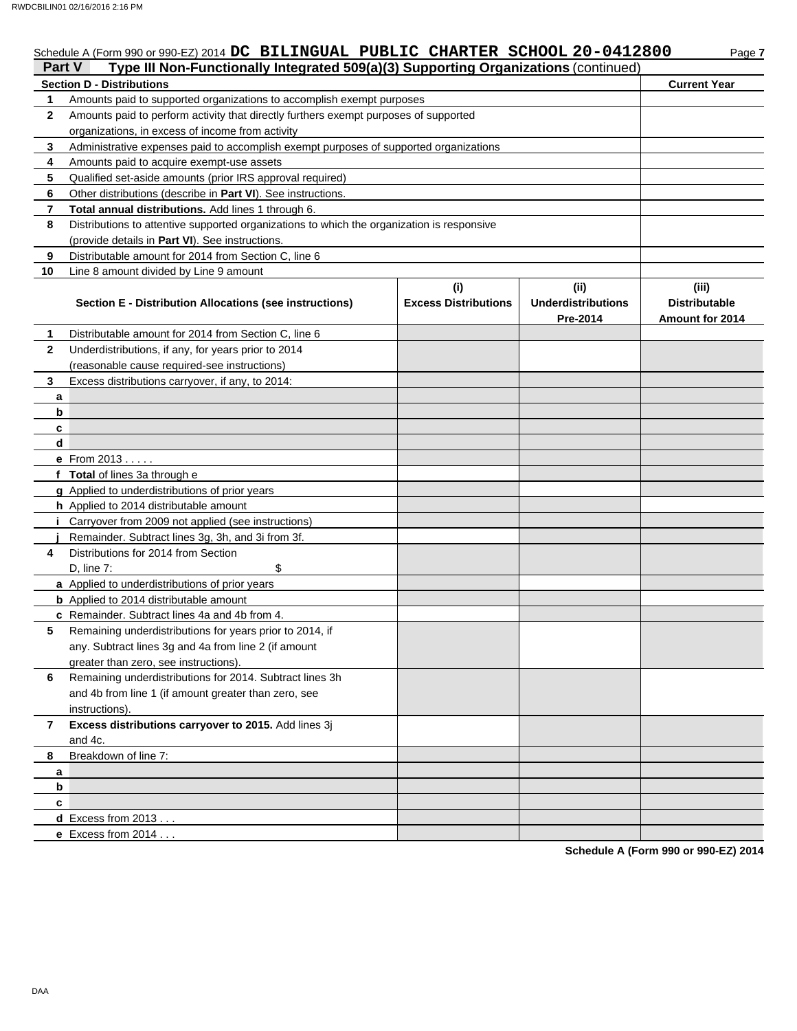# Schedule A (Form 990 or 990-EZ) 2014 **DC BILINGUAL PUBLIC CHARTER SCHOOL 20-0412800** Page 7

| Part V<br>Type III Non-Functionally Integrated 509(a)(3) Supporting Organizations (continued) |                                                                                                 |                                    |                                               |                                                  |  |  |  |
|-----------------------------------------------------------------------------------------------|-------------------------------------------------------------------------------------------------|------------------------------------|-----------------------------------------------|--------------------------------------------------|--|--|--|
| <b>Section D - Distributions</b>                                                              | <b>Current Year</b>                                                                             |                                    |                                               |                                                  |  |  |  |
| 1                                                                                             | Amounts paid to supported organizations to accomplish exempt purposes                           |                                    |                                               |                                                  |  |  |  |
| 2                                                                                             | Amounts paid to perform activity that directly furthers exempt purposes of supported            |                                    |                                               |                                                  |  |  |  |
|                                                                                               | organizations, in excess of income from activity                                                |                                    |                                               |                                                  |  |  |  |
| 3                                                                                             | Administrative expenses paid to accomplish exempt purposes of supported organizations           |                                    |                                               |                                                  |  |  |  |
| 4                                                                                             | Amounts paid to acquire exempt-use assets                                                       |                                    |                                               |                                                  |  |  |  |
| 5                                                                                             | Qualified set-aside amounts (prior IRS approval required)                                       |                                    |                                               |                                                  |  |  |  |
| 6                                                                                             | Other distributions (describe in Part VI). See instructions.                                    |                                    |                                               |                                                  |  |  |  |
| 7                                                                                             | Total annual distributions. Add lines 1 through 6.                                              |                                    |                                               |                                                  |  |  |  |
| 8                                                                                             | Distributions to attentive supported organizations to which the organization is responsive      |                                    |                                               |                                                  |  |  |  |
|                                                                                               | (provide details in Part VI). See instructions.                                                 |                                    |                                               |                                                  |  |  |  |
| 9                                                                                             | Distributable amount for 2014 from Section C, line 6                                            |                                    |                                               |                                                  |  |  |  |
| 10                                                                                            | Line 8 amount divided by Line 9 amount                                                          |                                    |                                               |                                                  |  |  |  |
|                                                                                               | Section E - Distribution Allocations (see instructions)                                         | (i)<br><b>Excess Distributions</b> | (ii)<br><b>Underdistributions</b><br>Pre-2014 | (iii)<br><b>Distributable</b><br>Amount for 2014 |  |  |  |
| 1.                                                                                            | Distributable amount for 2014 from Section C, line 6                                            |                                    |                                               |                                                  |  |  |  |
| 2                                                                                             | Underdistributions, if any, for years prior to 2014                                             |                                    |                                               |                                                  |  |  |  |
|                                                                                               | (reasonable cause required-see instructions)                                                    |                                    |                                               |                                                  |  |  |  |
| 3                                                                                             | Excess distributions carryover, if any, to 2014:                                                |                                    |                                               |                                                  |  |  |  |
| a                                                                                             |                                                                                                 |                                    |                                               |                                                  |  |  |  |
|                                                                                               | b                                                                                               |                                    |                                               |                                                  |  |  |  |
| c                                                                                             |                                                                                                 |                                    |                                               |                                                  |  |  |  |
|                                                                                               | d                                                                                               |                                    |                                               |                                                  |  |  |  |
|                                                                                               | e From 2013                                                                                     |                                    |                                               |                                                  |  |  |  |
|                                                                                               | f Total of lines 3a through e                                                                   |                                    |                                               |                                                  |  |  |  |
|                                                                                               | <b>g</b> Applied to underdistributions of prior years                                           |                                    |                                               |                                                  |  |  |  |
|                                                                                               | h Applied to 2014 distributable amount                                                          |                                    |                                               |                                                  |  |  |  |
|                                                                                               | Carryover from 2009 not applied (see instructions)                                              |                                    |                                               |                                                  |  |  |  |
|                                                                                               | Remainder. Subtract lines 3g, 3h, and 3i from 3f.                                               |                                    |                                               |                                                  |  |  |  |
| 4                                                                                             | Distributions for 2014 from Section                                                             |                                    |                                               |                                                  |  |  |  |
|                                                                                               | $D$ , line $7$ :<br>\$                                                                          |                                    |                                               |                                                  |  |  |  |
|                                                                                               | a Applied to underdistributions of prior years<br><b>b</b> Applied to 2014 distributable amount |                                    |                                               |                                                  |  |  |  |
|                                                                                               | <b>c</b> Remainder, Subtract lines 4a and 4b from 4.                                            |                                    |                                               |                                                  |  |  |  |
| 5                                                                                             | Remaining underdistributions for years prior to 2014, if                                        |                                    |                                               |                                                  |  |  |  |
|                                                                                               | any. Subtract lines 3g and 4a from line 2 (if amount                                            |                                    |                                               |                                                  |  |  |  |
|                                                                                               | greater than zero, see instructions).                                                           |                                    |                                               |                                                  |  |  |  |
| 6                                                                                             | Remaining underdistributions for 2014. Subtract lines 3h                                        |                                    |                                               |                                                  |  |  |  |
|                                                                                               | and 4b from line 1 (if amount greater than zero, see                                            |                                    |                                               |                                                  |  |  |  |
|                                                                                               | instructions).                                                                                  |                                    |                                               |                                                  |  |  |  |
| 7                                                                                             | Excess distributions carryover to 2015. Add lines 3j<br>and 4c.                                 |                                    |                                               |                                                  |  |  |  |
| 8                                                                                             | Breakdown of line 7:                                                                            |                                    |                                               |                                                  |  |  |  |
| a                                                                                             |                                                                                                 |                                    |                                               |                                                  |  |  |  |
| b                                                                                             |                                                                                                 |                                    |                                               |                                                  |  |  |  |
| c                                                                                             |                                                                                                 |                                    |                                               |                                                  |  |  |  |
|                                                                                               | <b>d</b> Excess from $2013$                                                                     |                                    |                                               |                                                  |  |  |  |
|                                                                                               | <b>e</b> Excess from $2014$                                                                     |                                    |                                               |                                                  |  |  |  |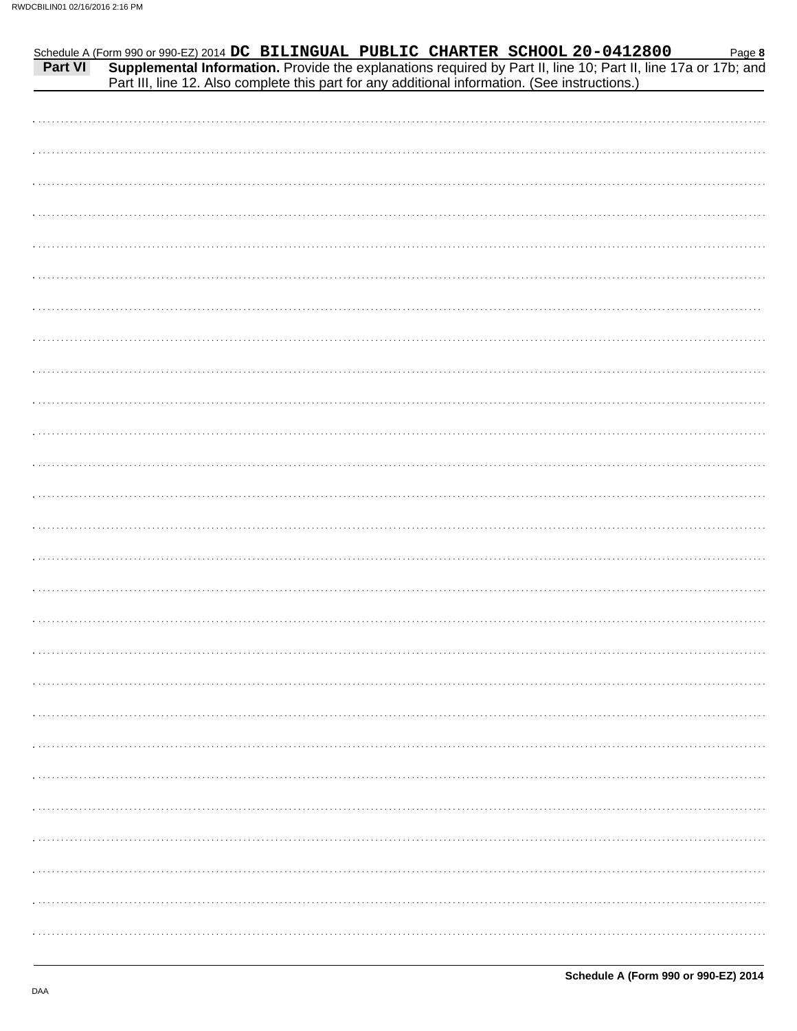| CBILIN01 02/16/2016 2:16 PM |                                                                                                                                                                                                                                                                                                                       |
|-----------------------------|-----------------------------------------------------------------------------------------------------------------------------------------------------------------------------------------------------------------------------------------------------------------------------------------------------------------------|
|                             | Schedule A (Form 990 or 990-EZ) 2014 DC BILINGUAL PUBLIC CHARTER SCHOOL 20-0412800 Page 8<br>Part VI Supplemental Information. Provide the explanations required by Part II, line 10; Part II, line 17a or 17b; and<br>Part III, line 12. Also complete this part for any additional information. (See instructions.) |
|                             |                                                                                                                                                                                                                                                                                                                       |
|                             |                                                                                                                                                                                                                                                                                                                       |
|                             |                                                                                                                                                                                                                                                                                                                       |
|                             |                                                                                                                                                                                                                                                                                                                       |
|                             |                                                                                                                                                                                                                                                                                                                       |
|                             |                                                                                                                                                                                                                                                                                                                       |
|                             |                                                                                                                                                                                                                                                                                                                       |
|                             |                                                                                                                                                                                                                                                                                                                       |
|                             |                                                                                                                                                                                                                                                                                                                       |
|                             |                                                                                                                                                                                                                                                                                                                       |
|                             |                                                                                                                                                                                                                                                                                                                       |
|                             |                                                                                                                                                                                                                                                                                                                       |
|                             |                                                                                                                                                                                                                                                                                                                       |
|                             |                                                                                                                                                                                                                                                                                                                       |
|                             |                                                                                                                                                                                                                                                                                                                       |
|                             |                                                                                                                                                                                                                                                                                                                       |
|                             |                                                                                                                                                                                                                                                                                                                       |
|                             |                                                                                                                                                                                                                                                                                                                       |
|                             |                                                                                                                                                                                                                                                                                                                       |
|                             |                                                                                                                                                                                                                                                                                                                       |
|                             |                                                                                                                                                                                                                                                                                                                       |
|                             |                                                                                                                                                                                                                                                                                                                       |
|                             |                                                                                                                                                                                                                                                                                                                       |
|                             |                                                                                                                                                                                                                                                                                                                       |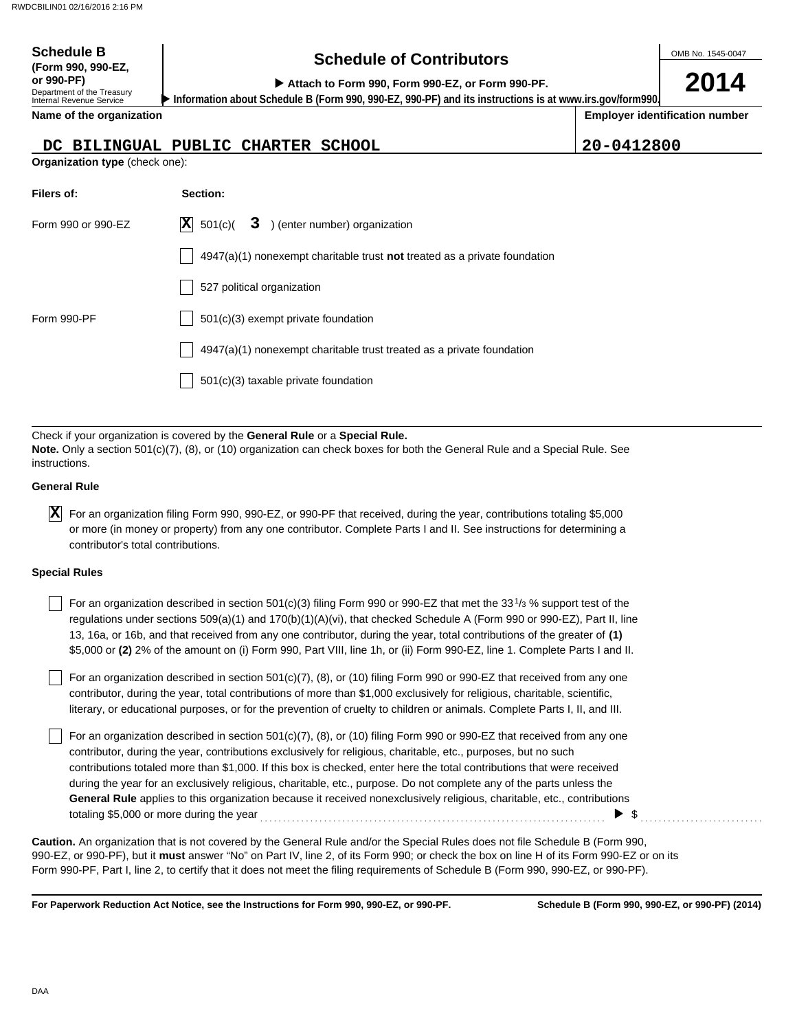| <b>Schedule B</b>                                                                          | <b>Schedule of Contributors</b>                                                                                                                                                                             |            | OMB No. 1545-0047                     |
|--------------------------------------------------------------------------------------------|-------------------------------------------------------------------------------------------------------------------------------------------------------------------------------------------------------------|------------|---------------------------------------|
| (Form 990, 990-EZ,<br>or 990-PF)<br>Department of the Treasury<br>Internal Revenue Service | Attach to Form 990, Form 990-EZ, or Form 990-PF.<br>Information about Schedule B (Form 990, 990-EZ, 990-PF) and its instructions is at www.irs.gov/form990.                                                 |            | 2014                                  |
| Name of the organization                                                                   |                                                                                                                                                                                                             |            | <b>Employer identification number</b> |
|                                                                                            | DC BILINGUAL PUBLIC CHARTER SCHOOL                                                                                                                                                                          | 20-0412800 |                                       |
| Organization type (check one):                                                             |                                                                                                                                                                                                             |            |                                       |
| Filers of:                                                                                 | Section:                                                                                                                                                                                                    |            |                                       |
| Form 990 or 990-EZ                                                                         | $ {\bf X} $<br>3 ) (enter number) organization<br>501(c)(                                                                                                                                                   |            |                                       |
|                                                                                            | $4947(a)(1)$ nonexempt charitable trust <b>not</b> treated as a private foundation                                                                                                                          |            |                                       |
|                                                                                            | 527 political organization                                                                                                                                                                                  |            |                                       |
| Form 990-PF                                                                                | 501(c)(3) exempt private foundation                                                                                                                                                                         |            |                                       |
|                                                                                            | 4947(a)(1) nonexempt charitable trust treated as a private foundation                                                                                                                                       |            |                                       |
|                                                                                            | 501(c)(3) taxable private foundation                                                                                                                                                                        |            |                                       |
|                                                                                            |                                                                                                                                                                                                             |            |                                       |
| instructions.                                                                              | Check if your organization is covered by the General Rule or a Special Rule.<br>Note. Only a section 501(c)(7), (8), or (10) organization can check boxes for both the General Rule and a Special Rule. See |            |                                       |
| <b>General Rule</b>                                                                        |                                                                                                                                                                                                             |            |                                       |

| $\vert X \vert$ For an organization filing Form 990, 990-EZ, or 990-PF that received, during the year, contributions totaling \$5,000 |
|---------------------------------------------------------------------------------------------------------------------------------------|
| or more (in money or property) from any one contributor. Complete Parts I and II. See instructions for determining a                  |
| contributor's total contributions.                                                                                                    |

#### **Special Rules**

| For an organization described in section 501(c)(3) filing Form 990 or 990-EZ that met the 331/3 % support test of the       |
|-----------------------------------------------------------------------------------------------------------------------------|
| regulations under sections $509(a)(1)$ and $170(b)(1)(A)(vi)$ , that checked Schedule A (Form 990 or 990-EZ), Part II, line |
| 13, 16a, or 16b, and that received from any one contributor, during the year, total contributions of the greater of (1)     |
| \$5,000 or (2) 2% of the amount on (i) Form 990, Part VIII, line 1h, or (ii) Form 990-EZ, line 1. Complete Parts I and II.  |

literary, or educational purposes, or for the prevention of cruelty to children or animals. Complete Parts I, II, and III. For an organization described in section 501(c)(7), (8), or (10) filing Form 990 or 990-EZ that received from any one contributor, during the year, total contributions of more than \$1,000 exclusively for religious, charitable, scientific,

For an organization described in section 501(c)(7), (8), or (10) filing Form 990 or 990-EZ that received from any one contributor, during the year, contributions exclusively for religious, charitable, etc., purposes, but no such contributions totaled more than \$1,000. If this box is checked, enter here the total contributions that were received during the year for an exclusively religious, charitable, etc., purpose. Do not complete any of the parts unless the **General Rule** applies to this organization because it received nonexclusively religious, charitable, etc., contributions totaling \$5,000 or more during the year . . . . . . . . . . . . . . . . . . . . . . . . . . . . . . . . . . . . . . . . . . . . . . . . . . . . . . . . . . . . . . . . . . . . . . . . . . . . \$ . . . . . . . . . . . . . . . . . . . . . . . . . . .

990-EZ, or 990-PF), but it **must** answer "No" on Part IV, line 2, of its Form 990; or check the box on line H of its Form 990-EZ or on its Form 990-PF, Part I, line 2, to certify that it does not meet the filing requirements of Schedule B (Form 990, 990-EZ, or 990-PF). **Caution.** An organization that is not covered by the General Rule and/or the Special Rules does not file Schedule B (Form 990,

**For Paperwork Reduction Act Notice, see the Instructions for Form 990, 990-EZ, or 990-PF.**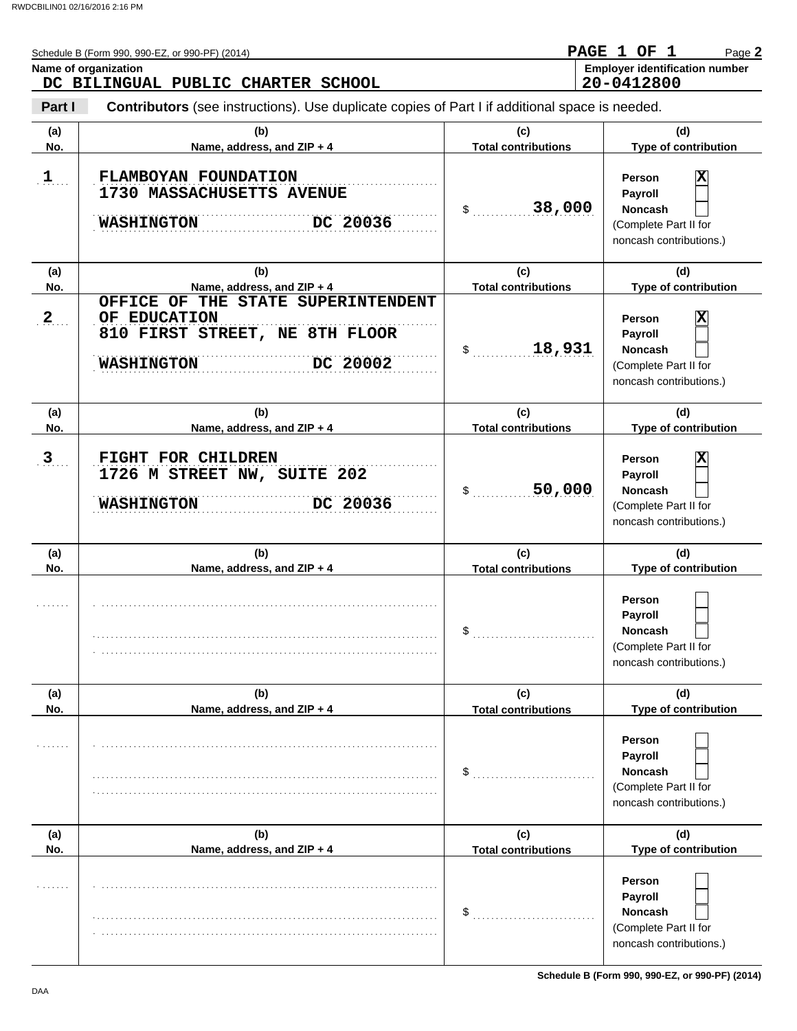|            | Schedule B (Form 990, 990-EZ, or 990-PF) (2014)<br>Name of organization<br>DC BILINGUAL PUBLIC CHARTER SCHOOL         |                                   | PAGE 1 OF 1<br>Page 2<br><b>Employer identification number</b><br>20-0412800                                |
|------------|-----------------------------------------------------------------------------------------------------------------------|-----------------------------------|-------------------------------------------------------------------------------------------------------------|
| Part I     | Contributors (see instructions). Use duplicate copies of Part I if additional space is needed.                        |                                   |                                                                                                             |
| (a)<br>No. | (b)<br>Name, address, and ZIP + 4                                                                                     | (c)<br><b>Total contributions</b> | (d)<br>Type of contribution                                                                                 |
| $1$        | FLAMBOYAN FOUNDATION<br>1730 MASSACHUSETTS AVENUE<br>DC 20036<br><b>WASHINGTON</b>                                    | 38,000<br>$\mathsf{\$}$           | $\overline{\mathbf{x}}$<br>Person<br>Payroll<br>Noncash<br>(Complete Part II for<br>noncash contributions.) |
| (a)<br>No. | (b)<br>Name, address, and ZIP + 4                                                                                     | (c)<br><b>Total contributions</b> | (d)<br>Type of contribution                                                                                 |
| 2          | OFFICE OF THE STATE SUPERINTENDENT<br>OF EDUCATION<br>810 FIRST STREET, NE 8TH FLOOR<br>DC 20002<br><b>WASHINGTON</b> | 18,931<br>$\mathsf{\$}$           | $\overline{\mathbf{x}}$<br>Person<br>Payroll<br>Noncash<br>(Complete Part II for<br>noncash contributions.) |
| (a)<br>No. | (b)<br>Name, address, and ZIP + 4                                                                                     | (c)<br><b>Total contributions</b> | (d)<br>Type of contribution                                                                                 |
| 3          | FIGHT FOR CHILDREN<br>1726 M STREET NW, SUITE 202<br>DC 20036<br><b>WASHINGTON</b>                                    | 50,000<br>$\mathsf{\$}$           | $\overline{\mathbf{x}}$<br>Person<br>Payroll<br>Noncash<br>(Complete Part II for<br>noncash contributions.) |
| (a)<br>No. | (b)<br>Name, address, and ZIP + 4                                                                                     | (c)<br><b>Total contributions</b> | (d)<br>Type of contribution                                                                                 |
|            |                                                                                                                       | \$                                | Person<br><b>Payroll</b><br>Noncash<br>(Complete Part II for<br>noncash contributions.)                     |
| (a)<br>No. | (b)<br>Name, address, and ZIP + 4                                                                                     | (c)<br><b>Total contributions</b> | (d)<br>Type of contribution                                                                                 |
|            |                                                                                                                       | \$                                | Person<br>Payroll<br>Noncash<br>(Complete Part II for<br>noncash contributions.)                            |
| (a)<br>No. | (b)<br>Name, address, and ZIP + 4                                                                                     | (c)<br><b>Total contributions</b> | (d)<br>Type of contribution                                                                                 |
|            |                                                                                                                       | \$                                | Person<br>Payroll<br><b>Noncash</b><br>(Complete Part II for<br>noncash contributions.)                     |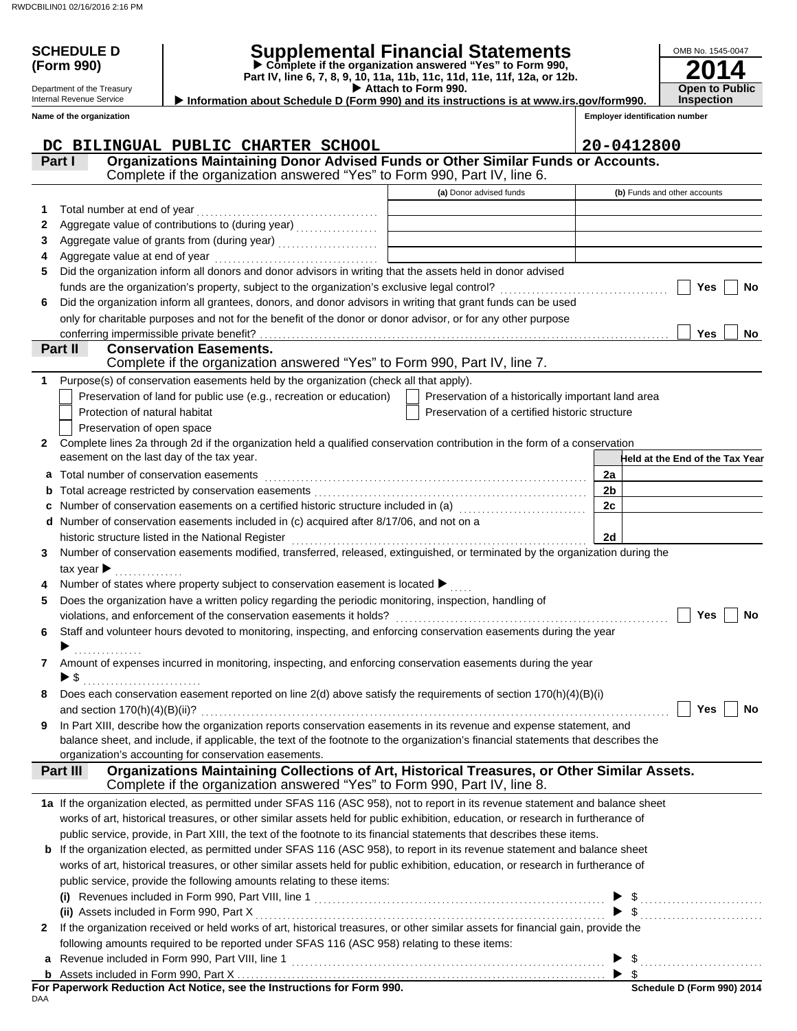# **SCHEDULE D Supplemental Financial Statements**

 **Attach to Form 990. (Form 990) Part IV, line 6, 7, 8, 9, 10, 11a, 11b, 11c, 11d, 11e, 11f, 12a, or 12b. Complete if the organization answered "Yes" to Form 990,**

**Open to Public Inspection Information about Schedule D (Form 990) and its instructions is at www.irs.gov/form990.**

Internal Revenue Service **Name of the organization**

Department of the Treasury

| <b>Employer identification number</b> |  |
|---------------------------------------|--|
|                                       |  |

**2014**

OMB No. 1545-0047

|    | DC BILINGUAL PUBLIC CHARTER SCHOOL                                                                                                                                         |                                                    | 20-0412800                      |
|----|----------------------------------------------------------------------------------------------------------------------------------------------------------------------------|----------------------------------------------------|---------------------------------|
|    | Organizations Maintaining Donor Advised Funds or Other Similar Funds or Accounts.<br>Part I                                                                                |                                                    |                                 |
|    | Complete if the organization answered "Yes" to Form 990, Part IV, line 6.                                                                                                  |                                                    |                                 |
|    |                                                                                                                                                                            | (a) Donor advised funds                            | (b) Funds and other accounts    |
| 1. | Total number at end of year                                                                                                                                                |                                                    |                                 |
| 2  | Aggregate value of contributions to (during year) [11] Aggregate value of contributions to (during year)                                                                   |                                                    |                                 |
| 3  | Aggregate value of grants from (during year)                                                                                                                               |                                                    |                                 |
| 4  |                                                                                                                                                                            |                                                    |                                 |
| 5  | Did the organization inform all donors and donor advisors in writing that the assets held in donor advised                                                                 |                                                    |                                 |
|    |                                                                                                                                                                            |                                                    | Yes<br><b>No</b>                |
| 6  | Did the organization inform all grantees, donors, and donor advisors in writing that grant funds can be used                                                               |                                                    |                                 |
|    | only for charitable purposes and not for the benefit of the donor or donor advisor, or for any other purpose                                                               |                                                    |                                 |
|    | conferring impermissible private benefit?                                                                                                                                  |                                                    | Yes<br>No                       |
|    | <b>Conservation Easements.</b><br>Part II                                                                                                                                  |                                                    |                                 |
|    | Complete if the organization answered "Yes" to Form 990, Part IV, line 7.                                                                                                  |                                                    |                                 |
| 1  | Purpose(s) of conservation easements held by the organization (check all that apply).                                                                                      |                                                    |                                 |
|    | Preservation of land for public use (e.g., recreation or education)                                                                                                        | Preservation of a historically important land area |                                 |
|    | Protection of natural habitat                                                                                                                                              | Preservation of a certified historic structure     |                                 |
|    | Preservation of open space                                                                                                                                                 |                                                    |                                 |
| 2  | Complete lines 2a through 2d if the organization held a qualified conservation contribution in the form of a conservation                                                  |                                                    |                                 |
|    | easement on the last day of the tax year.                                                                                                                                  |                                                    | Held at the End of the Tax Year |
| a  | Total number of conservation easements                                                                                                                                     |                                                    | 2a                              |
| b  |                                                                                                                                                                            |                                                    | 2 <sub>b</sub>                  |
|    | Number of conservation easements on a certified historic structure included in (a) [11] Number of conservation easements on a certified historic structure included in (a) |                                                    | 2c                              |
|    | d Number of conservation easements included in (c) acquired after 8/17/06, and not on a                                                                                    |                                                    |                                 |
|    |                                                                                                                                                                            |                                                    | 2d                              |
| 3. | Number of conservation easements modified, transferred, released, extinguished, or terminated by the organization during the                                               |                                                    |                                 |
|    | tax year $\blacktriangleright$                                                                                                                                             |                                                    |                                 |
|    | Number of states where property subject to conservation easement is located >                                                                                              |                                                    |                                 |
| 5  | Does the organization have a written policy regarding the periodic monitoring, inspection, handling of                                                                     |                                                    |                                 |
|    |                                                                                                                                                                            |                                                    | Yes<br>No                       |
| 6  | Staff and volunteer hours devoted to monitoring, inspecting, and enforcing conservation easements during the year                                                          |                                                    |                                 |
|    |                                                                                                                                                                            |                                                    |                                 |
| 7  | Amount of expenses incurred in monitoring, inspecting, and enforcing conservation easements during the year                                                                |                                                    |                                 |
|    | ▶ \$                                                                                                                                                                       |                                                    |                                 |
| 8  | Does each conservation easement reported on line 2(d) above satisfy the requirements of section 170(h)(4)(B)(i)                                                            |                                                    |                                 |
|    |                                                                                                                                                                            |                                                    | Yes<br>No                       |
| 9  | In Part XIII, describe how the organization reports conservation easements in its revenue and expense statement, and                                                       |                                                    |                                 |
|    | balance sheet, and include, if applicable, the text of the footnote to the organization's financial statements that describes the                                          |                                                    |                                 |
|    | organization's accounting for conservation easements.                                                                                                                      |                                                    |                                 |
|    | Organizations Maintaining Collections of Art, Historical Treasures, or Other Similar Assets.<br>Part III                                                                   |                                                    |                                 |
|    | Complete if the organization answered "Yes" to Form 990, Part IV, line 8.                                                                                                  |                                                    |                                 |
|    | 1a If the organization elected, as permitted under SFAS 116 (ASC 958), not to report in its revenue statement and balance sheet                                            |                                                    |                                 |
|    | works of art, historical treasures, or other similar assets held for public exhibition, education, or research in furtherance of                                           |                                                    |                                 |
|    | public service, provide, in Part XIII, the text of the footnote to its financial statements that describes these items.                                                    |                                                    |                                 |
|    | <b>b</b> If the organization elected, as permitted under SFAS 116 (ASC 958), to report in its revenue statement and balance sheet                                          |                                                    |                                 |
|    | works of art, historical treasures, or other similar assets held for public exhibition, education, or research in furtherance of                                           |                                                    |                                 |
|    | public service, provide the following amounts relating to these items:                                                                                                     |                                                    |                                 |
|    |                                                                                                                                                                            |                                                    |                                 |
|    | (ii) Assets included in Form 990, Part X                                                                                                                                   |                                                    | $\$\ldots$                      |
| 2  | If the organization received or held works of art, historical treasures, or other similar assets for financial gain, provide the                                           |                                                    |                                 |
|    | following amounts required to be reported under SFAS 116 (ASC 958) relating to these items:                                                                                |                                                    |                                 |
|    |                                                                                                                                                                            |                                                    | - \$                            |
|    |                                                                                                                                                                            |                                                    |                                 |
|    | For Paperwork Reduction Act Notice, see the Instructions for Form 990.                                                                                                     |                                                    | Schedule D (Form 990) 2014      |

| For Paperwork Reduction Act Notice, see the Instructions for Form 990. |  |  |
|------------------------------------------------------------------------|--|--|
| DAA                                                                    |  |  |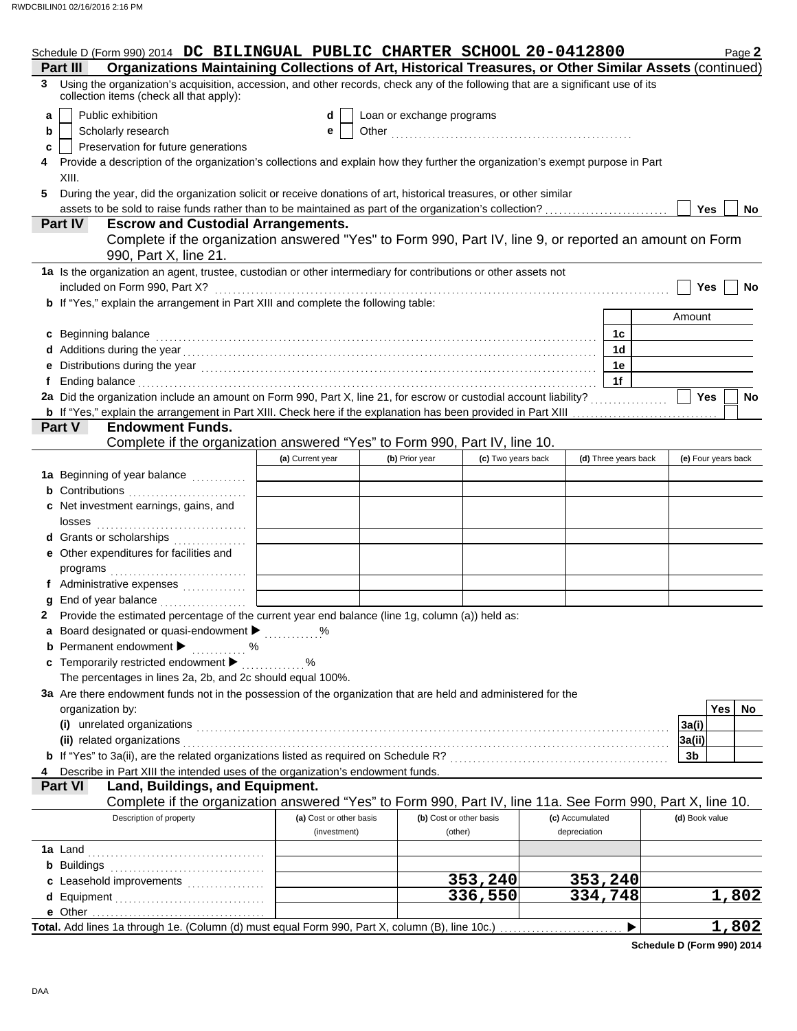|   | Schedule D (Form 990) 2014 DC BILINGUAL PUBLIC CHARTER SCHOOL 20-0412800                                                                                                                                                       |                         |                           |                         |                 |                      | Page 2              |
|---|--------------------------------------------------------------------------------------------------------------------------------------------------------------------------------------------------------------------------------|-------------------------|---------------------------|-------------------------|-----------------|----------------------|---------------------|
|   | Organizations Maintaining Collections of Art, Historical Treasures, or Other Similar Assets (continued)<br>Part III                                                                                                            |                         |                           |                         |                 |                      |                     |
|   | 3 Using the organization's acquisition, accession, and other records, check any of the following that are a significant use of its<br>collection items (check all that apply):                                                 |                         |                           |                         |                 |                      |                     |
| a | Public exhibition                                                                                                                                                                                                              | d                       | Loan or exchange programs |                         |                 |                      |                     |
| b | Scholarly research                                                                                                                                                                                                             | е                       |                           |                         |                 |                      |                     |
| c | Preservation for future generations                                                                                                                                                                                            |                         |                           |                         |                 |                      |                     |
|   | Provide a description of the organization's collections and explain how they further the organization's exempt purpose in Part                                                                                                 |                         |                           |                         |                 |                      |                     |
|   | XIII.                                                                                                                                                                                                                          |                         |                           |                         |                 |                      |                     |
| 5 | During the year, did the organization solicit or receive donations of art, historical treasures, or other similar                                                                                                              |                         |                           |                         |                 |                      |                     |
|   | assets to be sold to raise funds rather than to be maintained as part of the organization's collection?                                                                                                                        |                         |                           |                         |                 |                      | Yes<br><b>No</b>    |
|   | <b>Escrow and Custodial Arrangements.</b><br><b>Part IV</b>                                                                                                                                                                    |                         |                           |                         |                 |                      |                     |
|   | Complete if the organization answered "Yes" to Form 990, Part IV, line 9, or reported an amount on Form<br>990, Part X, line 21.                                                                                               |                         |                           |                         |                 |                      |                     |
|   | 1a Is the organization an agent, trustee, custodian or other intermediary for contributions or other assets not                                                                                                                |                         |                           |                         |                 |                      |                     |
|   | included on Form 990, Part X?                                                                                                                                                                                                  |                         |                           |                         |                 |                      | Yes<br><b>No</b>    |
|   | <b>b</b> If "Yes," explain the arrangement in Part XIII and complete the following table:                                                                                                                                      |                         |                           |                         |                 |                      |                     |
|   |                                                                                                                                                                                                                                |                         |                           |                         |                 |                      | Amount              |
|   | c Beginning balance                                                                                                                                                                                                            |                         |                           |                         |                 | 1с                   |                     |
|   |                                                                                                                                                                                                                                |                         |                           |                         |                 | 1 <sub>d</sub>       |                     |
|   |                                                                                                                                                                                                                                |                         |                           |                         |                 | 1e                   |                     |
|   | Ending balance with a continuum and continuum and continuum and continuum and continuum and continuum and continuum and continuum and continuum and continuum and continuum and continuum and continuum and continuum and cont |                         |                           |                         |                 | 1f                   |                     |
|   | 2a Did the organization include an amount on Form 990, Part X, line 21, for escrow or custodial account liability?                                                                                                             |                         |                           |                         |                 |                      | Yes<br><b>No</b>    |
|   | b If "Yes," explain the arrangement in Part XIII. Check here if the explanation has been provided in Part XIII                                                                                                                 |                         |                           |                         |                 | .                    |                     |
|   | Part V<br><b>Endowment Funds.</b>                                                                                                                                                                                              |                         |                           |                         |                 |                      |                     |
|   | Complete if the organization answered "Yes" to Form 990, Part IV, line 10.                                                                                                                                                     |                         |                           |                         |                 |                      |                     |
|   |                                                                                                                                                                                                                                | (a) Current year        | (b) Prior year            | (c) Two years back      |                 | (d) Three years back | (e) Four years back |
|   | 1a Beginning of year balance                                                                                                                                                                                                   |                         |                           |                         |                 |                      |                     |
|   | <b>b</b> Contributions <b>contributions</b>                                                                                                                                                                                    |                         |                           |                         |                 |                      |                     |
|   | c Net investment earnings, gains, and                                                                                                                                                                                          |                         |                           |                         |                 |                      |                     |
|   | losses                                                                                                                                                                                                                         |                         |                           |                         |                 |                      |                     |
|   | d Grants or scholarships<br>.                                                                                                                                                                                                  |                         |                           |                         |                 |                      |                     |
|   | e Other expenditures for facilities and                                                                                                                                                                                        |                         |                           |                         |                 |                      |                     |
|   |                                                                                                                                                                                                                                |                         |                           |                         |                 |                      |                     |
|   | f Administrative expenses                                                                                                                                                                                                      |                         |                           |                         |                 |                      |                     |
|   | End of year balance                                                                                                                                                                                                            |                         |                           |                         |                 |                      |                     |
|   | 2 Provide the estimated percentage of the current year end balance (line 1g, column (a)) held as:                                                                                                                              |                         |                           |                         |                 |                      |                     |
|   | a Board designated or quasi-endowment > %                                                                                                                                                                                      |                         |                           |                         |                 |                      |                     |
|   | <b>b</b> Permanent endowment $\blacktriangleright$<br>. %                                                                                                                                                                      |                         |                           |                         |                 |                      |                     |
|   | c Temporarily restricted endowment                                                                                                                                                                                             |                         |                           |                         |                 |                      |                     |
|   | The percentages in lines 2a, 2b, and 2c should equal 100%.                                                                                                                                                                     |                         |                           |                         |                 |                      |                     |
|   | 3a Are there endowment funds not in the possession of the organization that are held and administered for the                                                                                                                  |                         |                           |                         |                 |                      |                     |
|   | organization by:                                                                                                                                                                                                               |                         |                           |                         |                 |                      | Yes  <br>No.        |
|   | (i) unrelated organizations                                                                                                                                                                                                    |                         |                           |                         |                 |                      | 3a(i)               |
|   | (ii) related organizations                                                                                                                                                                                                     |                         |                           |                         |                 |                      | 3a(ii)              |
|   |                                                                                                                                                                                                                                |                         |                           |                         |                 |                      | 3b                  |
|   | Describe in Part XIII the intended uses of the organization's endowment funds.                                                                                                                                                 |                         |                           |                         |                 |                      |                     |
|   | Part VI<br>Land, Buildings, and Equipment.                                                                                                                                                                                     |                         |                           |                         |                 |                      |                     |
|   | Complete if the organization answered "Yes" to Form 990, Part IV, line 11a. See Form 990, Part X, line 10.                                                                                                                     |                         |                           |                         |                 |                      |                     |
|   | Description of property                                                                                                                                                                                                        | (a) Cost or other basis |                           | (b) Cost or other basis | (c) Accumulated |                      | (d) Book value      |
|   |                                                                                                                                                                                                                                | (investment)            |                           | (other)                 | depreciation    |                      |                     |
|   | 1a Land                                                                                                                                                                                                                        |                         |                           |                         |                 |                      |                     |
|   | <b>b</b> Buildings                                                                                                                                                                                                             |                         |                           |                         |                 |                      |                     |
|   | c Leasehold improvements                                                                                                                                                                                                       |                         |                           | 353,240                 |                 | 353,240              |                     |
|   | d Equipment                                                                                                                                                                                                                    |                         |                           | 336,550                 |                 | 334,748              | 1,802               |
|   |                                                                                                                                                                                                                                |                         |                           |                         |                 |                      |                     |
|   | Total. Add lines 1a through 1e. (Column (d) must equal Form 990, Part X, column (B), line 10c.)                                                                                                                                |                         |                           |                         |                 |                      | 1,802               |

**Schedule D (Form 990) 2014**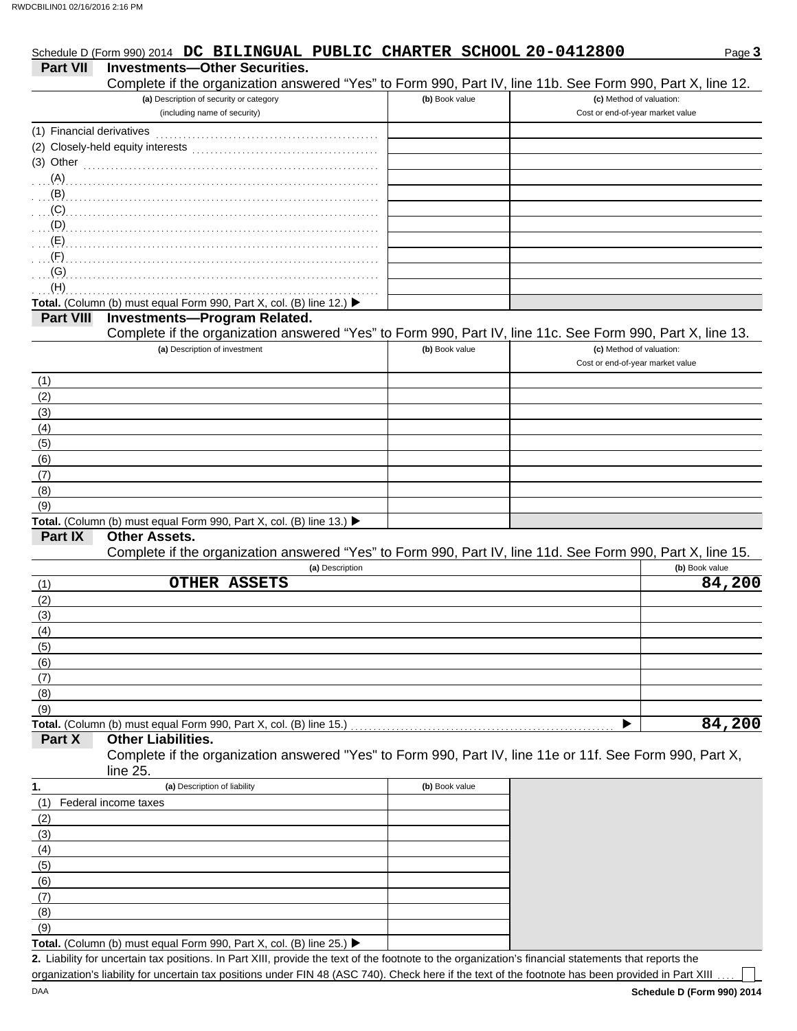|                           | Schedule D (Form 990) 2014 DC BILINGUAL PUBLIC CHARTER SCHOOL 20-0412800                                             |                |                                                              | Page 3         |
|---------------------------|----------------------------------------------------------------------------------------------------------------------|----------------|--------------------------------------------------------------|----------------|
| <b>Part VII</b>           | <b>Investments-Other Securities.</b>                                                                                 |                |                                                              |                |
|                           | Complete if the organization answered "Yes" to Form 990, Part IV, line 11b. See Form 990, Part X, line 12.           |                |                                                              |                |
|                           | (a) Description of security or category                                                                              | (b) Book value | (c) Method of valuation:                                     |                |
|                           | (including name of security)                                                                                         |                | Cost or end-of-year market value                             |                |
| (1) Financial derivatives |                                                                                                                      |                |                                                              |                |
|                           |                                                                                                                      |                |                                                              |                |
| (3) Other                 |                                                                                                                      |                |                                                              |                |
| (A)                       |                                                                                                                      |                |                                                              |                |
| (B)                       |                                                                                                                      |                |                                                              |                |
| (C)                       |                                                                                                                      |                |                                                              |                |
| (D)                       |                                                                                                                      |                |                                                              |                |
| (E)                       |                                                                                                                      |                |                                                              |                |
| (F)                       |                                                                                                                      |                |                                                              |                |
| (G)                       |                                                                                                                      |                |                                                              |                |
| (H)                       |                                                                                                                      |                |                                                              |                |
|                           | Total. (Column (b) must equal Form 990, Part X, col. (B) line 12.) ▶                                                 |                |                                                              |                |
| <b>Part VIII</b>          | <b>Investments-Program Related.</b>                                                                                  |                |                                                              |                |
|                           | Complete if the organization answered "Yes" to Form 990, Part IV, line 11c. See Form 990, Part X, line 13.           |                |                                                              |                |
|                           | (a) Description of investment                                                                                        | (b) Book value | (c) Method of valuation:<br>Cost or end-of-year market value |                |
| (1)                       |                                                                                                                      |                |                                                              |                |
| (2)                       |                                                                                                                      |                |                                                              |                |
| (3)                       |                                                                                                                      |                |                                                              |                |
| (4)                       |                                                                                                                      |                |                                                              |                |
| (5)                       |                                                                                                                      |                |                                                              |                |
| (6)                       |                                                                                                                      |                |                                                              |                |
| (7)                       |                                                                                                                      |                |                                                              |                |
| (8)                       |                                                                                                                      |                |                                                              |                |
| (9)                       |                                                                                                                      |                |                                                              |                |
|                           | Total. (Column (b) must equal Form 990, Part X, col. (B) line 13.) ▶                                                 |                |                                                              |                |
| Part IX                   | <b>Other Assets.</b>                                                                                                 |                |                                                              |                |
|                           | Complete if the organization answered "Yes" to Form 990, Part IV, line 11d. See Form 990, Part X, line 15.           |                |                                                              |                |
|                           | (a) Description                                                                                                      |                |                                                              | (b) Book value |
| (1)                       | <b>OTHER ASSETS</b>                                                                                                  |                |                                                              | 84,200         |
| (2)                       |                                                                                                                      |                |                                                              |                |
| (3)                       |                                                                                                                      |                |                                                              |                |
| (4)                       |                                                                                                                      |                |                                                              |                |
| (5)                       |                                                                                                                      |                |                                                              |                |
| (6)                       |                                                                                                                      |                |                                                              |                |
| (7)                       |                                                                                                                      |                |                                                              |                |
| (8)                       |                                                                                                                      |                |                                                              |                |
| (9)                       |                                                                                                                      |                |                                                              |                |
|                           | Total. (Column (b) must equal Form 990, Part X, col. (B) line 15.)                                                   |                |                                                              | 84,200         |
| Part X                    | <b>Other Liabilities.</b>                                                                                            |                |                                                              |                |
|                           | Complete if the organization answered "Yes" to Form 990, Part IV, line 11e or 11f. See Form 990, Part X,<br>line 25. |                |                                                              |                |
| 1.                        | (a) Description of liability                                                                                         | (b) Book value |                                                              |                |
| (1)                       | Federal income taxes                                                                                                 |                |                                                              |                |
| (2)                       |                                                                                                                      |                |                                                              |                |

| 2. Liability for uncertain tax positions. In Part XIII, provide the text of the footnote to the organization's financial statements that reports the |  |
|------------------------------------------------------------------------------------------------------------------------------------------------------|--|
| organization's liability for uncertain tax positions under FIN 48 (ASC 740). Check here if the text of the footnote has been provided in Part XIII   |  |

(9)  $(8)$  $(7)$ (6)  $\overline{(5)}$ (4) (3)

**Total.** (Column (b) must equal Form 990, Part X, col. (B) line 25.)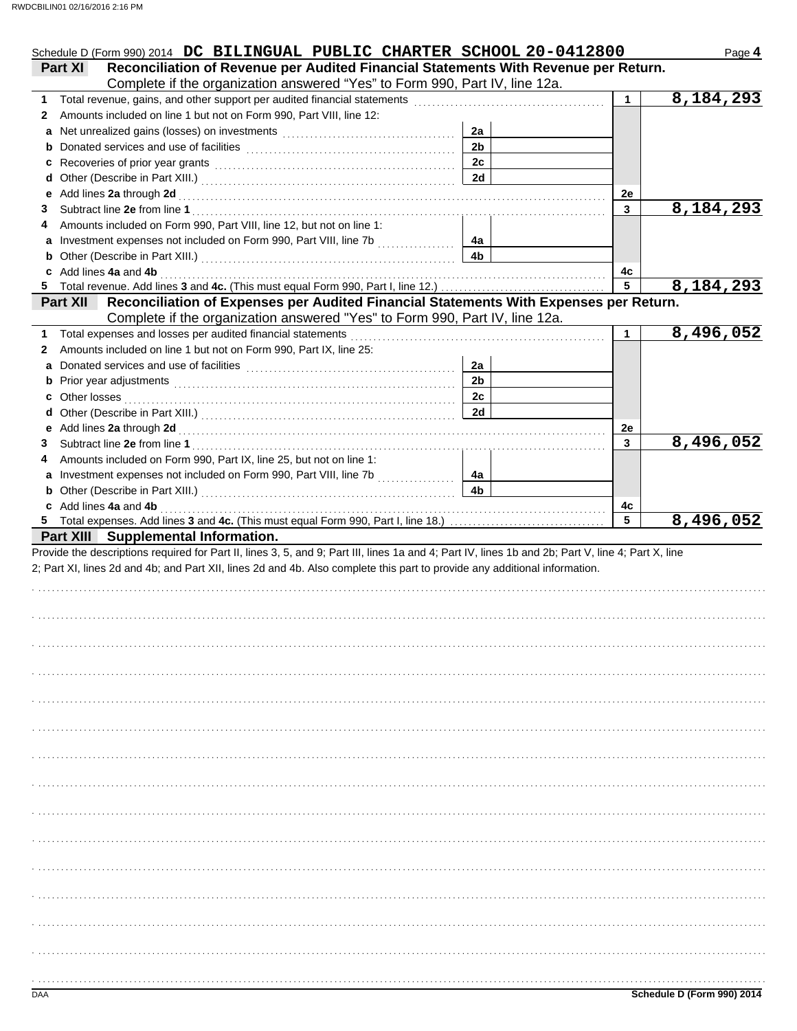| Complete if the organization answered "Yes" to Form 990, Part IV, line 12a.                                                                                                                                     |                |              |                           |
|-----------------------------------------------------------------------------------------------------------------------------------------------------------------------------------------------------------------|----------------|--------------|---------------------------|
| 1                                                                                                                                                                                                               |                | $\mathbf{1}$ | 8,184,293                 |
| Amounts included on line 1 but not on Form 990, Part VIII, line 12:<br>2<br>a                                                                                                                                   | 2a             |              |                           |
|                                                                                                                                                                                                                 | 2 <sub>b</sub> |              |                           |
|                                                                                                                                                                                                                 | 2c             |              |                           |
|                                                                                                                                                                                                                 | 2d             |              |                           |
|                                                                                                                                                                                                                 |                | 2e           |                           |
| 3                                                                                                                                                                                                               |                | 3            | 8,184,293                 |
| Amounts included on Form 990, Part VIII, line 12, but not on line 1:<br>4                                                                                                                                       |                |              |                           |
|                                                                                                                                                                                                                 | 4a             |              |                           |
| <b>b</b> Other (Describe in Part XIII.) <b>CONSIDENT DESCRIPTION DESCRIPTION DESCRIPTION DESCRIPTION DESCRIPTION DESCRIPTION DESCRIPTION DESCRIPTION DESCRIPTION DESCRIPTION DESCRIPTION DESCRIPTION DESCRI</b> | 4b             |              |                           |
| c Add lines 4a and 4b                                                                                                                                                                                           |                | 4с<br>5      | $\overline{8,184,293}$    |
| Part XII Reconciliation of Expenses per Audited Financial Statements With Expenses per Return.                                                                                                                  |                |              |                           |
| Complete if the organization answered "Yes" to Form 990, Part IV, line 12a.                                                                                                                                     |                |              |                           |
| Total expenses and losses per audited financial statements<br>1                                                                                                                                                 |                | 1            | 8,496,052                 |
| Amounts included on line 1 but not on Form 990, Part IX, line 25:<br>2                                                                                                                                          |                |              |                           |
| a                                                                                                                                                                                                               | 2a             |              |                           |
|                                                                                                                                                                                                                 | 2 <sub>b</sub> |              |                           |
| c                                                                                                                                                                                                               | 2c             |              |                           |
|                                                                                                                                                                                                                 | 2d             |              |                           |
| 3                                                                                                                                                                                                               |                | 2e<br>3      | 8,496,052                 |
| Amounts included on Form 990, Part IX, line 25, but not on line 1:<br>4                                                                                                                                         |                |              |                           |
| a Investment expenses not included on Form 990, Part VIII, line 7b                                                                                                                                              | 4a             |              |                           |
| <b>b</b> Other (Describe in Part XIII.) <b>CONSIDENT DESCRIPTION DESCRIPTION DESCRIPTION DESCRIPTION DESCRIPTION DESCRIPTION DESCRIPTION DESCRIPTION DESCRIPTION DESCRIPTION DESCRIPTION DESCRIPTION DESCRI</b> | 4b             |              |                           |
|                                                                                                                                                                                                                 |                |              |                           |
| c Add lines 4a and 4b                                                                                                                                                                                           |                | 4c           |                           |
| Part XIII Supplemental Information.<br>Provide the descriptions required for Part II, lines 3, 5, and 9; Part III, lines 1a and 4; Part IV, lines 1b and 2b; Part V, line 4; Part X, line                       |                | 5            | $\overline{8}$ , 496, 052 |
| 2; Part XI, lines 2d and 4b; and Part XII, lines 2d and 4b. Also complete this part to provide any additional information.                                                                                      |                |              |                           |
|                                                                                                                                                                                                                 |                |              |                           |
|                                                                                                                                                                                                                 |                |              |                           |
|                                                                                                                                                                                                                 |                |              |                           |
|                                                                                                                                                                                                                 |                |              |                           |
|                                                                                                                                                                                                                 |                |              |                           |
|                                                                                                                                                                                                                 |                |              |                           |
|                                                                                                                                                                                                                 |                |              |                           |
|                                                                                                                                                                                                                 |                |              |                           |
|                                                                                                                                                                                                                 |                |              |                           |
|                                                                                                                                                                                                                 |                |              |                           |
|                                                                                                                                                                                                                 |                |              |                           |
|                                                                                                                                                                                                                 |                |              |                           |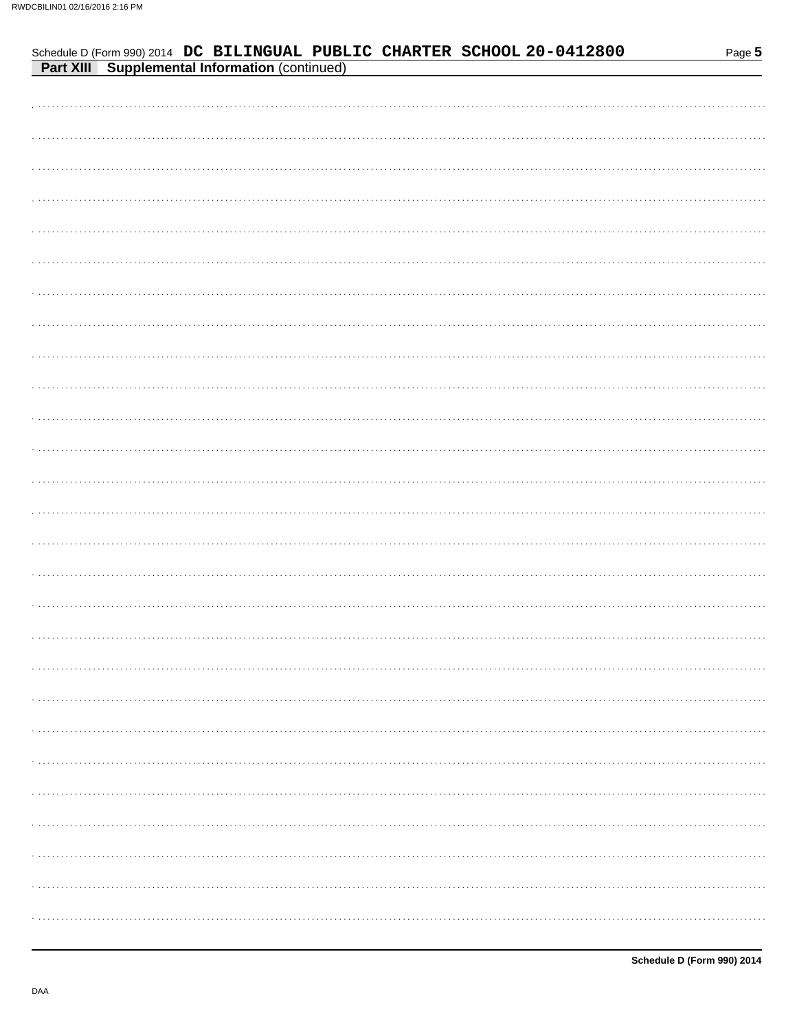| <b>Part XIII Supplemental Information (continued)</b> |
|-------------------------------------------------------|
|                                                       |
|                                                       |
|                                                       |
|                                                       |
|                                                       |
|                                                       |
|                                                       |
|                                                       |
|                                                       |
|                                                       |
|                                                       |
|                                                       |
|                                                       |
|                                                       |
|                                                       |
|                                                       |
|                                                       |
|                                                       |
|                                                       |
|                                                       |
|                                                       |
|                                                       |
|                                                       |
|                                                       |
|                                                       |
|                                                       |
|                                                       |
|                                                       |
|                                                       |
|                                                       |

Schedule D (Form 990) 2014 DC BILINGUAL PUBLIC CHARTER SCHOOL 20-0412800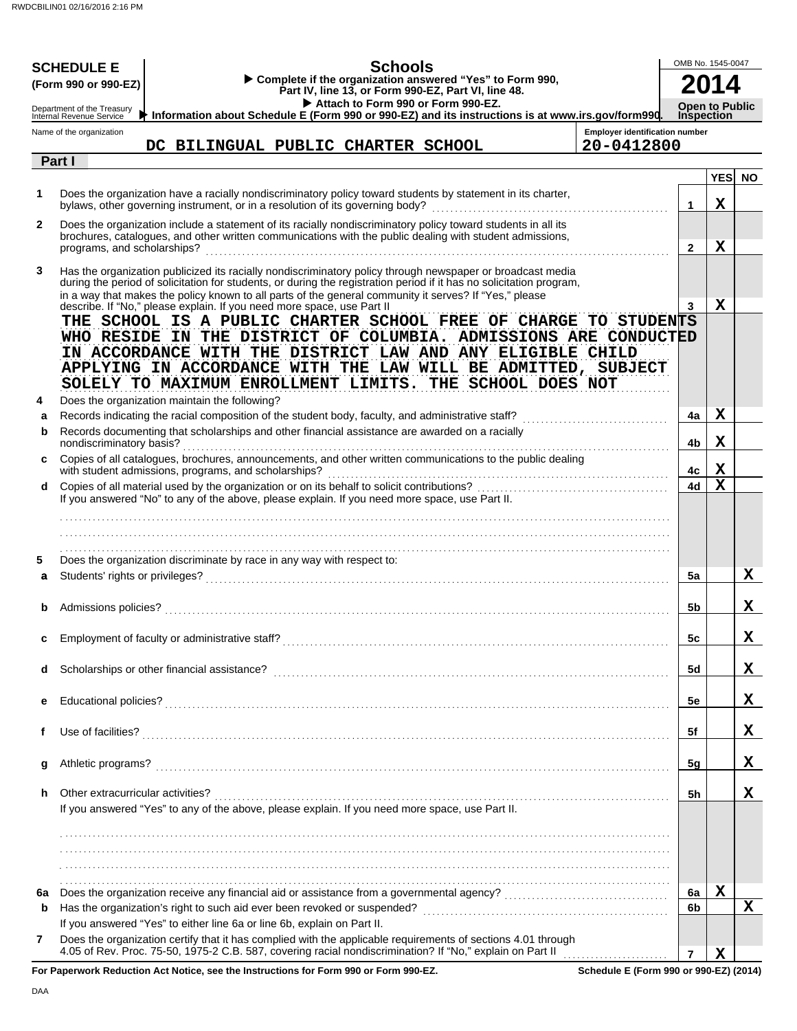|              | <b>Schools</b><br><b>SCHEDULE E</b><br>Complete if the organization answered "Yes" to Form 990,<br>(Form 990 or 990-EZ)<br>Part IV, line 13, or Form 990-EZ, Part VI, line 48.<br>Attach to Form 990 or Form 990-EZ.<br>Department of the Treasury<br>Information about Schedule E (Form 990 or 990-EZ) and its instructions is at www.irs.gov/form990.<br><b>Internal Revenue Service</b>                             | OMB No. 1545-0047<br><b>Open to Public</b><br><b>Inspection</b> |                           |           |
|--------------|------------------------------------------------------------------------------------------------------------------------------------------------------------------------------------------------------------------------------------------------------------------------------------------------------------------------------------------------------------------------------------------------------------------------|-----------------------------------------------------------------|---------------------------|-----------|
|              | <b>Employer identification number</b><br>Name of the organization<br>20-0412800<br>DC BILINGUAL PUBLIC CHARTER SCHOOL                                                                                                                                                                                                                                                                                                  |                                                                 |                           |           |
|              | Part I                                                                                                                                                                                                                                                                                                                                                                                                                 |                                                                 |                           |           |
| 1            | Does the organization have a racially nondiscriminatory policy toward students by statement in its charter,<br>bylaws, other governing instrument, or in a resolution of its governing body?                                                                                                                                                                                                                           | $\mathbf 1$                                                     | <b>YES</b><br>$\mathbf X$ | <b>NO</b> |
| $\mathbf{2}$ | Does the organization include a statement of its racially nondiscriminatory policy toward students in all its<br>brochures, catalogues, and other written communications with the public dealing with student admissions,<br>programs, and scholarships?                                                                                                                                                               | $\mathbf{2}$                                                    | $\mathbf X$               |           |
| 3            | Has the organization publicized its racially nondiscriminatory policy through newspaper or broadcast media<br>during the period of solicitation for students, or during the registration period if it has no solicitation program,<br>in a way that makes the policy known to all parts of the general community it serves? If "Yes," please<br>describe. If "No," please explain. If you need more space, use Part II | 3                                                               | $\mathbf X$               |           |
| 4            | THE SCHOOL IS A PUBLIC CHARTER SCHOOL FREE OF CHARGE TO STUDENTS<br>WHO RESIDE IN THE DISTRICT OF COLUMBIA. ADMISSIONS ARE CONDUCTED<br>IN ACCORDANCE WITH THE DISTRICT LAW AND ANY ELIGIBLE CHILD<br>APPLYING IN ACCORDANCE WITH THE LAW WILL BE ADMITTED, SUBJECT<br>SOLELY TO MAXIMUM ENROLLMENT LIMITS. THE SCHOOL DOES NOT<br>Does the organization maintain the following?                                       |                                                                 |                           |           |
| a            | Records indicating the racial composition of the student body, faculty, and administrative staff?                                                                                                                                                                                                                                                                                                                      | 4a                                                              | Х                         |           |
| b            | Records documenting that scholarships and other financial assistance are awarded on a racially<br>nondiscriminatory basis?                                                                                                                                                                                                                                                                                             | 4b                                                              | Χ                         |           |
| c            | Copies of all catalogues, brochures, announcements, and other written communications to the public dealing<br>with student admissions, programs, and scholarships?                                                                                                                                                                                                                                                     | 4c                                                              | X                         |           |
| d            | If you answered "No" to any of the above, please explain. If you need more space, use Part II.                                                                                                                                                                                                                                                                                                                         | 4d                                                              | $\mathbf x$               |           |
|              |                                                                                                                                                                                                                                                                                                                                                                                                                        |                                                                 |                           |           |
| 5<br>a       | Does the organization discriminate by race in any way with respect to:                                                                                                                                                                                                                                                                                                                                                 | 5a                                                              |                           | x         |
| b            | Admissions policies?                                                                                                                                                                                                                                                                                                                                                                                                   | 5b                                                              |                           | X         |
| c            |                                                                                                                                                                                                                                                                                                                                                                                                                        | 5c                                                              |                           | X.        |
| d            |                                                                                                                                                                                                                                                                                                                                                                                                                        | 5d                                                              |                           | x         |
| е            |                                                                                                                                                                                                                                                                                                                                                                                                                        | 5е                                                              |                           | X         |
| f            |                                                                                                                                                                                                                                                                                                                                                                                                                        | 5f                                                              |                           | x         |
| g            |                                                                                                                                                                                                                                                                                                                                                                                                                        | 5 <sub>g</sub>                                                  |                           | x         |
| h            | Other extracurricular activities?<br>If you answered "Yes" to any of the above, please explain. If you need more space, use Part II.                                                                                                                                                                                                                                                                                   | 5h                                                              |                           | X         |
|              |                                                                                                                                                                                                                                                                                                                                                                                                                        |                                                                 |                           |           |
|              |                                                                                                                                                                                                                                                                                                                                                                                                                        |                                                                 |                           |           |
| 6a           |                                                                                                                                                                                                                                                                                                                                                                                                                        | 6a                                                              | X                         |           |
| b            |                                                                                                                                                                                                                                                                                                                                                                                                                        | 6b                                                              |                           | X         |
| 7            | If you answered "Yes" to either line 6a or line 6b, explain on Part II.<br>Does the organization certify that it has complied with the applicable requirements of sections 4.01 through<br>4.05 of Rev. Proc. 75-50, 1975-2 C.B. 587, covering racial nondiscrimination? If "No," explain on Part II                                                                                                                   |                                                                 |                           |           |
|              | For Panerwork Reduction Act Notice, see the Instructions for Form 990 or Form 990-F7<br>Schedule F (Form 990 or 990-F7) (2014)                                                                                                                                                                                                                                                                                         | $\overline{7}$                                                  | X                         |           |

**For Paperwork Reduction Act Notice, see the Instructions for Form 990 or Form 990-EZ.**

**Schedule E (Form 990 or 990-EZ) (2014)**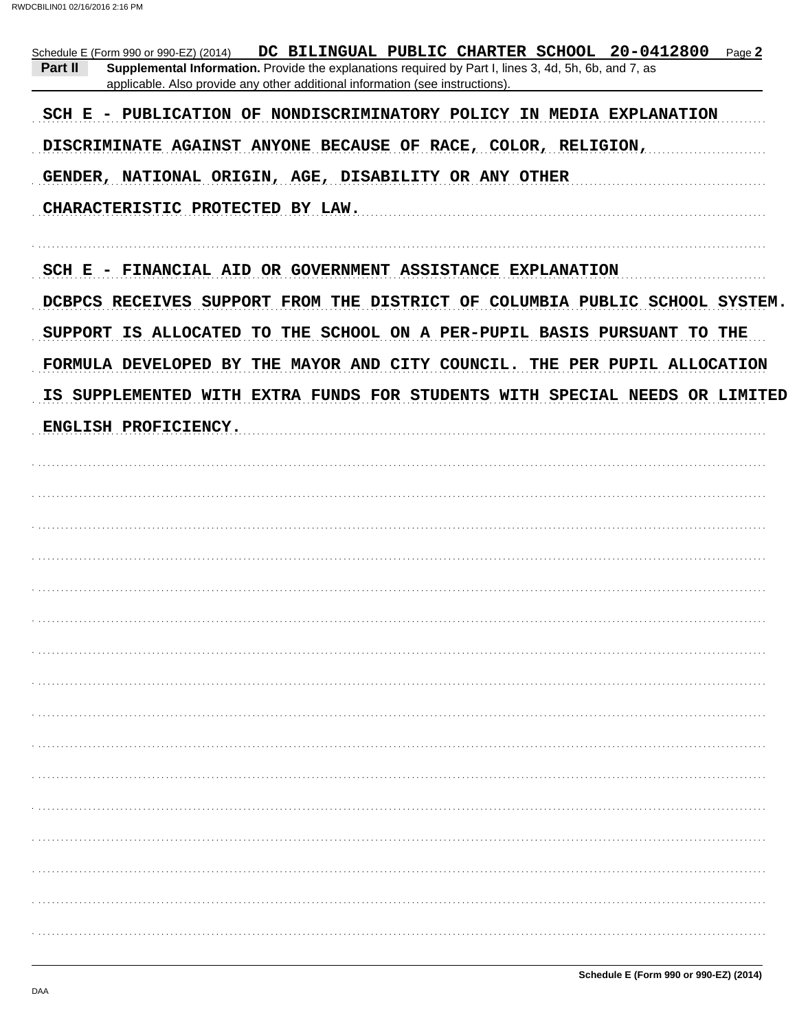| DC BILINGUAL PUBLIC CHARTER SCHOOL 20-0412800 Page 2<br>Schedule E (Form 990 or 990-EZ) (2014)<br>Part II<br>Supplemental Information. Provide the explanations required by Part I, lines 3, 4d, 5h, 6b, and 7, as<br>applicable. Also provide any other additional information (see instructions). |
|-----------------------------------------------------------------------------------------------------------------------------------------------------------------------------------------------------------------------------------------------------------------------------------------------------|
| SCH E - PUBLICATION OF NONDISCRIMINATORY POLICY IN MEDIA EXPLANATION                                                                                                                                                                                                                                |
| DISCRIMINATE AGAINST ANYONE BECAUSE OF RACE, COLOR, RELIGION,                                                                                                                                                                                                                                       |
| GENDER, NATIONAL ORIGIN, AGE, DISABILITY OR ANY OTHER                                                                                                                                                                                                                                               |
| CHARACTERISTIC PROTECTED BY LAW.                                                                                                                                                                                                                                                                    |
|                                                                                                                                                                                                                                                                                                     |
| SCH E - FINANCIAL AID OR GOVERNMENT ASSISTANCE EXPLANATION                                                                                                                                                                                                                                          |
| DCBPCS RECEIVES SUPPORT FROM THE DISTRICT OF COLUMBIA PUBLIC SCHOOL SYSTEM.                                                                                                                                                                                                                         |
| SUPPORT IS ALLOCATED TO THE SCHOOL ON A PER-PUPIL BASIS PURSUANT TO THE                                                                                                                                                                                                                             |
| FORMULA DEVELOPED BY THE MAYOR AND CITY COUNCIL. THE PER PUPIL ALLOCATION                                                                                                                                                                                                                           |
| IS SUPPLEMENTED WITH EXTRA FUNDS FOR STUDENTS WITH SPECIAL NEEDS OR LIMITED                                                                                                                                                                                                                         |
| ENGLISH PROFICIENCY.                                                                                                                                                                                                                                                                                |
|                                                                                                                                                                                                                                                                                                     |
|                                                                                                                                                                                                                                                                                                     |
|                                                                                                                                                                                                                                                                                                     |
|                                                                                                                                                                                                                                                                                                     |
|                                                                                                                                                                                                                                                                                                     |
|                                                                                                                                                                                                                                                                                                     |
|                                                                                                                                                                                                                                                                                                     |
|                                                                                                                                                                                                                                                                                                     |
|                                                                                                                                                                                                                                                                                                     |
|                                                                                                                                                                                                                                                                                                     |
|                                                                                                                                                                                                                                                                                                     |
|                                                                                                                                                                                                                                                                                                     |
|                                                                                                                                                                                                                                                                                                     |
|                                                                                                                                                                                                                                                                                                     |
|                                                                                                                                                                                                                                                                                                     |
|                                                                                                                                                                                                                                                                                                     |
|                                                                                                                                                                                                                                                                                                     |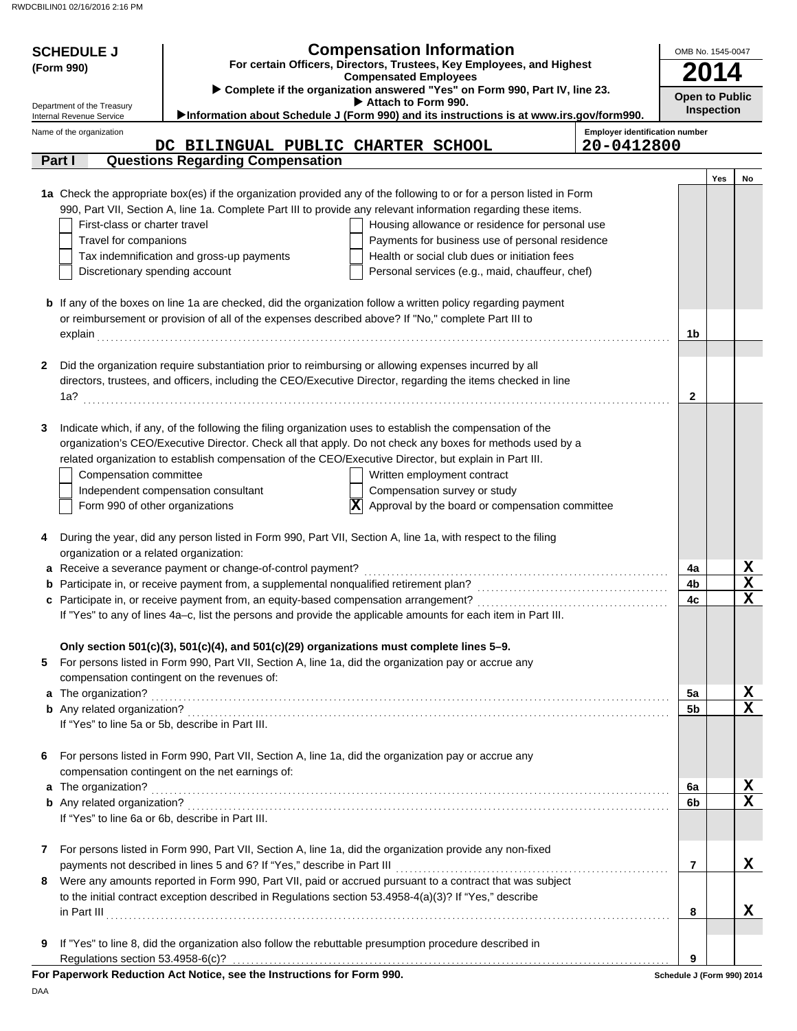| <b>Compensation Information</b><br><b>SCHEDULE J</b><br>For certain Officers, Directors, Trustees, Key Employees, and Highest<br>(Form 990)<br><b>Compensated Employees</b> |                                 |                                                                                                                                                     |                                                                                                                      |                                       |                                            | OMB No. 1545-0047 |             |  |  |
|-----------------------------------------------------------------------------------------------------------------------------------------------------------------------------|---------------------------------|-----------------------------------------------------------------------------------------------------------------------------------------------------|----------------------------------------------------------------------------------------------------------------------|---------------------------------------|--------------------------------------------|-------------------|-------------|--|--|
| Department of the Treasury                                                                                                                                                  |                                 |                                                                                                                                                     | ▶ Complete if the organization answered "Yes" on Form 990, Part IV, line 23.<br>Attach to Form 990.                  |                                       | <b>Open to Public</b><br><b>Inspection</b> |                   |             |  |  |
| Internal Revenue Service                                                                                                                                                    |                                 |                                                                                                                                                     | Information about Schedule J (Form 990) and its instructions is at www.irs.gov/form990.                              | <b>Employer identification number</b> |                                            |                   |             |  |  |
| Name of the organization                                                                                                                                                    |                                 | DC BILINGUAL PUBLIC CHARTER SCHOOL                                                                                                                  |                                                                                                                      | 20-0412800                            |                                            |                   |             |  |  |
| Part I                                                                                                                                                                      |                                 | <b>Questions Regarding Compensation</b>                                                                                                             |                                                                                                                      |                                       |                                            |                   |             |  |  |
|                                                                                                                                                                             |                                 |                                                                                                                                                     |                                                                                                                      |                                       |                                            | Yes               | No          |  |  |
|                                                                                                                                                                             |                                 |                                                                                                                                                     | 1a Check the appropriate box(es) if the organization provided any of the following to or for a person listed in Form |                                       |                                            |                   |             |  |  |
|                                                                                                                                                                             |                                 |                                                                                                                                                     | 990, Part VII, Section A, line 1a. Complete Part III to provide any relevant information regarding these items.      |                                       |                                            |                   |             |  |  |
|                                                                                                                                                                             | First-class or charter travel   |                                                                                                                                                     | Housing allowance or residence for personal use                                                                      |                                       |                                            |                   |             |  |  |
|                                                                                                                                                                             | Travel for companions           |                                                                                                                                                     | Payments for business use of personal residence                                                                      |                                       |                                            |                   |             |  |  |
|                                                                                                                                                                             |                                 | Tax indemnification and gross-up payments                                                                                                           | Health or social club dues or initiation fees                                                                        |                                       |                                            |                   |             |  |  |
|                                                                                                                                                                             | Discretionary spending account  |                                                                                                                                                     | Personal services (e.g., maid, chauffeur, chef)                                                                      |                                       |                                            |                   |             |  |  |
|                                                                                                                                                                             |                                 |                                                                                                                                                     | <b>b</b> If any of the boxes on line 1a are checked, did the organization follow a written policy regarding payment  |                                       |                                            |                   |             |  |  |
|                                                                                                                                                                             |                                 | or reimbursement or provision of all of the expenses described above? If "No," complete Part III to                                                 |                                                                                                                      |                                       |                                            |                   |             |  |  |
| explain                                                                                                                                                                     |                                 |                                                                                                                                                     |                                                                                                                      |                                       | 1b                                         |                   |             |  |  |
|                                                                                                                                                                             |                                 |                                                                                                                                                     |                                                                                                                      |                                       |                                            |                   |             |  |  |
| 2                                                                                                                                                                           |                                 | Did the organization require substantiation prior to reimbursing or allowing expenses incurred by all                                               |                                                                                                                      |                                       |                                            |                   |             |  |  |
|                                                                                                                                                                             |                                 |                                                                                                                                                     | directors, trustees, and officers, including the CEO/Executive Director, regarding the items checked in line         |                                       |                                            |                   |             |  |  |
| 1a?                                                                                                                                                                         |                                 |                                                                                                                                                     |                                                                                                                      |                                       | $\mathbf{2}$                               |                   |             |  |  |
|                                                                                                                                                                             |                                 |                                                                                                                                                     |                                                                                                                      |                                       |                                            |                   |             |  |  |
| 3                                                                                                                                                                           |                                 |                                                                                                                                                     | Indicate which, if any, of the following the filing organization uses to establish the compensation of the           |                                       |                                            |                   |             |  |  |
|                                                                                                                                                                             |                                 |                                                                                                                                                     | organization's CEO/Executive Director. Check all that apply. Do not check any boxes for methods used by a            |                                       |                                            |                   |             |  |  |
|                                                                                                                                                                             |                                 |                                                                                                                                                     | related organization to establish compensation of the CEO/Executive Director, but explain in Part III.               |                                       |                                            |                   |             |  |  |
|                                                                                                                                                                             | Compensation committee          |                                                                                                                                                     | Written employment contract                                                                                          |                                       |                                            |                   |             |  |  |
|                                                                                                                                                                             |                                 | Independent compensation consultant                                                                                                                 | Compensation survey or study<br>$ \mathbf{x} $                                                                       |                                       |                                            |                   |             |  |  |
|                                                                                                                                                                             | Form 990 of other organizations |                                                                                                                                                     | Approval by the board or compensation committee                                                                      |                                       |                                            |                   |             |  |  |
| 4                                                                                                                                                                           |                                 |                                                                                                                                                     | During the year, did any person listed in Form 990, Part VII, Section A, line 1a, with respect to the filing         |                                       |                                            |                   |             |  |  |
|                                                                                                                                                                             |                                 | organization or a related organization:                                                                                                             |                                                                                                                      |                                       |                                            |                   |             |  |  |
|                                                                                                                                                                             |                                 | a Receive a severance payment or change-of-control payment?                                                                                         |                                                                                                                      |                                       | 4a                                         |                   | X           |  |  |
|                                                                                                                                                                             |                                 | <b>b</b> Participate in, or receive payment from, a supplemental nonqualified retirement plan?                                                      |                                                                                                                      |                                       | 4b                                         |                   | X           |  |  |
|                                                                                                                                                                             |                                 |                                                                                                                                                     |                                                                                                                      |                                       | 4c                                         |                   | $\mathbf x$ |  |  |
|                                                                                                                                                                             |                                 |                                                                                                                                                     | If "Yes" to any of lines 4a-c, list the persons and provide the applicable amounts for each item in Part III.        |                                       |                                            |                   |             |  |  |
|                                                                                                                                                                             |                                 |                                                                                                                                                     |                                                                                                                      |                                       |                                            |                   |             |  |  |
|                                                                                                                                                                             |                                 | Only section 501(c)(3), 501(c)(4), and 501(c)(29) organizations must complete lines 5-9.                                                            |                                                                                                                      |                                       |                                            |                   |             |  |  |
| 5                                                                                                                                                                           |                                 | For persons listed in Form 990, Part VII, Section A, line 1a, did the organization pay or accrue any<br>compensation contingent on the revenues of: |                                                                                                                      |                                       |                                            |                   |             |  |  |
|                                                                                                                                                                             | a The organization?             |                                                                                                                                                     |                                                                                                                      |                                       | 5a                                         |                   | X           |  |  |
|                                                                                                                                                                             |                                 |                                                                                                                                                     |                                                                                                                      |                                       | 5b                                         |                   | $\mathbf x$ |  |  |
|                                                                                                                                                                             |                                 | If "Yes" to line 5a or 5b, describe in Part III.                                                                                                    |                                                                                                                      |                                       |                                            |                   |             |  |  |
|                                                                                                                                                                             |                                 |                                                                                                                                                     |                                                                                                                      |                                       |                                            |                   |             |  |  |
| 6                                                                                                                                                                           |                                 | For persons listed in Form 990, Part VII, Section A, line 1a, did the organization pay or accrue any                                                |                                                                                                                      |                                       |                                            |                   |             |  |  |
|                                                                                                                                                                             |                                 | compensation contingent on the net earnings of:                                                                                                     |                                                                                                                      |                                       |                                            |                   |             |  |  |
|                                                                                                                                                                             | a The organization?             |                                                                                                                                                     |                                                                                                                      |                                       | 6a                                         |                   | X           |  |  |
|                                                                                                                                                                             |                                 |                                                                                                                                                     |                                                                                                                      |                                       | 6b                                         |                   | $\mathbf X$ |  |  |
|                                                                                                                                                                             |                                 | If "Yes" to line 6a or 6b, describe in Part III.                                                                                                    |                                                                                                                      |                                       |                                            |                   |             |  |  |
| 7                                                                                                                                                                           |                                 |                                                                                                                                                     | For persons listed in Form 990, Part VII, Section A, line 1a, did the organization provide any non-fixed             |                                       |                                            |                   |             |  |  |
|                                                                                                                                                                             |                                 | payments not described in lines 5 and 6? If "Yes," describe in Part III                                                                             |                                                                                                                      |                                       | $\overline{7}$                             |                   | x           |  |  |
| 8                                                                                                                                                                           |                                 |                                                                                                                                                     | Were any amounts reported in Form 990, Part VII, paid or accrued pursuant to a contract that was subject             |                                       |                                            |                   |             |  |  |
|                                                                                                                                                                             |                                 | to the initial contract exception described in Regulations section 53.4958-4(a)(3)? If "Yes," describe                                              |                                                                                                                      |                                       |                                            |                   |             |  |  |
|                                                                                                                                                                             |                                 |                                                                                                                                                     | in Part III                                                                                                          |                                       | 8                                          |                   | х           |  |  |
|                                                                                                                                                                             |                                 |                                                                                                                                                     |                                                                                                                      |                                       |                                            |                   |             |  |  |
| 9                                                                                                                                                                           |                                 |                                                                                                                                                     | If "Yes" to line 8, did the organization also follow the rebuttable presumption procedure described in               |                                       |                                            |                   |             |  |  |
|                                                                                                                                                                             |                                 |                                                                                                                                                     |                                                                                                                      |                                       | 9                                          |                   |             |  |  |
|                                                                                                                                                                             |                                 | For Paperwork Reduction Act Notice, see the Instructions for Form 990.                                                                              |                                                                                                                      |                                       | Schedule J (Form 990) 2014                 |                   |             |  |  |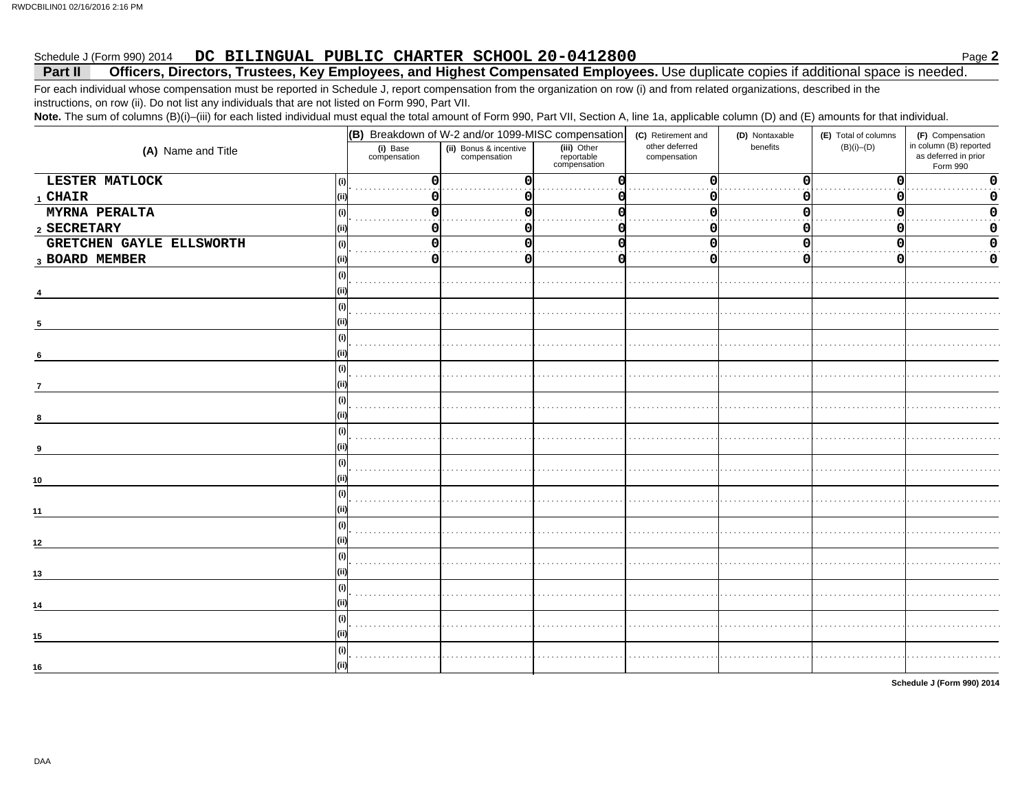#### DC BILINGUAL PUBLIC CHARTER SCHOOL 20-0412800 Schedule J (Form 990) 2014

#### Officers, Directors, Trustees, Key Employees, and Highest Compensated Employees. Use duplicate copies if additional space is needed. Part II

For each individual whose compensation must be reported in Schedule J, report compensation from the organization on row (i) and from related organizations, described in the instructions, on row (ii). Do not list any individuals that are not listed on Form 990, Part VII.

Note. The sum of columns (B)(i)-(iii) for each listed individual must equal the total amount of Form 990, Part VII, Section A, line 1a, applicable column (D) and (E) amounts for that individual.

|                                 | (B) Breakdown of W-2 and/or 1099-MISC compensation |                                        |                                           | (C) Retirement and             | (D) Nontaxable | (E) Total of columns | (F) Compensation                                           |
|---------------------------------|----------------------------------------------------|----------------------------------------|-------------------------------------------|--------------------------------|----------------|----------------------|------------------------------------------------------------|
| (A) Name and Title              | (i) Base<br>compensation                           | (ii) Bonus & incentive<br>compensation | (iii) Other<br>reportable<br>compensation | other deferred<br>compensation | benefits       | $(B)(i)$ - $(D)$     | in column (B) reported<br>as deferred in prior<br>Form 990 |
| LESTER MATLOCK                  | $\Omega$                                           |                                        |                                           | O                              |                | $\Omega$             | $\Omega$                                                   |
| 1 CHAIR                         | 0                                                  |                                        |                                           | O                              |                | O                    | 0                                                          |
| MYRNA PERALTA<br>(i)            | $\Omega$                                           |                                        |                                           |                                |                | O                    | n                                                          |
| 2 SECRETARY                     | 0                                                  |                                        |                                           |                                |                | O                    |                                                            |
| GRETCHEN GAYLE ELLSWORTH<br>(i) | 0                                                  |                                        |                                           |                                |                | O                    |                                                            |
| 3 BOARD MEMBER                  | 0                                                  |                                        |                                           | 0                              |                | 0                    | 0                                                          |
| $\sf (i)$                       |                                                    |                                        |                                           |                                |                |                      |                                                            |
|                                 |                                                    |                                        |                                           |                                |                |                      |                                                            |
| (i)                             |                                                    |                                        |                                           |                                |                |                      |                                                            |
| 5                               |                                                    |                                        |                                           |                                |                |                      |                                                            |
| (i)                             |                                                    |                                        |                                           |                                |                |                      |                                                            |
| 6                               |                                                    |                                        |                                           |                                |                |                      |                                                            |
| (i)                             |                                                    |                                        |                                           |                                |                |                      |                                                            |
| $\overline{7}$                  |                                                    |                                        |                                           |                                |                |                      |                                                            |
|                                 |                                                    |                                        |                                           |                                |                |                      |                                                            |
| 8                               |                                                    |                                        |                                           |                                |                |                      |                                                            |
|                                 |                                                    |                                        |                                           |                                |                |                      |                                                            |
|                                 |                                                    |                                        |                                           |                                |                |                      |                                                            |
|                                 |                                                    |                                        |                                           |                                |                |                      |                                                            |
| 10                              |                                                    |                                        |                                           |                                |                |                      |                                                            |
| (i)                             |                                                    |                                        |                                           |                                |                |                      |                                                            |
| 11                              |                                                    |                                        |                                           |                                |                |                      |                                                            |
|                                 |                                                    |                                        |                                           |                                |                |                      |                                                            |
| 12                              |                                                    |                                        |                                           |                                |                |                      |                                                            |
| (i)                             |                                                    |                                        |                                           |                                |                |                      |                                                            |
| 13                              |                                                    |                                        |                                           |                                |                |                      |                                                            |
| (i)                             |                                                    |                                        |                                           |                                |                |                      |                                                            |
| 14                              |                                                    |                                        |                                           |                                |                |                      |                                                            |
| (i)                             |                                                    |                                        |                                           |                                |                |                      |                                                            |
| 15                              |                                                    |                                        |                                           |                                |                |                      |                                                            |
| (i)                             |                                                    |                                        |                                           |                                |                |                      |                                                            |
| 16                              |                                                    |                                        |                                           |                                |                |                      |                                                            |

Schedule J (Form 990) 2014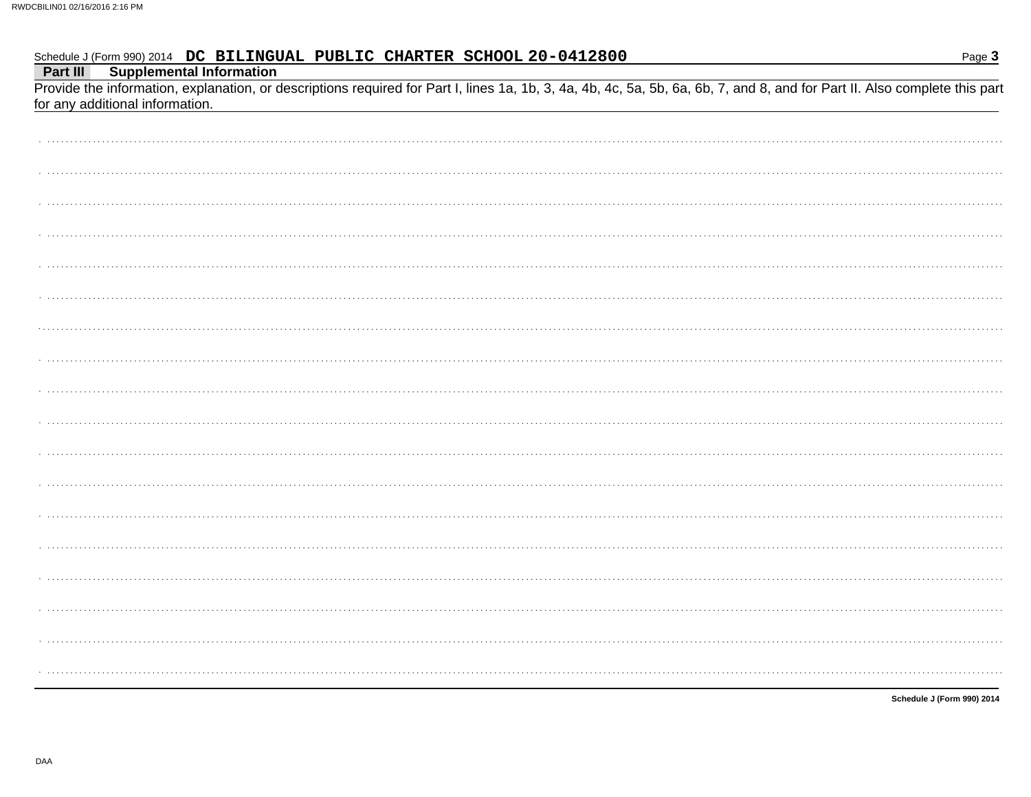Part III **Supplemental Information** 

Provide the information, explanation, or descriptions required for Part I, lines 1a, 1b, 3, 4a, 4b, 4c, 5a, 5b, 6a, 6b, 7, and 8, and for Part II. Also complete this part for any additional information.

| . |  |
|---|--|
|   |  |
|   |  |
|   |  |
|   |  |
|   |  |
|   |  |

Schedule J (Form 990) 2014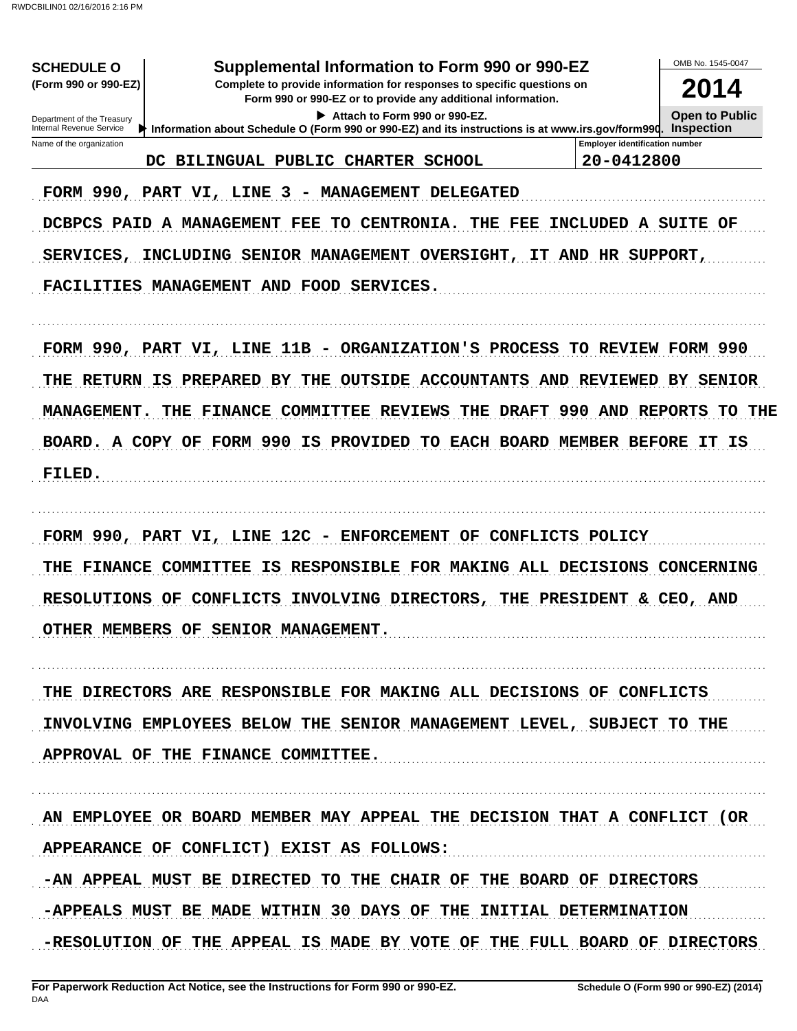RWDCBILIN01 02/16/2016 2:16 PM

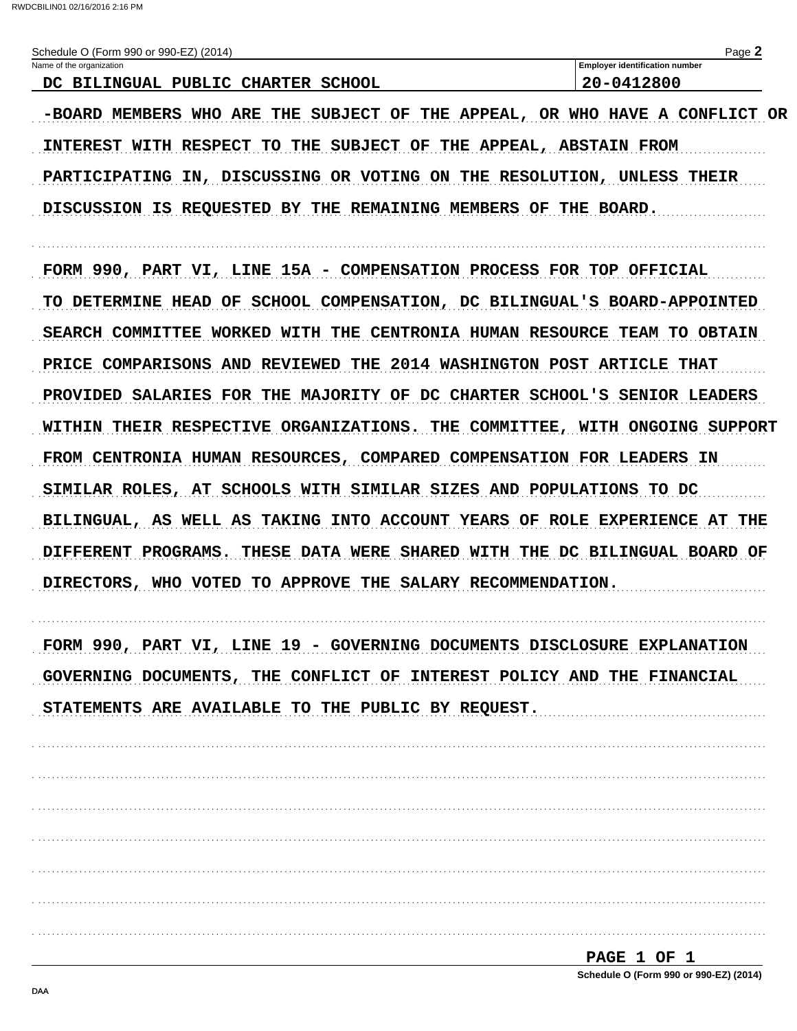RWDCBILIN01 02/16/2016 2:16 PM

| Schedule O (Form 990 or 990-EZ) (2014)                                      | Page 2                                |
|-----------------------------------------------------------------------------|---------------------------------------|
| Name of the organization                                                    | <b>Employer identification number</b> |
| DC BILINGUAL PUBLIC CHARTER SCHOOL                                          | 20-0412800                            |
| -BOARD MEMBERS WHO ARE THE SUBJECT OF THE APPEAL, OR WHO HAVE A CONFLICT OR |                                       |
| INTEREST WITH RESPECT TO THE SUBJECT OF THE APPEAL, ABSTAIN FROM            |                                       |
| PARTICIPATING IN, DISCUSSING OR VOTING ON THE RESOLUTION, UNLESS THEIR      |                                       |
| DISCUSSION IS REQUESTED BY THE REMAINING MEMBERS OF THE BOARD.              |                                       |

FORM 990, PART VI, LINE 15A - COMPENSATION PROCESS FOR TOP OFFICIAL TO DETERMINE HEAD OF SCHOOL COMPENSATION, DC BILINGUAL'S BOARD-APPOINTED SEARCH COMMITTEE WORKED WITH THE CENTRONIA HUMAN RESOURCE TEAM TO OBTAIN PRICE COMPARISONS AND REVIEWED THE 2014 WASHINGTON POST ARTICLE THAT PROVIDED SALARIES FOR THE MAJORITY OF DC CHARTER SCHOOL'S SENIOR LEADERS WITHIN THEIR RESPECTIVE ORGANIZATIONS. THE COMMITTEE, WITH ONGOING SUPPORT FROM CENTRONIA HUMAN RESOURCES, COMPARED COMPENSATION FOR LEADERS IN SIMILAR ROLES, AT SCHOOLS WITH SIMILAR SIZES AND POPULATIONS TO DC BILINGUAL, AS WELL AS TAKING INTO ACCOUNT YEARS OF ROLE EXPERIENCE AT THE DIFFERENT PROGRAMS. THESE DATA WERE SHARED WITH THE DC BILINGUAL BOARD OF DIRECTORS, WHO VOTED TO APPROVE THE SALARY RECOMMENDATION.

FORM 990, PART VI, LINE 19 - GOVERNING DOCUMENTS DISCLOSURE EXPLANATION GOVERNING DOCUMENTS, THE CONFLICT OF INTEREST POLICY AND THE FINANCIAL STATEMENTS ARE AVAILABLE TO THE PUBLIC BY REQUEST.

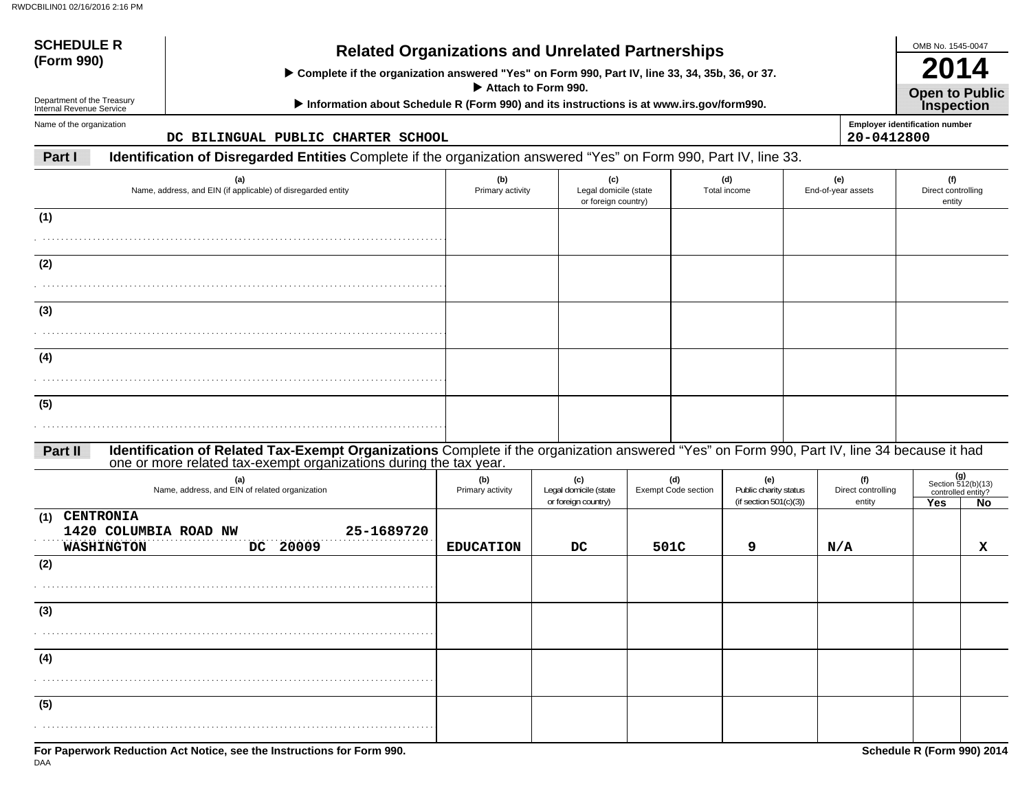| <b>SCHEDULE R</b>                                                     | <b>Related Organizations and Unrelated Partnerships</b>                                                                                     |                                                     |  |                                                     |      |                                   |                                                           |                                     | OMB No. 1545-0047                          |                                                |  |
|-----------------------------------------------------------------------|---------------------------------------------------------------------------------------------------------------------------------------------|-----------------------------------------------------|--|-----------------------------------------------------|------|-----------------------------------|-----------------------------------------------------------|-------------------------------------|--------------------------------------------|------------------------------------------------|--|
| (Form 990)                                                            | > Complete if the organization answered "Yes" on Form 990, Part IV, line 33, 34, 35b, 36, or 37.                                            |                                                     |  |                                                     |      |                                   |                                                           |                                     |                                            |                                                |  |
| Department of the Treasury<br>Internal Revenue Service                | Information about Schedule R (Form 990) and its instructions is at www.irs.gov/form990.                                                     | Attach to Form 990.                                 |  |                                                     |      |                                   |                                                           |                                     | <b>Open to Public</b><br><b>Inspection</b> |                                                |  |
| Name of the organization                                              | DC BILINGUAL PUBLIC CHARTER SCHOOL                                                                                                          |                                                     |  |                                                     |      |                                   |                                                           | 20-0412800                          | <b>Employer identification number</b>      |                                                |  |
| Part I                                                                | Identification of Disregarded Entities Complete if the organization answered "Yes" on Form 990, Part IV, line 33.                           |                                                     |  |                                                     |      |                                   |                                                           |                                     |                                            |                                                |  |
| Name, address, and EIN (if applicable) of disregarded entity          | (b)<br>Primary activity                                                                                                                     | (c)<br>Legal domicile (state<br>or foreign country) |  |                                                     |      | (d)<br>Total income               | (e)<br>End-of-year assets                                 | (f)<br>Direct controlling<br>entity |                                            |                                                |  |
| (1)                                                                   |                                                                                                                                             |                                                     |  |                                                     |      |                                   |                                                           |                                     |                                            |                                                |  |
| (2)                                                                   |                                                                                                                                             |                                                     |  |                                                     |      |                                   |                                                           |                                     |                                            |                                                |  |
|                                                                       |                                                                                                                                             |                                                     |  |                                                     |      |                                   |                                                           |                                     |                                            |                                                |  |
| (3)                                                                   |                                                                                                                                             |                                                     |  |                                                     |      |                                   |                                                           |                                     |                                            |                                                |  |
|                                                                       |                                                                                                                                             |                                                     |  |                                                     |      |                                   |                                                           |                                     |                                            |                                                |  |
| (4)                                                                   |                                                                                                                                             |                                                     |  |                                                     |      |                                   |                                                           |                                     |                                            |                                                |  |
| (5)                                                                   |                                                                                                                                             |                                                     |  |                                                     |      |                                   |                                                           |                                     |                                            |                                                |  |
| Part II                                                               | Identification of Related Tax-Exempt Organizations Complete if the organization answered "Yes" on Form 990, Part IV, line 34 because it had |                                                     |  |                                                     |      |                                   |                                                           |                                     |                                            |                                                |  |
|                                                                       | one or more related tax-exempt organizations during the tax year.                                                                           |                                                     |  |                                                     |      |                                   |                                                           |                                     |                                            | (g)                                            |  |
|                                                                       | (a)<br>Name, address, and EIN of related organization                                                                                       | (b)<br>Primary activity                             |  | (c)<br>Legal domicile (state<br>or foreign country) |      | (d)<br><b>Exempt Code section</b> | (e)<br>Public charity status<br>(if section $501(c)(3)$ ) | (f)<br>Direct controlling<br>entity | Yes                                        | Section 512(b)(13)<br>controlled entity?<br>No |  |
| <b>CENTRONIA</b><br>(1)<br>1420 COLUMBIA ROAD NW<br><b>WASHINGTON</b> | 25-1689720<br>DC 20009                                                                                                                      | <b>EDUCATION</b>                                    |  | DC                                                  | 501C |                                   | 9                                                         | N/A                                 |                                            | x                                              |  |
| (2)                                                                   |                                                                                                                                             |                                                     |  |                                                     |      |                                   |                                                           |                                     |                                            |                                                |  |
| (3)                                                                   |                                                                                                                                             |                                                     |  |                                                     |      |                                   |                                                           |                                     |                                            |                                                |  |
|                                                                       |                                                                                                                                             |                                                     |  |                                                     |      |                                   |                                                           |                                     |                                            |                                                |  |
| (4)                                                                   |                                                                                                                                             |                                                     |  |                                                     |      |                                   |                                                           |                                     |                                            |                                                |  |
| (5)                                                                   |                                                                                                                                             |                                                     |  |                                                     |      |                                   |                                                           |                                     |                                            |                                                |  |
|                                                                       |                                                                                                                                             |                                                     |  |                                                     |      |                                   |                                                           |                                     |                                            |                                                |  |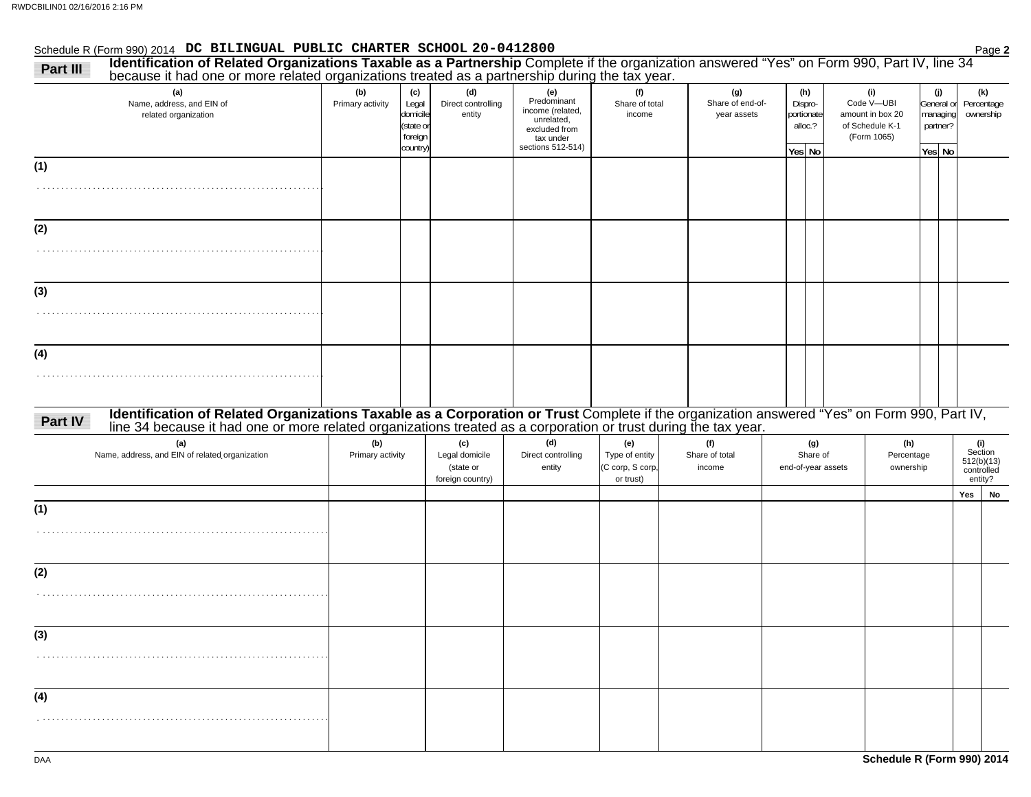#### Schedule R (Form 990) 2014 Page **2 DC BILINGUAL PUBLIC CHARTER SCHOOL 20-0412800**

| because it had one or more related organizations treated as a partnership during the tax year.<br>(a)                                                                                                                                                                                  | (b)                     | (c)                                                   | (d)                                                    | (e)                                                                                              | (f)                                                    | (g)                             | (h)                                        | (i)                                                              |                    | (j)                    | (k)                                                   |
|----------------------------------------------------------------------------------------------------------------------------------------------------------------------------------------------------------------------------------------------------------------------------------------|-------------------------|-------------------------------------------------------|--------------------------------------------------------|--------------------------------------------------------------------------------------------------|--------------------------------------------------------|---------------------------------|--------------------------------------------|------------------------------------------------------------------|--------------------|------------------------|-------------------------------------------------------|
| Name, address, and EIN of<br>related organization                                                                                                                                                                                                                                      | Primary activity        | Legal<br>domicile<br>(state or<br>foreign<br>country) | Direct controlling<br>entity                           | Predominant<br>income (related,<br>unrelated,<br>excluded from<br>tax under<br>sections 512-514) | Share of total<br>income                               | Share of end-of-<br>year assets | Dispro-<br>portionate<br>alloc.?<br>Yes No | Code V-UBI<br>amount in box 20<br>of Schedule K-1<br>(Form 1065) | partner?<br>Yes No | General or<br>managing | Percentage<br>ownership                               |
| (1)                                                                                                                                                                                                                                                                                    |                         |                                                       |                                                        |                                                                                                  |                                                        |                                 |                                            |                                                                  |                    |                        |                                                       |
|                                                                                                                                                                                                                                                                                        |                         |                                                       |                                                        |                                                                                                  |                                                        |                                 |                                            |                                                                  |                    |                        |                                                       |
| (2)                                                                                                                                                                                                                                                                                    |                         |                                                       |                                                        |                                                                                                  |                                                        |                                 |                                            |                                                                  |                    |                        |                                                       |
|                                                                                                                                                                                                                                                                                        |                         |                                                       |                                                        |                                                                                                  |                                                        |                                 |                                            |                                                                  |                    |                        |                                                       |
| (3)                                                                                                                                                                                                                                                                                    |                         |                                                       |                                                        |                                                                                                  |                                                        |                                 |                                            |                                                                  |                    |                        |                                                       |
|                                                                                                                                                                                                                                                                                        |                         |                                                       |                                                        |                                                                                                  |                                                        |                                 |                                            |                                                                  |                    |                        |                                                       |
| (4)                                                                                                                                                                                                                                                                                    |                         |                                                       |                                                        |                                                                                                  |                                                        |                                 |                                            |                                                                  |                    |                        |                                                       |
|                                                                                                                                                                                                                                                                                        |                         |                                                       |                                                        |                                                                                                  |                                                        |                                 |                                            |                                                                  |                    |                        |                                                       |
|                                                                                                                                                                                                                                                                                        |                         |                                                       |                                                        |                                                                                                  |                                                        |                                 |                                            |                                                                  |                    |                        |                                                       |
|                                                                                                                                                                                                                                                                                        |                         |                                                       |                                                        |                                                                                                  |                                                        |                                 |                                            |                                                                  |                    |                        |                                                       |
| Identification of Related Organizations Taxable as a Corporation or Trust Complete if the organization answered "Yes" on Form 990, Part IV, line 34 because it had one or more related organizations treated as a corporation<br>(a)<br>Name, address, and EIN of related organization | (b)<br>Primary activity |                                                       | (c)<br>Legal domicile<br>(state or<br>foreign country) | (d)<br>Direct controlling<br>entity                                                              | (e)<br>Type of entity<br>(C corp, S corp,<br>or trust) | (f)<br>Share of total<br>income | (g)<br>Share of<br>end-of-year assets      | (h)<br>Percentage<br>ownership                                   |                    |                        | (i)<br>Section<br>512(b)(13)<br>controlled<br>entity? |
|                                                                                                                                                                                                                                                                                        |                         |                                                       |                                                        |                                                                                                  |                                                        |                                 |                                            |                                                                  |                    |                        | Yes<br>No                                             |
|                                                                                                                                                                                                                                                                                        |                         |                                                       |                                                        |                                                                                                  |                                                        |                                 |                                            |                                                                  |                    |                        |                                                       |
|                                                                                                                                                                                                                                                                                        |                         |                                                       |                                                        |                                                                                                  |                                                        |                                 |                                            |                                                                  |                    |                        |                                                       |
|                                                                                                                                                                                                                                                                                        |                         |                                                       |                                                        |                                                                                                  |                                                        |                                 |                                            |                                                                  |                    |                        |                                                       |
|                                                                                                                                                                                                                                                                                        |                         |                                                       |                                                        |                                                                                                  |                                                        |                                 |                                            |                                                                  |                    |                        |                                                       |
|                                                                                                                                                                                                                                                                                        |                         |                                                       |                                                        |                                                                                                  |                                                        |                                 |                                            |                                                                  |                    |                        |                                                       |
|                                                                                                                                                                                                                                                                                        |                         |                                                       |                                                        |                                                                                                  |                                                        |                                 |                                            |                                                                  |                    |                        |                                                       |
| Part IV<br>(1)<br>(2)<br>(3)<br>(4)                                                                                                                                                                                                                                                    |                         |                                                       |                                                        |                                                                                                  |                                                        |                                 |                                            |                                                                  |                    |                        |                                                       |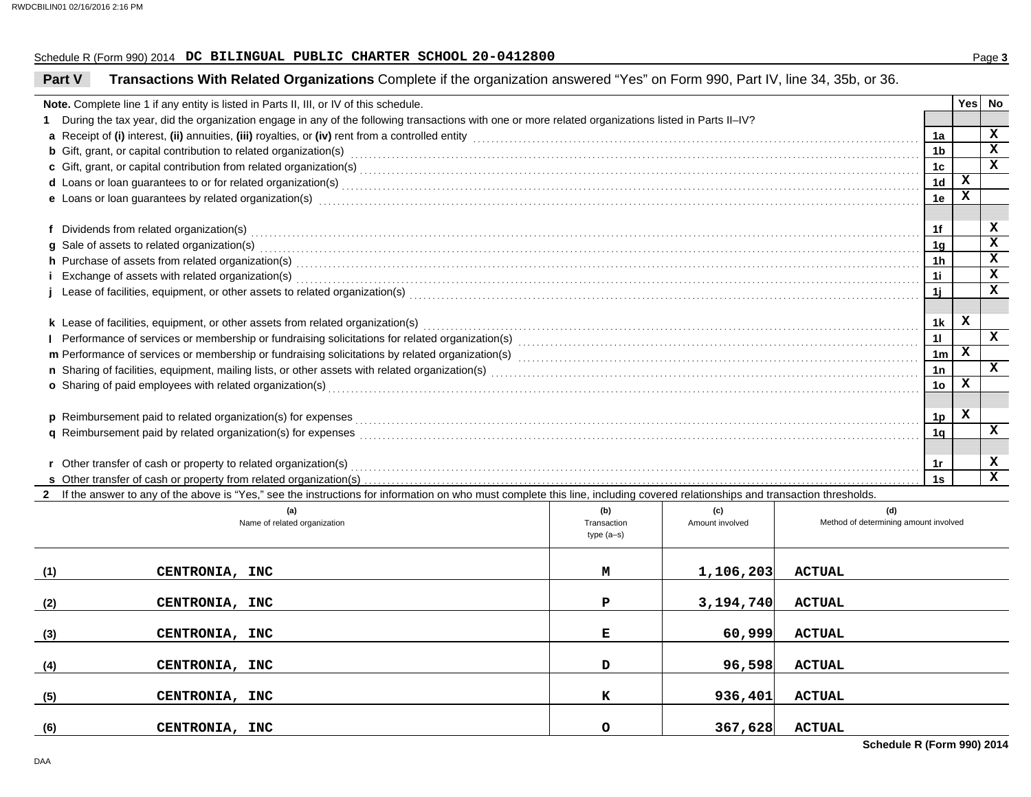#### Schedule R (Form 990) 2014 Page **3 DC BILINGUAL PUBLIC CHARTER SCHOOL 20-0412800**

| Part V | Transactions With Related Organizations Complete if the organization answered "Yes" on Form 990, Part IV, line 34, 35b, or 36.                                                                                                      |                            |                 |                                       |                |   |        |  |  |
|--------|-------------------------------------------------------------------------------------------------------------------------------------------------------------------------------------------------------------------------------------|----------------------------|-----------------|---------------------------------------|----------------|---|--------|--|--|
|        | Note. Complete line 1 if any entity is listed in Parts II, III, or IV of this schedule.                                                                                                                                             |                            |                 |                                       |                |   | Yes No |  |  |
| 1      | During the tax year, did the organization engage in any of the following transactions with one or more related organizations listed in Parts II-IV?                                                                                 |                            |                 |                                       |                |   |        |  |  |
|        | a Receipt of (i) interest, (ii) annuities, (iii) royalties, or (iv) rent from a controlled entity [1] controlled entity [1] controlled entity and controlled entity and controlled entity and controlled entity and contained       |                            |                 |                                       | 1a             |   | x      |  |  |
|        | <b>b</b> Gift, grant, or capital contribution to related organization(s) encourse contained and contained and contribution to related organization(s) encourse contained and contained and contained and contained and contained an |                            |                 |                                       | 1b             |   | x      |  |  |
|        |                                                                                                                                                                                                                                     |                            |                 |                                       | 1c             |   | x      |  |  |
|        |                                                                                                                                                                                                                                     |                            |                 |                                       | 1 <sub>d</sub> | x |        |  |  |
|        | e Loans or loan guarantees by related organization(s) encourance control and control control and control or control or control or control or control or control or control or control or control or control or control or cont      |                            |                 |                                       | 1e             | x |        |  |  |
|        |                                                                                                                                                                                                                                     |                            |                 |                                       |                |   |        |  |  |
|        |                                                                                                                                                                                                                                     |                            |                 |                                       |                |   |        |  |  |
|        | g Sale of assets to related organization(s)                                                                                                                                                                                         |                            |                 |                                       | 1 <sub>q</sub> |   | x      |  |  |
|        |                                                                                                                                                                                                                                     |                            |                 |                                       | 1 <sub>h</sub> |   | x      |  |  |
|        | i Exchange of assets with related organization(s) excess contains a set of the container and container and container and container and container and container and container and container and container and container and con      |                            |                 |                                       | 1i.            |   | x      |  |  |
|        | Lease of facilities, equipment, or other assets to related organization(s) Materian and the content of the content of accompanism or the content of the content of the content of the content of the content of the content of      |                            |                 |                                       | 1i             |   | X      |  |  |
|        |                                                                                                                                                                                                                                     |                            |                 |                                       |                |   |        |  |  |
|        | k Lease of facilities, equipment, or other assets from related organization(s)                                                                                                                                                      |                            |                 |                                       | 1k             | x |        |  |  |
|        | I Performance of services or membership or fundraising solicitations for related organization(s) [1] performance of services or membership or fundraising solicitations for related organization(s) [1] performance conditiona      |                            |                 |                                       | 11             |   | X      |  |  |
|        |                                                                                                                                                                                                                                     |                            |                 |                                       |                |   |        |  |  |
|        |                                                                                                                                                                                                                                     |                            |                 |                                       |                |   |        |  |  |
|        | o Sharing of paid employees with related organization(s) encourance contains an array contained a starting of paid employees with related organization(s) encourance contains and contained a starting of paid employees with       |                            |                 |                                       | 1 <sub>o</sub> | x |        |  |  |
|        |                                                                                                                                                                                                                                     |                            |                 |                                       |                |   |        |  |  |
|        |                                                                                                                                                                                                                                     |                            |                 |                                       | 1p             | x |        |  |  |
|        |                                                                                                                                                                                                                                     |                            |                 |                                       | 1q             |   | x      |  |  |
|        |                                                                                                                                                                                                                                     |                            |                 |                                       |                |   |        |  |  |
|        | r Other transfer of cash or property to related organization(s)                                                                                                                                                                     |                            |                 |                                       | 1r             |   | x      |  |  |
|        | <b>s</b> Other transfer of cash or property from related organization(s)                                                                                                                                                            |                            |                 |                                       | 1s             |   | x      |  |  |
|        | 2 If the answer to any of the above is "Yes," see the instructions for information on who must complete this line, including covered relationships and transaction thresholds.                                                      |                            |                 |                                       |                |   |        |  |  |
|        | (a)                                                                                                                                                                                                                                 | (b)                        | (c)             | (d)                                   |                |   |        |  |  |
|        | Name of related organization                                                                                                                                                                                                        | Transaction<br>$type(a-s)$ | Amount involved | Method of determining amount involved |                |   |        |  |  |
|        |                                                                                                                                                                                                                                     |                            |                 |                                       |                |   |        |  |  |
|        |                                                                                                                                                                                                                                     |                            |                 |                                       |                |   |        |  |  |
| (1)    | CENTRONIA, INC                                                                                                                                                                                                                      | м                          | 1,106,203       | <b>ACTUAL</b>                         |                |   |        |  |  |
|        |                                                                                                                                                                                                                                     |                            |                 |                                       |                |   |        |  |  |
| (2)    | CENTRONIA, INC                                                                                                                                                                                                                      | Р                          | 3,194,740       | <b>ACTUAL</b>                         |                |   |        |  |  |
|        |                                                                                                                                                                                                                                     |                            |                 |                                       |                |   |        |  |  |
| (3)    | CENTRONIA, INC                                                                                                                                                                                                                      | Е                          | 60,999          | <b>ACTUAL</b>                         |                |   |        |  |  |
|        |                                                                                                                                                                                                                                     | D                          | 96,598          | <b>ACTUAL</b>                         |                |   |        |  |  |
| (4)    | CENTRONIA, INC                                                                                                                                                                                                                      |                            |                 |                                       |                |   |        |  |  |
|        | CENTRONIA, INC                                                                                                                                                                                                                      | к                          | 936,401         | <b>ACTUAL</b>                         |                |   |        |  |  |
| (5)    |                                                                                                                                                                                                                                     |                            |                 |                                       |                |   |        |  |  |
| (6)    | CENTRONIA, INC                                                                                                                                                                                                                      | o                          | 367,628         | <b>ACTUAL</b>                         |                |   |        |  |  |
|        |                                                                                                                                                                                                                                     |                            |                 |                                       |                |   |        |  |  |

**Schedule R (Form 990) 2014**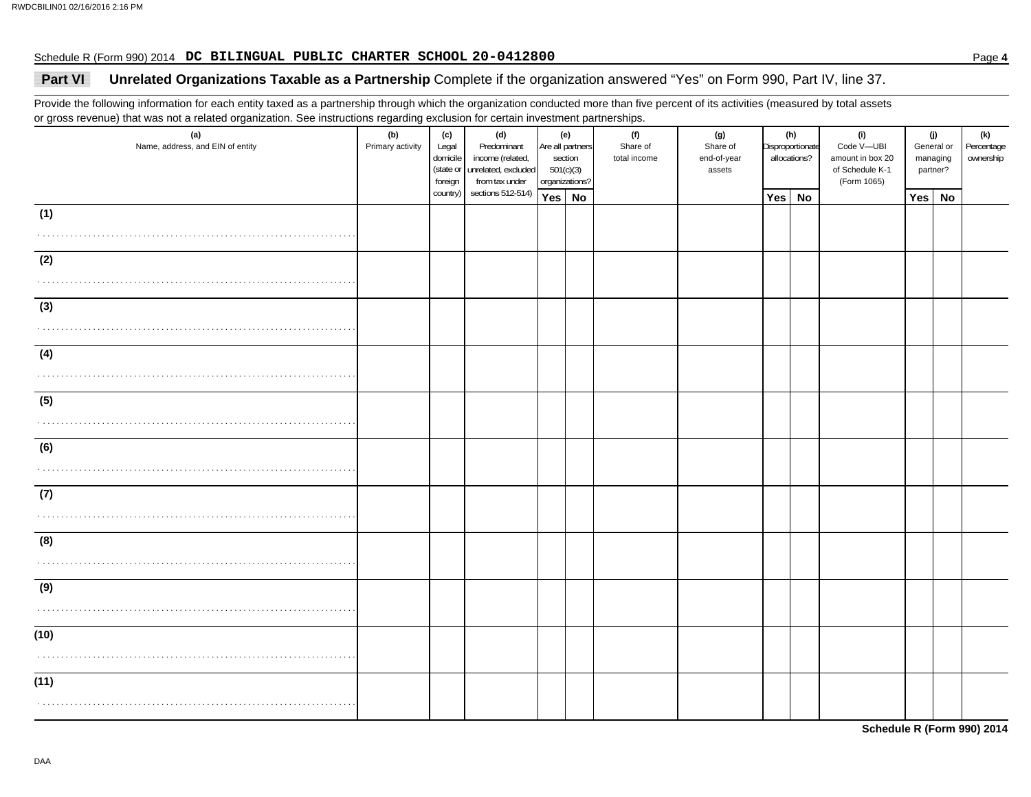#### Schedule R (Form 990) 2014 Page **4 DC BILINGUAL PUBLIC CHARTER SCHOOL 20-0412800**

## **Part VI** Unrelated Organizations Taxable as a Partnership Complete if the organization answered "Yes" on Form 990, Part IV, line 37.

Provide the following information for each entity taxed as a partnership through which the organization conducted more than five percent of its activities (measured by total assets or gross revenue) that was not a related organization. See instructions regarding exclusion for certain investment partnerships.

| sections 512-514)<br>country)<br>Yes No<br>Yes No<br>Yes<br>No<br>(1)<br>.<br>(2)<br>(3)<br>.<br>(4)<br>(5)<br>(6) | (a)<br>Name, address, and EIN of entity | ັ<br>(b)<br>Primary activity | (c)<br>Legal<br>domicile<br>(state or<br>foreign | (d)<br>Predominant<br>income (related,<br>unrelated, excluded<br>from tax under | 501(c)(3) | (e)<br>Are all partners<br>section<br>organizations? | (f)<br>Share of<br>total income | (g)<br>Share of<br>end-of-year<br>assets | (h)<br>Disproportionate<br>allocations? |  |  |  |  |  |  |  | (i)<br>Code V-UBI<br>amount in box 20<br>of Schedule K-1<br>(Form 1065) | (j)<br>General or<br>managing<br>partner? |  | (k)<br>Percentage<br>ownership |
|--------------------------------------------------------------------------------------------------------------------|-----------------------------------------|------------------------------|--------------------------------------------------|---------------------------------------------------------------------------------|-----------|------------------------------------------------------|---------------------------------|------------------------------------------|-----------------------------------------|--|--|--|--|--|--|--|-------------------------------------------------------------------------|-------------------------------------------|--|--------------------------------|
|                                                                                                                    |                                         |                              |                                                  |                                                                                 |           |                                                      |                                 |                                          |                                         |  |  |  |  |  |  |  |                                                                         |                                           |  |                                |
|                                                                                                                    |                                         |                              |                                                  |                                                                                 |           |                                                      |                                 |                                          |                                         |  |  |  |  |  |  |  |                                                                         |                                           |  |                                |
|                                                                                                                    |                                         |                              |                                                  |                                                                                 |           |                                                      |                                 |                                          |                                         |  |  |  |  |  |  |  |                                                                         |                                           |  |                                |
|                                                                                                                    |                                         |                              |                                                  |                                                                                 |           |                                                      |                                 |                                          |                                         |  |  |  |  |  |  |  |                                                                         |                                           |  |                                |
|                                                                                                                    |                                         |                              |                                                  |                                                                                 |           |                                                      |                                 |                                          |                                         |  |  |  |  |  |  |  |                                                                         |                                           |  |                                |
|                                                                                                                    |                                         |                              |                                                  |                                                                                 |           |                                                      |                                 |                                          |                                         |  |  |  |  |  |  |  |                                                                         |                                           |  |                                |
|                                                                                                                    |                                         |                              |                                                  |                                                                                 |           |                                                      |                                 |                                          |                                         |  |  |  |  |  |  |  |                                                                         |                                           |  |                                |
|                                                                                                                    |                                         |                              |                                                  |                                                                                 |           |                                                      |                                 |                                          |                                         |  |  |  |  |  |  |  |                                                                         |                                           |  |                                |
|                                                                                                                    |                                         |                              |                                                  |                                                                                 |           |                                                      |                                 |                                          |                                         |  |  |  |  |  |  |  |                                                                         |                                           |  |                                |
|                                                                                                                    |                                         |                              |                                                  |                                                                                 |           |                                                      |                                 |                                          |                                         |  |  |  |  |  |  |  |                                                                         |                                           |  |                                |
|                                                                                                                    |                                         |                              |                                                  |                                                                                 |           |                                                      |                                 |                                          |                                         |  |  |  |  |  |  |  |                                                                         |                                           |  |                                |
|                                                                                                                    |                                         |                              |                                                  |                                                                                 |           |                                                      |                                 |                                          |                                         |  |  |  |  |  |  |  |                                                                         |                                           |  |                                |
|                                                                                                                    |                                         |                              |                                                  |                                                                                 |           |                                                      |                                 |                                          |                                         |  |  |  |  |  |  |  |                                                                         |                                           |  |                                |
| (7)                                                                                                                |                                         |                              |                                                  |                                                                                 |           |                                                      |                                 |                                          |                                         |  |  |  |  |  |  |  |                                                                         |                                           |  |                                |
|                                                                                                                    |                                         |                              |                                                  |                                                                                 |           |                                                      |                                 |                                          |                                         |  |  |  |  |  |  |  |                                                                         |                                           |  |                                |
| (8)                                                                                                                |                                         |                              |                                                  |                                                                                 |           |                                                      |                                 |                                          |                                         |  |  |  |  |  |  |  |                                                                         |                                           |  |                                |
|                                                                                                                    |                                         |                              |                                                  |                                                                                 |           |                                                      |                                 |                                          |                                         |  |  |  |  |  |  |  |                                                                         |                                           |  |                                |
| (9)                                                                                                                |                                         |                              |                                                  |                                                                                 |           |                                                      |                                 |                                          |                                         |  |  |  |  |  |  |  |                                                                         |                                           |  |                                |
|                                                                                                                    |                                         |                              |                                                  |                                                                                 |           |                                                      |                                 |                                          |                                         |  |  |  |  |  |  |  |                                                                         |                                           |  |                                |
|                                                                                                                    |                                         |                              |                                                  |                                                                                 |           |                                                      |                                 |                                          |                                         |  |  |  |  |  |  |  |                                                                         |                                           |  |                                |
| (10)                                                                                                               |                                         |                              |                                                  |                                                                                 |           |                                                      |                                 |                                          |                                         |  |  |  |  |  |  |  |                                                                         |                                           |  |                                |
|                                                                                                                    |                                         |                              |                                                  |                                                                                 |           |                                                      |                                 |                                          |                                         |  |  |  |  |  |  |  |                                                                         |                                           |  |                                |
| (11)                                                                                                               |                                         |                              |                                                  |                                                                                 |           |                                                      |                                 |                                          |                                         |  |  |  |  |  |  |  |                                                                         |                                           |  |                                |
|                                                                                                                    |                                         |                              |                                                  |                                                                                 |           |                                                      |                                 |                                          |                                         |  |  |  |  |  |  |  |                                                                         |                                           |  |                                |

**Schedule R (Form 990) 2014**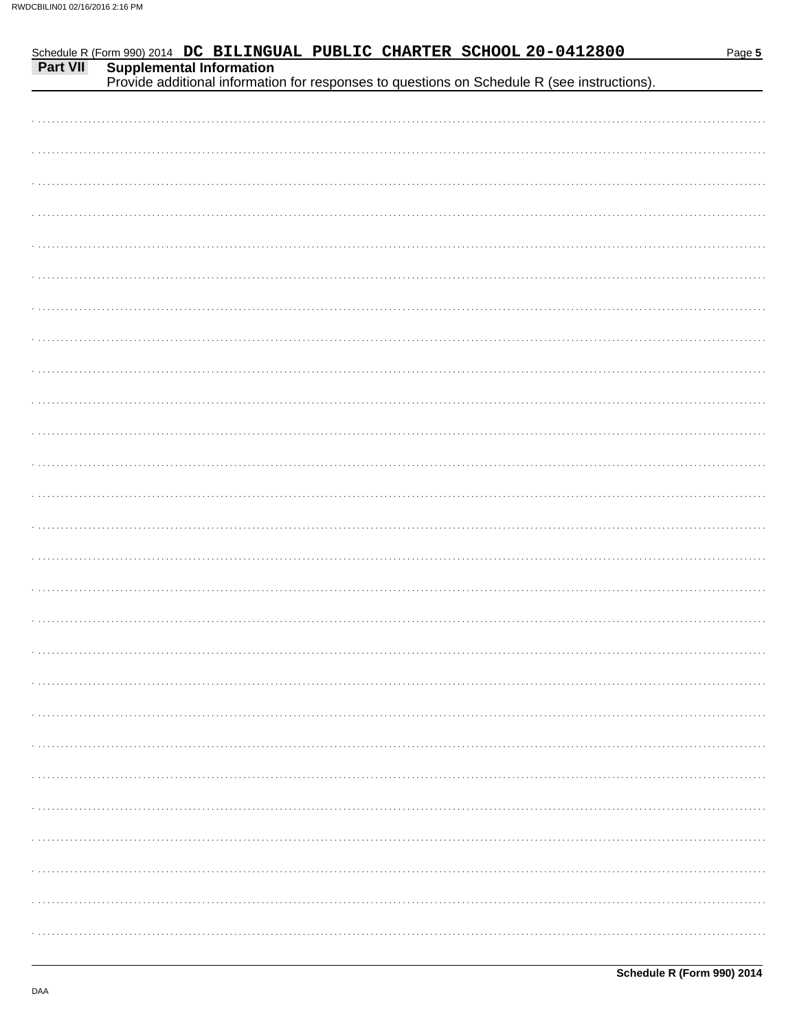|          |  |                                 |  | Schedule R (Form 990) 2014 DC BILINGUAL PUBLIC CHARTER SCHOOL 20-0412800                    | Page 5 |
|----------|--|---------------------------------|--|---------------------------------------------------------------------------------------------|--------|
| Part VII |  | <b>Supplemental Information</b> |  |                                                                                             |        |
|          |  |                                 |  | Provide additional information for responses to questions on Schedule R (see instructions). |        |
|          |  |                                 |  |                                                                                             |        |
|          |  |                                 |  |                                                                                             |        |
|          |  |                                 |  |                                                                                             |        |
|          |  |                                 |  |                                                                                             |        |
|          |  |                                 |  |                                                                                             |        |
|          |  |                                 |  |                                                                                             |        |
|          |  |                                 |  |                                                                                             |        |
|          |  |                                 |  |                                                                                             |        |
|          |  |                                 |  |                                                                                             |        |
|          |  |                                 |  |                                                                                             |        |
|          |  |                                 |  |                                                                                             |        |
|          |  |                                 |  |                                                                                             |        |
|          |  |                                 |  |                                                                                             |        |
|          |  |                                 |  |                                                                                             |        |
|          |  |                                 |  |                                                                                             |        |
|          |  |                                 |  |                                                                                             |        |
|          |  |                                 |  |                                                                                             |        |
|          |  |                                 |  |                                                                                             |        |
|          |  |                                 |  |                                                                                             |        |
|          |  |                                 |  |                                                                                             |        |
|          |  |                                 |  |                                                                                             |        |
|          |  |                                 |  |                                                                                             |        |
|          |  |                                 |  |                                                                                             |        |
|          |  |                                 |  |                                                                                             |        |
|          |  |                                 |  |                                                                                             |        |
|          |  |                                 |  |                                                                                             |        |
|          |  |                                 |  |                                                                                             |        |
|          |  |                                 |  |                                                                                             |        |
|          |  |                                 |  |                                                                                             |        |
|          |  |                                 |  |                                                                                             |        |
|          |  |                                 |  |                                                                                             |        |
|          |  |                                 |  |                                                                                             |        |
|          |  |                                 |  |                                                                                             |        |
|          |  |                                 |  |                                                                                             |        |
|          |  |                                 |  |                                                                                             |        |
|          |  |                                 |  |                                                                                             |        |
|          |  |                                 |  |                                                                                             |        |
|          |  |                                 |  |                                                                                             |        |
|          |  |                                 |  |                                                                                             |        |
|          |  |                                 |  |                                                                                             |        |
|          |  |                                 |  |                                                                                             |        |
|          |  |                                 |  |                                                                                             |        |
|          |  |                                 |  |                                                                                             |        |
|          |  |                                 |  |                                                                                             |        |
|          |  |                                 |  |                                                                                             |        |
|          |  |                                 |  |                                                                                             |        |
|          |  |                                 |  |                                                                                             |        |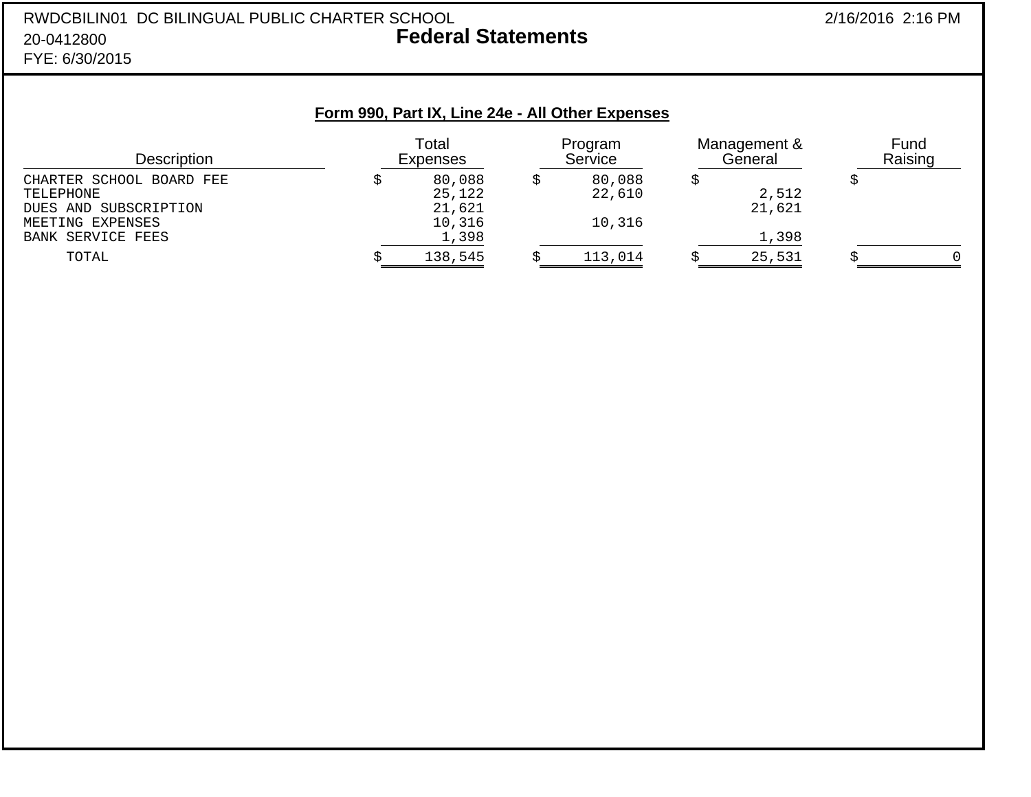#### RWDCBILIN01 DC BILINGUAL PUBLIC CHARTER SCHOOL 2/16/2016 2:16 PM 20-0412800 **Federal Statements** FYE: 6/30/2015

**Form 990, Part IX, Line 24e - All Other Expenses**

| Description              | Total<br><b>Expenses</b> |         | Program<br>Service |         | Management &<br>General |        | Fund<br>Raising |  |
|--------------------------|--------------------------|---------|--------------------|---------|-------------------------|--------|-----------------|--|
| CHARTER SCHOOL BOARD FEE |                          | 80,088  |                    | 80,088  |                         |        |                 |  |
| TELEPHONE                |                          | 25,122  |                    | 22,610  |                         | 2,512  |                 |  |
| DUES AND SUBSCRIPTION    |                          | 21,621  |                    |         |                         | 21,621 |                 |  |
| MEETING EXPENSES         |                          | 10,316  |                    | 10,316  |                         |        |                 |  |
| BANK SERVICE FEES        |                          | 1,398   |                    |         |                         | 1,398  |                 |  |
| TOTAL                    |                          | 138,545 |                    | 113,014 |                         | 25,531 |                 |  |